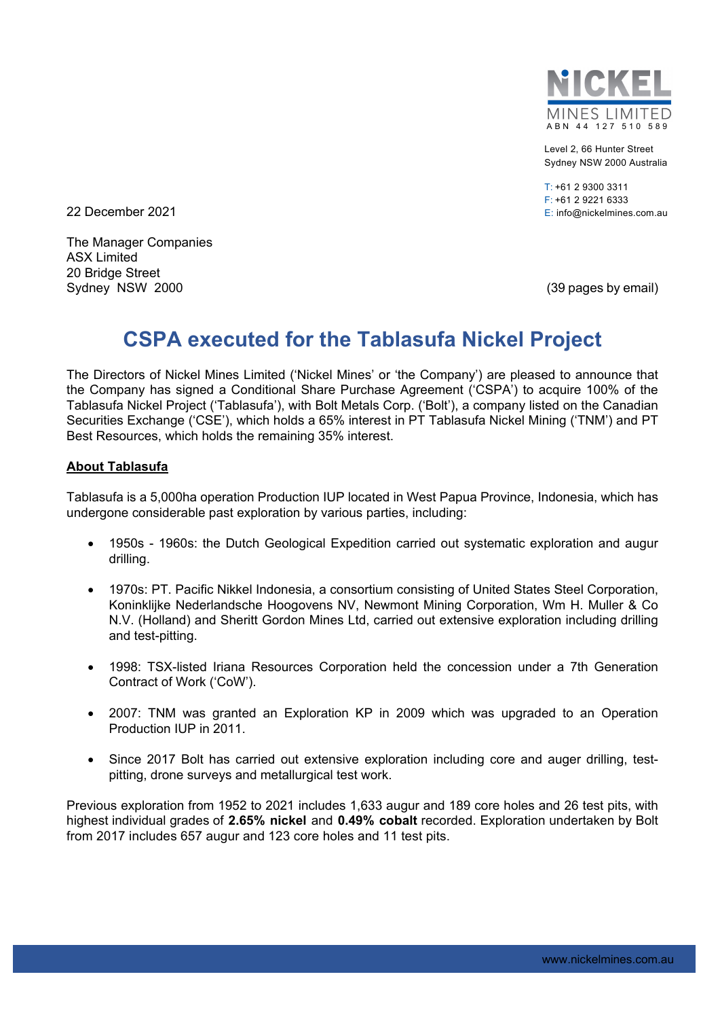

Level 2, 66 Hunter Street Sydney NSW 2000 Australia

 $T: +61$  2 9300 3311 F: +61 2 9221 6333 E: info@nickelmines.com.au

22 December 2021

The Manager Companies ASX Limited 20 Bridge Street Sydney NSW 2000 **(39 pages by email)** Sydney NSW 3000

# **CSPA executed for the Tablasufa Nickel Project**

The Directors of Nickel Mines Limited ('Nickel Mines' or 'the Company') are pleased to announce that the Company has signed a Conditional Share Purchase Agreement ('CSPA') to acquire 100% of the Tablasufa Nickel Project ('Tablasufa'), with Bolt Metals Corp. ('Bolt'), a company listed on the Canadian Securities Exchange ('CSE'), which holds a 65% interest in PT Tablasufa Nickel Mining ('TNM') and PT Best Resources, which holds the remaining 35% interest.

### **About Tablasufa**

Tablasufa is a 5,000ha operation Production IUP located in West Papua Province, Indonesia, which has undergone considerable past exploration by various parties, including:

- 1950s 1960s: the Dutch Geological Expedition carried out systematic exploration and augur drilling.
- 1970s: PT. Pacific Nikkel Indonesia, a consortium consisting of United States Steel Corporation, Koninklijke Nederlandsche Hoogovens NV, Newmont Mining Corporation, Wm H. Muller & Co N.V. (Holland) and Sheritt Gordon Mines Ltd, carried out extensive exploration including drilling and test-pitting.
- 1998: TSX-listed Iriana Resources Corporation held the concession under a 7th Generation Contract of Work ('CoW').
- 2007: TNM was granted an Exploration KP in 2009 which was upgraded to an Operation Production IUP in 2011.
- Since 2017 Bolt has carried out extensive exploration including core and auger drilling, testpitting, drone surveys and metallurgical test work.

Previous exploration from 1952 to 2021 includes 1,633 augur and 189 core holes and 26 test pits, with highest individual grades of **2.65% nickel** and **0.49% cobalt** recorded. Exploration undertaken by Bolt from 2017 includes 657 augur and 123 core holes and 11 test pits.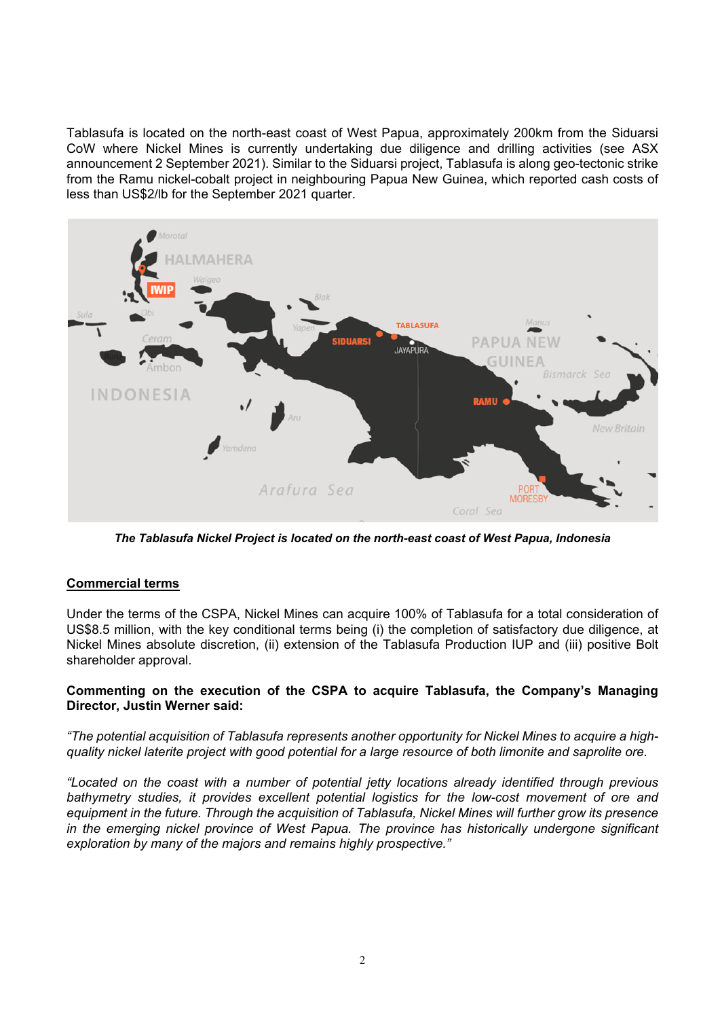Tablasufa is located on the north-east coast of West Papua, approximately 200km from the Siduarsi CoW where Nickel Mines is currently undertaking due diligence and drilling activities (see ASX announcement 2 September 2021). Similar to the Siduarsi project, Tablasufa is along geo-tectonic strike from the Ramu nickel-cobalt project in neighbouring Papua New Guinea, which reported cash costs of less than US\$2/lb for the September 2021 quarter.



*The Tablasufa Nickel Project is located on the north-east coast of West Papua, Indonesia* 

### **Commercial terms**

Under the terms of the CSPA, Nickel Mines can acquire 100% of Tablasufa for a total consideration of US\$8.5 million, with the key conditional terms being (i) the completion of satisfactory due diligence, at Nickel Mines absolute discretion, (ii) extension of the Tablasufa Production IUP and (iii) positive Bolt shareholder approval.

### **Commenting on the execution of the CSPA to acquire Tablasufa, the Company's Managing Director, Justin Werner said:**

*"The potential acquisition of Tablasufa represents another opportunity for Nickel Mines to acquire a highquality nickel laterite project with good potential for a large resource of both limonite and saprolite ore.* 

*"Located on the coast with a number of potential jetty locations already identified through previous bathymetry studies, it provides excellent potential logistics for the low-cost movement of ore and equipment in the future. Through the acquisition of Tablasufa, Nickel Mines will further grow its presence in the emerging nickel province of West Papua. The province has historically undergone significant exploration by many of the majors and remains highly prospective."*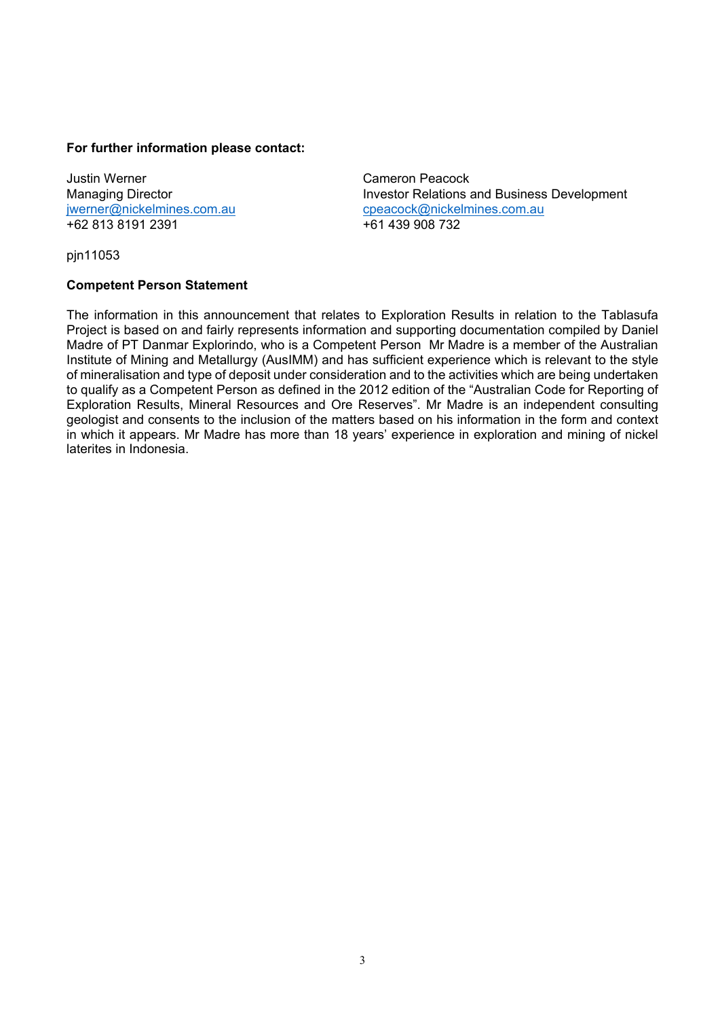### **For further information please contact:**

Justin Werner **Cameron Peacock** +62 813 8191 2391 +61 439 908 732

Managing Director **Investor Relations and Business Development** jwerner@nickelmines.com.aucpeacock@nickelmines.com.au

pjn11053

#### **Competent Person Statement**

The information in this announcement that relates to Exploration Results in relation to the Tablasufa Project is based on and fairly represents information and supporting documentation compiled by Daniel Madre of PT Danmar Explorindo, who is a Competent Person Mr Madre is a member of the Australian Institute of Mining and Metallurgy (AusIMM) and has sufficient experience which is relevant to the style of mineralisation and type of deposit under consideration and to the activities which are being undertaken to qualify as a Competent Person as defined in the 2012 edition of the "Australian Code for Reporting of Exploration Results, Mineral Resources and Ore Reserves". Mr Madre is an independent consulting geologist and consents to the inclusion of the matters based on his information in the form and context in which it appears. Mr Madre has more than 18 years' experience in exploration and mining of nickel laterites in Indonesia.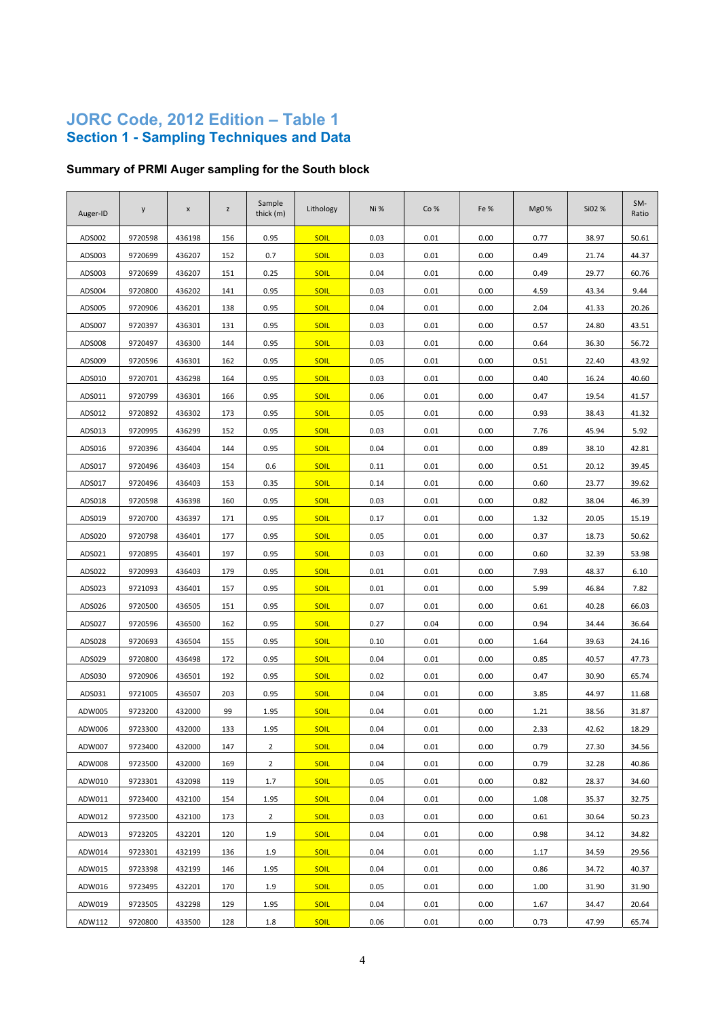### **JORC Code, 2012 Edition – Table 1 Section 1 - Sampling Techniques and Data**

# **Summary of PRMI Auger sampling for the South block**

| Auger-ID | y       | $\pmb{\mathsf{x}}$ | z   | Sample<br>thick (m) | Lithology   | Ni%  | Co%  | Fe % | Mg0% | Si02 % | SM-<br>Ratio |
|----------|---------|--------------------|-----|---------------------|-------------|------|------|------|------|--------|--------------|
| ADS002   | 9720598 | 436198             | 156 | 0.95                | <b>SOIL</b> | 0.03 | 0.01 | 0.00 | 0.77 | 38.97  | 50.61        |
| ADS003   | 9720699 | 436207             | 152 | 0.7                 | <b>SOIL</b> | 0.03 | 0.01 | 0.00 | 0.49 | 21.74  | 44.37        |
| ADS003   | 9720699 | 436207             | 151 | 0.25                | <b>SOIL</b> | 0.04 | 0.01 | 0.00 | 0.49 | 29.77  | 60.76        |
| ADS004   | 9720800 | 436202             | 141 | 0.95                | <b>SOIL</b> | 0.03 | 0.01 | 0.00 | 4.59 | 43.34  | 9.44         |
| ADS005   | 9720906 | 436201             | 138 | 0.95                | <b>SOIL</b> | 0.04 | 0.01 | 0.00 | 2.04 | 41.33  | 20.26        |
| ADS007   | 9720397 | 436301             | 131 | 0.95                | <b>SOIL</b> | 0.03 | 0.01 | 0.00 | 0.57 | 24.80  | 43.51        |
| ADS008   | 9720497 | 436300             | 144 | 0.95                | <b>SOIL</b> | 0.03 | 0.01 | 0.00 | 0.64 | 36.30  | 56.72        |
| ADS009   | 9720596 | 436301             | 162 | 0.95                | <b>SOIL</b> | 0.05 | 0.01 | 0.00 | 0.51 | 22.40  | 43.92        |
| ADS010   | 9720701 | 436298             | 164 | 0.95                | <b>SOIL</b> | 0.03 | 0.01 | 0.00 | 0.40 | 16.24  | 40.60        |
| ADS011   | 9720799 | 436301             | 166 | 0.95                | <b>SOIL</b> | 0.06 | 0.01 | 0.00 | 0.47 | 19.54  | 41.57        |
| ADS012   | 9720892 | 436302             | 173 | 0.95                | <b>SOIL</b> | 0.05 | 0.01 | 0.00 | 0.93 | 38.43  | 41.32        |
| ADS013   | 9720995 | 436299             | 152 | 0.95                | <b>SOIL</b> | 0.03 | 0.01 | 0.00 | 7.76 | 45.94  | 5.92         |
| ADS016   | 9720396 | 436404             | 144 | 0.95                | <b>SOIL</b> | 0.04 | 0.01 | 0.00 | 0.89 | 38.10  | 42.81        |
| ADS017   | 9720496 | 436403             | 154 | 0.6                 | <b>SOIL</b> | 0.11 | 0.01 | 0.00 | 0.51 | 20.12  | 39.45        |
| ADS017   | 9720496 | 436403             | 153 | 0.35                | <b>SOIL</b> | 0.14 | 0.01 | 0.00 | 0.60 | 23.77  | 39.62        |
| ADS018   | 9720598 | 436398             | 160 | 0.95                | <b>SOIL</b> | 0.03 | 0.01 | 0.00 | 0.82 | 38.04  | 46.39        |
| ADS019   | 9720700 | 436397             | 171 | 0.95                | <b>SOIL</b> | 0.17 | 0.01 | 0.00 | 1.32 | 20.05  | 15.19        |
| ADS020   | 9720798 | 436401             | 177 | 0.95                | <b>SOIL</b> | 0.05 | 0.01 | 0.00 | 0.37 | 18.73  | 50.62        |
| ADS021   | 9720895 | 436401             | 197 | 0.95                | <b>SOIL</b> | 0.03 | 0.01 | 0.00 | 0.60 | 32.39  | 53.98        |
| ADS022   | 9720993 | 436403             | 179 | 0.95                | <b>SOIL</b> | 0.01 | 0.01 | 0.00 | 7.93 | 48.37  | 6.10         |
| ADS023   | 9721093 | 436401             | 157 | 0.95                | <b>SOIL</b> | 0.01 | 0.01 | 0.00 | 5.99 | 46.84  | 7.82         |
| ADS026   | 9720500 | 436505             | 151 | 0.95                | <b>SOIL</b> | 0.07 | 0.01 | 0.00 | 0.61 | 40.28  | 66.03        |
| ADS027   | 9720596 | 436500             | 162 | 0.95                | <b>SOIL</b> | 0.27 | 0.04 | 0.00 | 0.94 | 34.44  | 36.64        |
| ADS028   | 9720693 | 436504             | 155 | 0.95                | <b>SOIL</b> | 0.10 | 0.01 | 0.00 | 1.64 | 39.63  | 24.16        |
| ADS029   | 9720800 | 436498             | 172 | 0.95                | <b>SOIL</b> | 0.04 | 0.01 | 0.00 | 0.85 | 40.57  | 47.73        |
| ADS030   | 9720906 | 436501             | 192 | 0.95                | <b>SOIL</b> | 0.02 | 0.01 | 0.00 | 0.47 | 30.90  | 65.74        |
| ADS031   | 9721005 | 436507             | 203 | 0.95                | <b>SOIL</b> | 0.04 | 0.01 | 0.00 | 3.85 | 44.97  | 11.68        |
| ADW005   | 9723200 | 432000             | 99  | 1.95                | <b>SOIL</b> | 0.04 | 0.01 | 0.00 | 1.21 | 38.56  | 31.87        |
| ADW006   | 9723300 | 432000             | 133 | 1.95                | <b>SOIL</b> | 0.04 | 0.01 | 0.00 | 2.33 | 42.62  | 18.29        |
| ADW007   | 9723400 | 432000             | 147 | $\overline{2}$      | <b>SOIL</b> | 0.04 | 0.01 | 0.00 | 0.79 | 27.30  | 34.56        |
| ADW008   | 9723500 | 432000             | 169 | $\overline{2}$      | <b>SOIL</b> | 0.04 | 0.01 | 0.00 | 0.79 | 32.28  | 40.86        |
| ADW010   | 9723301 | 432098             | 119 | 1.7                 | <b>SOIL</b> | 0.05 | 0.01 | 0.00 | 0.82 | 28.37  | 34.60        |
| ADW011   | 9723400 | 432100             | 154 | 1.95                | <b>SOIL</b> | 0.04 | 0.01 | 0.00 | 1.08 | 35.37  | 32.75        |
| ADW012   | 9723500 | 432100             | 173 | $\overline{2}$      | <b>SOIL</b> | 0.03 | 0.01 | 0.00 | 0.61 | 30.64  | 50.23        |
| ADW013   | 9723205 | 432201             | 120 | 1.9                 | <b>SOIL</b> | 0.04 | 0.01 | 0.00 | 0.98 | 34.12  | 34.82        |
| ADW014   | 9723301 | 432199             | 136 | 1.9                 | <b>SOIL</b> | 0.04 | 0.01 | 0.00 | 1.17 | 34.59  | 29.56        |
| ADW015   | 9723398 | 432199             | 146 | 1.95                | <b>SOIL</b> | 0.04 | 0.01 | 0.00 | 0.86 | 34.72  | 40.37        |
| ADW016   | 9723495 | 432201             | 170 | 1.9                 | <b>SOIL</b> | 0.05 | 0.01 | 0.00 | 1.00 | 31.90  | 31.90        |
| ADW019   | 9723505 | 432298             | 129 | 1.95                | <b>SOIL</b> | 0.04 | 0.01 | 0.00 | 1.67 | 34.47  | 20.64        |
| ADW112   | 9720800 | 433500             | 128 | 1.8                 | <b>SOIL</b> | 0.06 | 0.01 | 0.00 | 0.73 | 47.99  | 65.74        |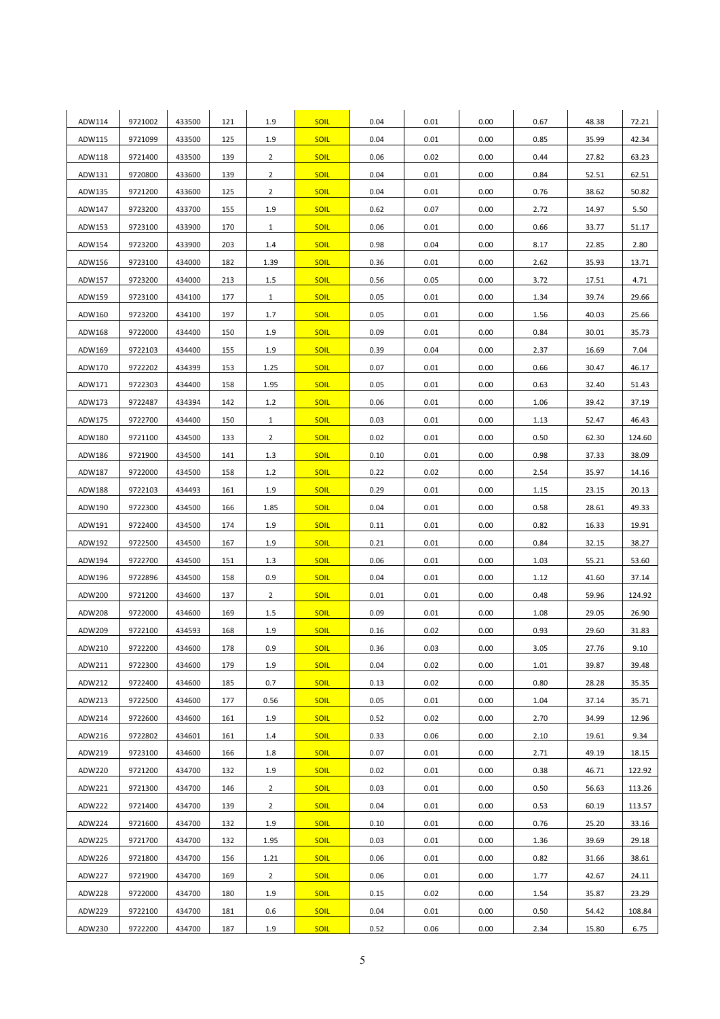| ADW114           | 9721002 | 433500 | 121        | 1.9            | <b>SOIL</b> | 0.04         | 0.01         | 0.00 | 0.67         | 48.38          | 72.21  |
|------------------|---------|--------|------------|----------------|-------------|--------------|--------------|------|--------------|----------------|--------|
| ADW115           | 9721099 | 433500 | 125        | 1.9            | <b>SOIL</b> | 0.04         | 0.01         | 0.00 | 0.85         | 35.99          | 42.34  |
| ADW118           | 9721400 | 433500 | 139        | $\overline{2}$ | <b>SOIL</b> | 0.06         | 0.02         | 0.00 | 0.44         | 27.82          | 63.23  |
| ADW131           | 9720800 | 433600 | 139        | $\overline{2}$ | <b>SOIL</b> | 0.04         | 0.01         | 0.00 | 0.84         | 52.51          | 62.51  |
| ADW135           | 9721200 | 433600 | 125        | $\overline{2}$ | <b>SOIL</b> | 0.04         | 0.01         | 0.00 | 0.76         | 38.62          | 50.82  |
| ADW147           | 9723200 | 433700 | 155        | 1.9            | <b>SOIL</b> | 0.62         | 0.07         | 0.00 | 2.72         | 14.97          | 5.50   |
| ADW153           | 9723100 | 433900 | 170        | $\mathbf{1}$   | <b>SOIL</b> | 0.06         | 0.01         | 0.00 | 0.66         | 33.77          | 51.17  |
| ADW154           | 9723200 | 433900 | 203        | 1.4            | <b>SOIL</b> | 0.98         | 0.04         | 0.00 | 8.17         | 22.85          | 2.80   |
| ADW156           | 9723100 | 434000 | 182        | 1.39           | <b>SOIL</b> | 0.36         | 0.01         | 0.00 | 2.62         | 35.93          | 13.71  |
| ADW157           | 9723200 | 434000 | 213        | 1.5            | <b>SOIL</b> | 0.56         | 0.05         | 0.00 | 3.72         | 17.51          | 4.71   |
| ADW159           | 9723100 | 434100 | 177        | $\mathbf{1}$   | <b>SOIL</b> | 0.05         | 0.01         | 0.00 | 1.34         | 39.74          | 29.66  |
| ADW160           | 9723200 | 434100 | 197        | 1.7            | <b>SOIL</b> | 0.05         | 0.01         | 0.00 | 1.56         | 40.03          | 25.66  |
| ADW168           | 9722000 | 434400 | 150        | 1.9            | <b>SOIL</b> | 0.09         | 0.01         | 0.00 | 0.84         | 30.01          | 35.73  |
|                  | 9722103 | 434400 |            |                | <b>SOIL</b> |              |              | 0.00 |              |                | 7.04   |
| ADW169<br>ADW170 | 9722202 | 434399 | 155<br>153 | 1.9<br>1.25    | <b>SOIL</b> | 0.39<br>0.07 | 0.04<br>0.01 | 0.00 | 2.37<br>0.66 | 16.69<br>30.47 | 46.17  |
|                  | 9722303 | 434400 | 158        |                | <b>SOIL</b> | 0.05         | 0.01         | 0.00 |              |                |        |
| ADW171           | 9722487 | 434394 |            | 1.95           | <b>SOIL</b> |              | 0.01         | 0.00 | 0.63         | 32.40          | 51.43  |
| ADW173           |         |        | 142        | 1.2            |             | 0.06<br>0.03 | 0.01         |      | 1.06         | 39.42          | 37.19  |
| ADW175           | 9722700 | 434400 | 150        | $\mathbf{1}$   | <b>SOIL</b> |              |              | 0.00 | 1.13         | 52.47          | 46.43  |
| ADW180           | 9721100 | 434500 | 133        | $\overline{2}$ | <b>SOIL</b> | 0.02         | 0.01         | 0.00 | 0.50         | 62.30          | 124.60 |
| ADW186           | 9721900 | 434500 | 141        | 1.3            | <b>SOIL</b> | 0.10         | 0.01         | 0.00 | 0.98         | 37.33          | 38.09  |
| ADW187           | 9722000 | 434500 | 158        | 1.2            | <b>SOIL</b> | 0.22         | 0.02         | 0.00 | 2.54         | 35.97          | 14.16  |
| ADW188           | 9722103 | 434493 | 161        | 1.9            | <b>SOIL</b> | 0.29         | 0.01         | 0.00 | 1.15         | 23.15          | 20.13  |
| ADW190           | 9722300 | 434500 | 166        | 1.85           | <b>SOIL</b> | 0.04         | 0.01         | 0.00 | 0.58         | 28.61          | 49.33  |
| ADW191           | 9722400 | 434500 | 174        | 1.9            | <b>SOIL</b> | 0.11         | 0.01         | 0.00 | 0.82         | 16.33          | 19.91  |
| ADW192           | 9722500 | 434500 | 167        | 1.9            | <b>SOIL</b> | 0.21         | 0.01         | 0.00 | 0.84         | 32.15          | 38.27  |
| ADW194           | 9722700 | 434500 | 151        | 1.3            | <b>SOIL</b> | 0.06         | 0.01         | 0.00 | 1.03         | 55.21          | 53.60  |
| ADW196           | 9722896 | 434500 | 158        | 0.9            | <b>SOIL</b> | 0.04         | 0.01         | 0.00 | 1.12         | 41.60          | 37.14  |
| ADW200           | 9721200 | 434600 | 137        | $\overline{2}$ | <b>SOIL</b> | 0.01         | 0.01         | 0.00 | 0.48         | 59.96          | 124.92 |
| ADW208           | 9722000 | 434600 | 169        | 1.5            | <b>SOIL</b> | 0.09         | 0.01         | 0.00 | 1.08         | 29.05          | 26.90  |
| ADW209           | 9722100 | 434593 | 168        | 1.9            | <b>SOIL</b> | 0.16         | 0.02         | 0.00 | 0.93         | 29.60          | 31.83  |
| ADW210           | 9722200 | 434600 | 178        | 0.9            | <b>SOIL</b> | 0.36         | 0.03         | 0.00 | 3.05         | 27.76          | 9.10   |
| ADW211           | 9722300 | 434600 | 179        | 1.9            | <b>SOIL</b> | 0.04         | 0.02         | 0.00 | 1.01         | 39.87          | 39.48  |
| ADW212           | 9722400 | 434600 | 185        | 0.7            | <b>SOIL</b> | 0.13         | 0.02         | 0.00 | 0.80         | 28.28          | 35.35  |
| ADW213           | 9722500 | 434600 | 177        | 0.56           | <b>SOIL</b> | 0.05         | 0.01         | 0.00 | 1.04         | 37.14          | 35.71  |
| ADW214           | 9722600 | 434600 | 161        | 1.9            | <b>SOIL</b> | 0.52         | 0.02         | 0.00 | 2.70         | 34.99          | 12.96  |
| ADW216           | 9722802 | 434601 | 161        | 1.4            | <b>SOIL</b> | 0.33         | 0.06         | 0.00 | 2.10         | 19.61          | 9.34   |
| ADW219           | 9723100 | 434600 | 166        | 1.8            | <b>SOIL</b> | 0.07         | 0.01         | 0.00 | 2.71         | 49.19          | 18.15  |
| ADW220           | 9721200 | 434700 | 132        | 1.9            | <b>SOIL</b> | 0.02         | 0.01         | 0.00 | 0.38         | 46.71          | 122.92 |
| ADW221           | 9721300 | 434700 | 146        | $\overline{2}$ | <b>SOIL</b> | 0.03         | 0.01         | 0.00 | 0.50         | 56.63          | 113.26 |
| ADW222           | 9721400 | 434700 | 139        | $\overline{2}$ | <b>SOIL</b> | 0.04         | 0.01         | 0.00 | 0.53         | 60.19          | 113.57 |
| ADW224           | 9721600 | 434700 | 132        | 1.9            | <b>SOIL</b> | 0.10         | 0.01         | 0.00 | 0.76         | 25.20          | 33.16  |
| ADW225           | 9721700 | 434700 | 132        | 1.95           | <b>SOIL</b> | 0.03         | 0.01         | 0.00 | 1.36         | 39.69          | 29.18  |
| ADW226           | 9721800 | 434700 | 156        | 1.21           | <b>SOIL</b> | 0.06         | 0.01         | 0.00 | 0.82         | 31.66          | 38.61  |
| ADW227           | 9721900 | 434700 | 169        | $\overline{2}$ | <b>SOIL</b> | 0.06         | 0.01         | 0.00 | 1.77         | 42.67          | 24.11  |
| ADW228           | 9722000 | 434700 | 180        | 1.9            | <b>SOIL</b> | 0.15         | 0.02         | 0.00 | 1.54         | 35.87          | 23.29  |
| ADW229           | 9722100 | 434700 | 181        | 0.6            | <b>SOIL</b> | 0.04         | 0.01         | 0.00 | 0.50         | 54.42          | 108.84 |
| ADW230           | 9722200 | 434700 | 187        | 1.9            | <b>SOIL</b> | 0.52         | 0.06         | 0.00 | 2.34         | 15.80          | 6.75   |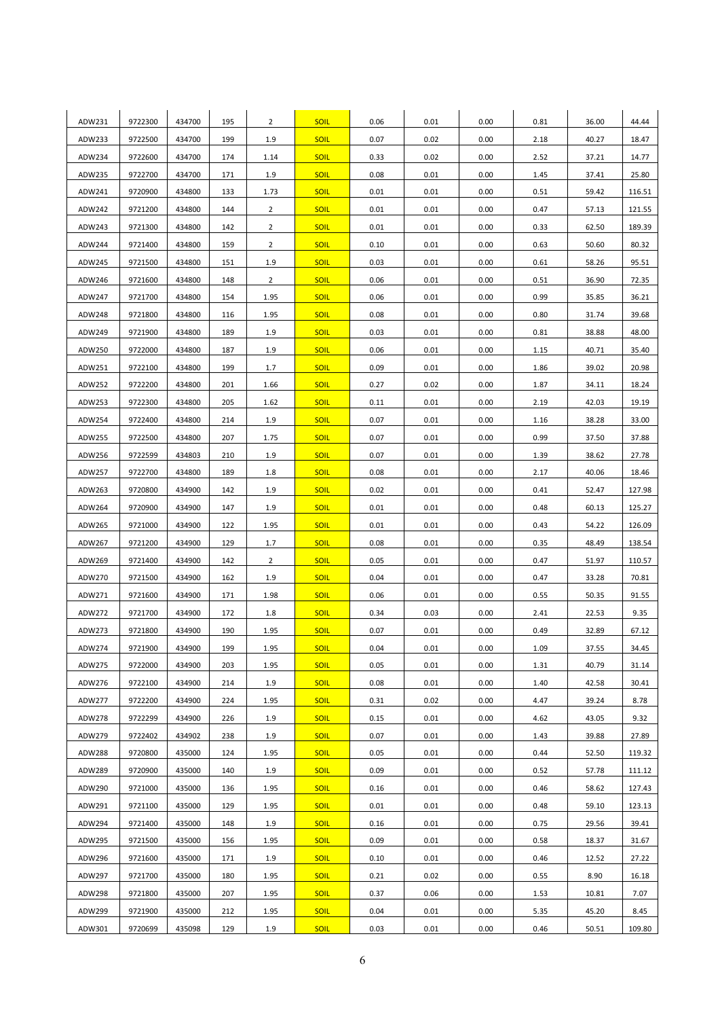| ADW231        | 9722300 | 434700 | 195 | $\overline{2}$ | <b>SOIL</b> | 0.06 | 0.01 | 0.00 | 0.81 | 36.00 | 44.44  |
|---------------|---------|--------|-----|----------------|-------------|------|------|------|------|-------|--------|
| ADW233        | 9722500 | 434700 | 199 | 1.9            | <b>SOIL</b> | 0.07 | 0.02 | 0.00 | 2.18 | 40.27 | 18.47  |
| ADW234        | 9722600 | 434700 | 174 | 1.14           | <b>SOIL</b> | 0.33 | 0.02 | 0.00 | 2.52 | 37.21 | 14.77  |
| ADW235        | 9722700 | 434700 | 171 | 1.9            | <b>SOIL</b> | 0.08 | 0.01 | 0.00 | 1.45 | 37.41 | 25.80  |
| ADW241        | 9720900 | 434800 | 133 | 1.73           | <b>SOIL</b> | 0.01 | 0.01 | 0.00 | 0.51 | 59.42 | 116.51 |
| ADW242        | 9721200 | 434800 | 144 | $\overline{2}$ | <b>SOIL</b> | 0.01 | 0.01 | 0.00 | 0.47 | 57.13 | 121.55 |
| ADW243        | 9721300 | 434800 | 142 | $\overline{2}$ | <b>SOIL</b> | 0.01 | 0.01 | 0.00 | 0.33 | 62.50 | 189.39 |
| ADW244        | 9721400 | 434800 | 159 | $\overline{2}$ | <b>SOIL</b> | 0.10 | 0.01 | 0.00 | 0.63 | 50.60 | 80.32  |
| ADW245        | 9721500 | 434800 | 151 | 1.9            | <b>SOIL</b> | 0.03 | 0.01 | 0.00 | 0.61 | 58.26 | 95.51  |
| ADW246        | 9721600 | 434800 | 148 | $\overline{2}$ | <b>SOIL</b> | 0.06 | 0.01 | 0.00 | 0.51 | 36.90 | 72.35  |
| ADW247        | 9721700 | 434800 | 154 | 1.95           | <b>SOIL</b> | 0.06 | 0.01 | 0.00 | 0.99 | 35.85 | 36.21  |
| ADW248        | 9721800 | 434800 | 116 | 1.95           | <b>SOIL</b> | 0.08 | 0.01 | 0.00 | 0.80 | 31.74 | 39.68  |
| ADW249        | 9721900 | 434800 | 189 | 1.9            | <b>SOIL</b> | 0.03 | 0.01 | 0.00 | 0.81 | 38.88 | 48.00  |
| ADW250        | 9722000 | 434800 | 187 | 1.9            | <b>SOIL</b> | 0.06 | 0.01 | 0.00 | 1.15 | 40.71 | 35.40  |
| ADW251        | 9722100 | 434800 | 199 | 1.7            | <b>SOIL</b> | 0.09 | 0.01 | 0.00 | 1.86 | 39.02 | 20.98  |
| ADW252        | 9722200 | 434800 | 201 | 1.66           | <b>SOIL</b> | 0.27 | 0.02 | 0.00 | 1.87 | 34.11 | 18.24  |
| ADW253        | 9722300 | 434800 | 205 | 1.62           | <b>SOIL</b> | 0.11 | 0.01 | 0.00 | 2.19 | 42.03 | 19.19  |
| ADW254        | 9722400 | 434800 | 214 | 1.9            | <b>SOIL</b> | 0.07 | 0.01 | 0.00 | 1.16 | 38.28 | 33.00  |
| ADW255        | 9722500 | 434800 | 207 | 1.75           | <b>SOIL</b> | 0.07 | 0.01 | 0.00 | 0.99 | 37.50 | 37.88  |
| ADW256        | 9722599 | 434803 | 210 | 1.9            | <b>SOIL</b> | 0.07 | 0.01 | 0.00 | 1.39 | 38.62 | 27.78  |
| ADW257        | 9722700 | 434800 | 189 | 1.8            | <b>SOIL</b> | 0.08 | 0.01 | 0.00 | 2.17 | 40.06 | 18.46  |
| ADW263        | 9720800 | 434900 | 142 | 1.9            | <b>SOIL</b> | 0.02 | 0.01 | 0.00 | 0.41 | 52.47 | 127.98 |
| ADW264        | 9720900 | 434900 | 147 | 1.9            | <b>SOIL</b> | 0.01 | 0.01 | 0.00 | 0.48 | 60.13 | 125.27 |
| ADW265        | 9721000 | 434900 | 122 | 1.95           | <b>SOIL</b> | 0.01 | 0.01 | 0.00 | 0.43 | 54.22 | 126.09 |
| ADW267        | 9721200 | 434900 | 129 | 1.7            | <b>SOIL</b> | 0.08 | 0.01 | 0.00 | 0.35 | 48.49 | 138.54 |
| ADW269        | 9721400 | 434900 | 142 | $\overline{2}$ | <b>SOIL</b> | 0.05 | 0.01 | 0.00 | 0.47 | 51.97 | 110.57 |
| ADW270        | 9721500 | 434900 | 162 | 1.9            | <b>SOIL</b> | 0.04 | 0.01 | 0.00 | 0.47 | 33.28 | 70.81  |
| ADW271        | 9721600 | 434900 | 171 | 1.98           | <b>SOIL</b> | 0.06 | 0.01 | 0.00 | 0.55 | 50.35 | 91.55  |
| ADW272        | 9721700 | 434900 | 172 | 1.8            | <b>SOIL</b> | 0.34 | 0.03 | 0.00 | 2.41 | 22.53 | 9.35   |
| ADW273        | 9721800 | 434900 | 190 | 1.95           | <b>SOIL</b> | 0.07 | 0.01 | 0.00 | 0.49 | 32.89 | 67.12  |
| ADW274        | 9721900 | 434900 | 199 | 1.95           | <b>SOIL</b> | 0.04 | 0.01 | 0.00 | 1.09 | 37.55 | 34.45  |
| ADW275        | 9722000 | 434900 | 203 | 1.95           | <b>SOIL</b> | 0.05 | 0.01 | 0.00 | 1.31 | 40.79 | 31.14  |
| ADW276        | 9722100 | 434900 | 214 | 1.9            | <b>SOIL</b> | 0.08 | 0.01 | 0.00 | 1.40 | 42.58 | 30.41  |
| ADW277        | 9722200 | 434900 | 224 | 1.95           | <b>SOIL</b> | 0.31 | 0.02 | 0.00 | 4.47 | 39.24 | 8.78   |
| ADW278        | 9722299 | 434900 | 226 | 1.9            | <b>SOIL</b> | 0.15 | 0.01 | 0.00 | 4.62 | 43.05 | 9.32   |
| ADW279        | 9722402 | 434902 | 238 | 1.9            | <b>SOIL</b> | 0.07 | 0.01 | 0.00 | 1.43 | 39.88 | 27.89  |
| <b>ADW288</b> | 9720800 | 435000 | 124 | 1.95           | <b>SOIL</b> | 0.05 | 0.01 | 0.00 | 0.44 | 52.50 | 119.32 |
| ADW289        | 9720900 | 435000 | 140 | 1.9            | <b>SOIL</b> | 0.09 | 0.01 | 0.00 | 0.52 | 57.78 | 111.12 |
| ADW290        | 9721000 | 435000 | 136 | 1.95           | <b>SOIL</b> | 0.16 | 0.01 | 0.00 | 0.46 | 58.62 | 127.43 |
| ADW291        | 9721100 | 435000 | 129 | 1.95           | <b>SOIL</b> | 0.01 | 0.01 | 0.00 | 0.48 | 59.10 | 123.13 |
| ADW294        | 9721400 | 435000 | 148 | 1.9            | <b>SOIL</b> | 0.16 | 0.01 | 0.00 | 0.75 | 29.56 | 39.41  |
| ADW295        | 9721500 | 435000 | 156 | 1.95           | <b>SOIL</b> | 0.09 | 0.01 | 0.00 | 0.58 | 18.37 | 31.67  |
| ADW296        | 9721600 | 435000 | 171 | 1.9            | <b>SOIL</b> | 0.10 | 0.01 | 0.00 | 0.46 | 12.52 | 27.22  |
| ADW297        | 9721700 | 435000 | 180 | 1.95           | <b>SOIL</b> | 0.21 | 0.02 | 0.00 | 0.55 | 8.90  | 16.18  |
| ADW298        | 9721800 | 435000 | 207 | 1.95           | <b>SOIL</b> | 0.37 | 0.06 | 0.00 | 1.53 | 10.81 | 7.07   |
| ADW299        | 9721900 | 435000 | 212 | 1.95           | <b>SOIL</b> | 0.04 | 0.01 | 0.00 | 5.35 | 45.20 | 8.45   |
| ADW301        | 9720699 | 435098 | 129 | 1.9            | <b>SOIL</b> | 0.03 | 0.01 | 0.00 | 0.46 | 50.51 | 109.80 |
|               |         |        |     |                |             |      |      |      |      |       |        |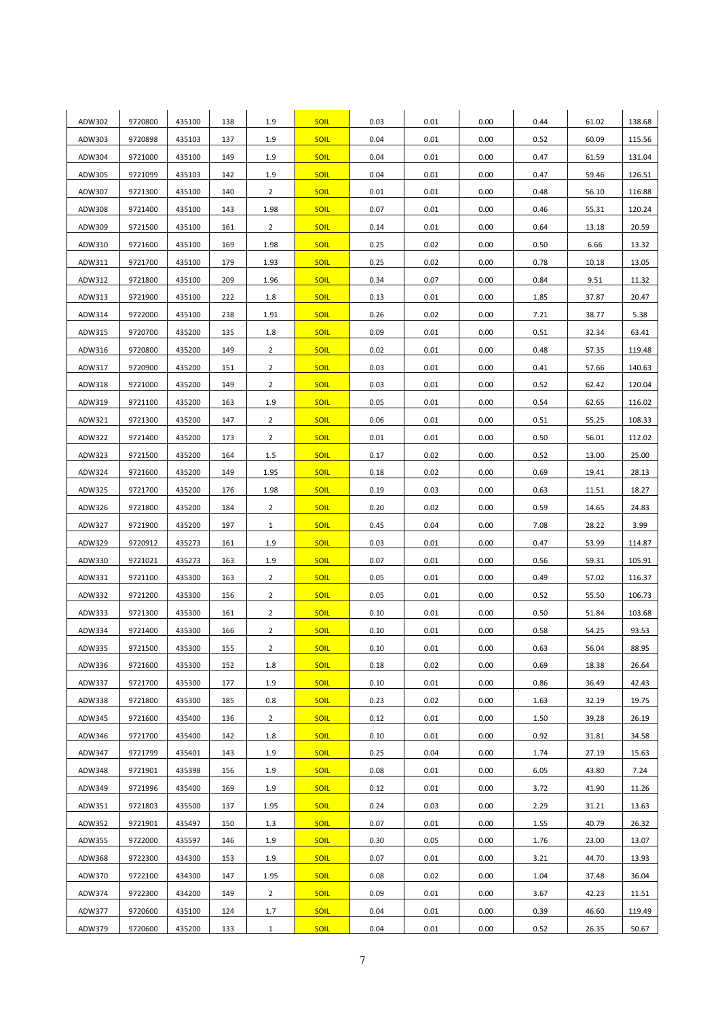| ADW302 | 9720800            | 435100 | 138 | 1.9            | <b>SOIL</b> | 0.03 | 0.01 | 0.00 | 0.44 | 61.02 | 138.68 |
|--------|--------------------|--------|-----|----------------|-------------|------|------|------|------|-------|--------|
| ADW303 | 9720898            | 435103 | 137 | 1.9            | <b>SOIL</b> | 0.04 | 0.01 | 0.00 | 0.52 | 60.09 | 115.56 |
| ADW304 | 9721000            | 435100 | 149 | 1.9            | <b>SOIL</b> | 0.04 | 0.01 | 0.00 | 0.47 | 61.59 | 131.04 |
| ADW305 | 9721099            | 435103 | 142 | 1.9            | <b>SOIL</b> | 0.04 | 0.01 | 0.00 | 0.47 | 59.46 | 126.51 |
| ADW307 | 9721300            | 435100 | 140 | $\overline{2}$ | <b>SOIL</b> | 0.01 | 0.01 | 0.00 | 0.48 | 56.10 | 116.88 |
| ADW308 | 9721400            | 435100 | 143 | 1.98           | <b>SOIL</b> | 0.07 | 0.01 | 0.00 | 0.46 | 55.31 | 120.24 |
| ADW309 | 9721500            | 435100 | 161 | $\overline{2}$ | <b>SOIL</b> | 0.14 | 0.01 | 0.00 | 0.64 | 13.18 | 20.59  |
| ADW310 | 9721600            | 435100 | 169 | 1.98           | <b>SOIL</b> | 0.25 | 0.02 | 0.00 | 0.50 | 6.66  | 13.32  |
| ADW311 | 9721700            | 435100 | 179 | 1.93           | <b>SOIL</b> | 0.25 | 0.02 | 0.00 | 0.78 | 10.18 | 13.05  |
| ADW312 | 9721800            | 435100 | 209 | 1.96           | <b>SOIL</b> | 0.34 | 0.07 | 0.00 | 0.84 | 9.51  | 11.32  |
| ADW313 | 9721900            | 435100 | 222 | 1.8            | <b>SOIL</b> | 0.13 | 0.01 | 0.00 | 1.85 | 37.87 | 20.47  |
| ADW314 | 9722000            | 435100 | 238 | 1.91           | <b>SOIL</b> | 0.26 | 0.02 | 0.00 | 7.21 | 38.77 | 5.38   |
| ADW315 | 9720700            | 435200 | 135 | 1.8            | <b>SOIL</b> | 0.09 | 0.01 | 0.00 | 0.51 | 32.34 | 63.41  |
| ADW316 | 9720800            | 435200 | 149 | $\overline{2}$ | <b>SOIL</b> | 0.02 | 0.01 | 0.00 | 0.48 | 57.35 | 119.48 |
| ADW317 | 9720900            | 435200 | 151 | $\overline{2}$ | <b>SOIL</b> | 0.03 | 0.01 | 0.00 | 0.41 | 57.66 | 140.63 |
| ADW318 | 9721000            | 435200 | 149 | $\overline{2}$ | <b>SOIL</b> | 0.03 | 0.01 | 0.00 | 0.52 | 62.42 | 120.04 |
| ADW319 | 9721100            | 435200 | 163 | 1.9            | <b>SOIL</b> | 0.05 | 0.01 | 0.00 | 0.54 | 62.65 | 116.02 |
| ADW321 | 9721300            | 435200 | 147 | $\overline{2}$ | <b>SOIL</b> | 0.06 | 0.01 | 0.00 | 0.51 | 55.25 | 108.33 |
| ADW322 | 9721400            | 435200 | 173 | $\overline{2}$ | <b>SOIL</b> | 0.01 | 0.01 | 0.00 | 0.50 | 56.01 | 112.02 |
| ADW323 | 9721500            | 435200 | 164 | 1.5            | <b>SOIL</b> | 0.17 | 0.02 | 0.00 | 0.52 | 13.00 | 25.00  |
| ADW324 | 9721600            | 435200 | 149 | 1.95           | <b>SOIL</b> | 0.18 | 0.02 | 0.00 | 0.69 | 19.41 | 28.13  |
| ADW325 | 9721700            | 435200 | 176 | 1.98           | <b>SOIL</b> | 0.19 | 0.03 | 0.00 | 0.63 | 11.51 | 18.27  |
| ADW326 | 9721800            | 435200 | 184 | $\overline{2}$ | <b>SOIL</b> | 0.20 | 0.02 | 0.00 | 0.59 | 14.65 | 24.83  |
| ADW327 | 9721900            | 435200 | 197 | $\mathbf{1}$   | <b>SOIL</b> | 0.45 | 0.04 | 0.00 | 7.08 | 28.22 | 3.99   |
| ADW329 | 9720912            | 435273 | 161 | 1.9            | <b>SOIL</b> | 0.03 | 0.01 | 0.00 | 0.47 | 53.99 | 114.87 |
| ADW330 | 9721021            | 435273 | 163 | 1.9            | <b>SOIL</b> | 0.07 | 0.01 | 0.00 | 0.56 | 59.31 | 105.91 |
| ADW331 | 9721100            | 435300 | 163 | $\overline{2}$ | <b>SOIL</b> | 0.05 | 0.01 | 0.00 | 0.49 | 57.02 | 116.37 |
| ADW332 | 9721200            | 435300 | 156 | $\overline{2}$ | <b>SOIL</b> | 0.05 | 0.01 | 0.00 | 0.52 | 55.50 | 106.73 |
| ADW333 | 9721300            | 435300 | 161 | $\overline{2}$ | <b>SOIL</b> | 0.10 | 0.01 | 0.00 | 0.50 | 51.84 | 103.68 |
| ADW334 | 9721400            | 435300 | 166 | $\overline{2}$ | <b>SOIL</b> | 0.10 | 0.01 | 0.00 | 0.58 | 54.25 | 93.53  |
| ADW335 | 9721500            | 435300 | 155 | $\overline{2}$ | <b>SOIL</b> | 0.10 | 0.01 | 0.00 | 0.63 | 56.04 | 88.95  |
| ADW336 | 9721600            | 435300 | 152 | 1.8            | SOIL        | 0.18 | 0.02 | 0.00 | 0.69 | 18.38 | 26.64  |
| ADW337 | 9721700            | 435300 | 177 | 1.9            | <b>SOIL</b> | 0.10 | 0.01 | 0.00 | 0.86 | 36.49 | 42.43  |
| ADW338 | 9721800            | 435300 | 185 | 0.8            | <b>SOIL</b> | 0.23 | 0.02 | 0.00 | 1.63 | 32.19 | 19.75  |
| ADW345 | 9721600            | 435400 | 136 | $\overline{2}$ | <b>SOIL</b> | 0.12 | 0.01 | 0.00 | 1.50 | 39.28 | 26.19  |
| ADW346 | 9721700            | 435400 | 142 | 1.8            | <b>SOIL</b> | 0.10 | 0.01 | 0.00 | 0.92 | 31.81 | 34.58  |
| ADW347 | 9721799            | 435401 | 143 | 1.9            | <b>SOIL</b> | 0.25 | 0.04 | 0.00 | 1.74 | 27.19 | 15.63  |
| ADW348 | 9721901            | 435398 |     | 1.9            | <b>SOIL</b> | 0.08 | 0.01 | 0.00 | 6.05 | 43.80 | 7.24   |
|        |                    |        | 156 |                |             |      |      |      |      |       |        |
| ADW349 | 9721996<br>9721803 | 435400 | 169 | 1.9            | <b>SOIL</b> | 0.12 | 0.01 | 0.00 | 3.72 | 41.90 | 11.26  |
| ADW351 |                    | 435500 | 137 | 1.95           | <b>SOIL</b> | 0.24 | 0.03 | 0.00 | 2.29 | 31.21 | 13.63  |
| ADW352 | 9721901            | 435497 | 150 | 1.3            | <b>SOIL</b> | 0.07 | 0.01 | 0.00 | 1.55 | 40.79 | 26.32  |
| ADW355 | 9722000            | 435597 | 146 | 1.9            | <b>SOIL</b> | 0.30 | 0.05 | 0.00 | 1.76 | 23.00 | 13.07  |
| ADW368 | 9722300            | 434300 | 153 | 1.9            | <b>SOIL</b> | 0.07 | 0.01 | 0.00 | 3.21 | 44.70 | 13.93  |
| ADW370 | 9722100            | 434300 | 147 | 1.95           | <b>SOIL</b> | 0.08 | 0.02 | 0.00 | 1.04 | 37.48 | 36.04  |
| ADW374 | 9722300            | 434200 | 149 | $\overline{2}$ | <b>SOIL</b> | 0.09 | 0.01 | 0.00 | 3.67 | 42.23 | 11.51  |
| ADW377 | 9720600            | 435100 | 124 | 1.7            | <b>SOIL</b> | 0.04 | 0.01 | 0.00 | 0.39 | 46.60 | 119.49 |
| ADW379 | 9720600            | 435200 | 133 | $\mathbf{1}$   | <b>SOIL</b> | 0.04 | 0.01 | 0.00 | 0.52 | 26.35 | 50.67  |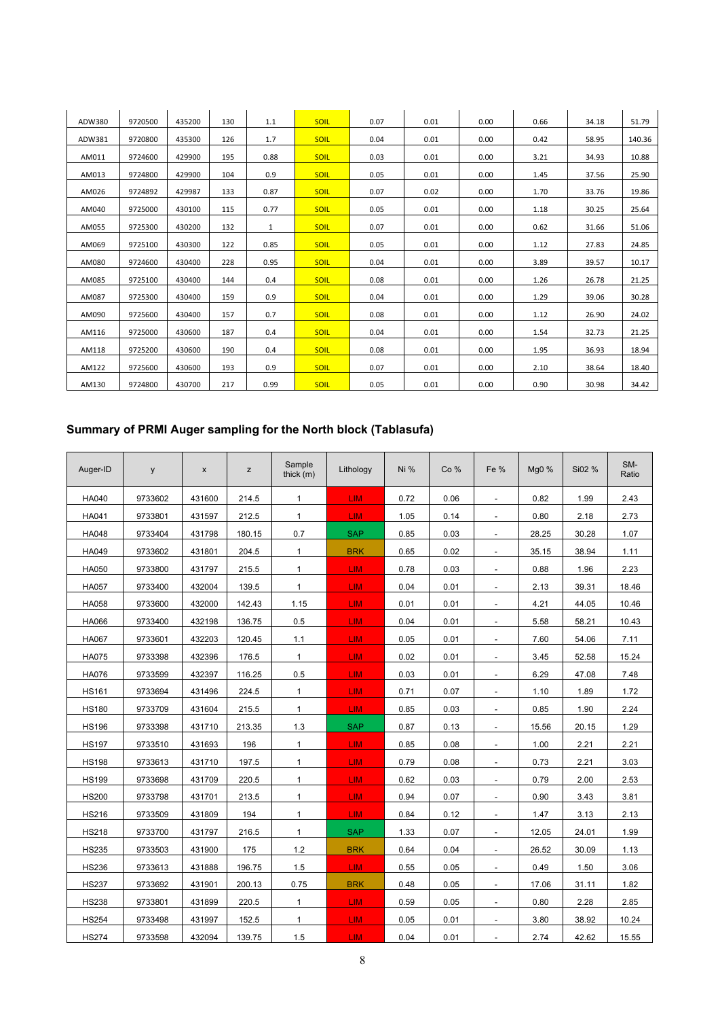| ADW380 | 9720500 | 435200 | 130 | 1.1          | <b>SOIL</b> | 0.07 | 0.01 | 0.00 | 0.66 | 34.18 | 51.79  |
|--------|---------|--------|-----|--------------|-------------|------|------|------|------|-------|--------|
| ADW381 | 9720800 | 435300 | 126 | 1.7          | <b>SOIL</b> | 0.04 | 0.01 | 0.00 | 0.42 | 58.95 | 140.36 |
| AM011  | 9724600 | 429900 | 195 | 0.88         | <b>SOIL</b> | 0.03 | 0.01 | 0.00 | 3.21 | 34.93 | 10.88  |
| AM013  | 9724800 | 429900 | 104 | 0.9          | <b>SOIL</b> | 0.05 | 0.01 | 0.00 | 1.45 | 37.56 | 25.90  |
| AM026  | 9724892 | 429987 | 133 | 0.87         | <b>SOIL</b> | 0.07 | 0.02 | 0.00 | 1.70 | 33.76 | 19.86  |
| AM040  | 9725000 | 430100 | 115 | 0.77         | <b>SOIL</b> | 0.05 | 0.01 | 0.00 | 1.18 | 30.25 | 25.64  |
| AM055  | 9725300 | 430200 | 132 | $\mathbf{1}$ | <b>SOIL</b> | 0.07 | 0.01 | 0.00 | 0.62 | 31.66 | 51.06  |
| AM069  | 9725100 | 430300 | 122 | 0.85         | <b>SOIL</b> | 0.05 | 0.01 | 0.00 | 1.12 | 27.83 | 24.85  |
| AM080  | 9724600 | 430400 | 228 | 0.95         | <b>SOIL</b> | 0.04 | 0.01 | 0.00 | 3.89 | 39.57 | 10.17  |
| AM085  | 9725100 | 430400 | 144 | 0.4          | <b>SOIL</b> | 0.08 | 0.01 | 0.00 | 1.26 | 26.78 | 21.25  |
| AM087  | 9725300 | 430400 | 159 | 0.9          | <b>SOIL</b> | 0.04 | 0.01 | 0.00 | 1.29 | 39.06 | 30.28  |
| AM090  | 9725600 | 430400 | 157 | 0.7          | <b>SOIL</b> | 0.08 | 0.01 | 0.00 | 1.12 | 26.90 | 24.02  |
| AM116  | 9725000 | 430600 | 187 | 0.4          | <b>SOIL</b> | 0.04 | 0.01 | 0.00 | 1.54 | 32.73 | 21.25  |
| AM118  | 9725200 | 430600 | 190 | 0.4          | <b>SOIL</b> | 0.08 | 0.01 | 0.00 | 1.95 | 36.93 | 18.94  |
| AM122  | 9725600 | 430600 | 193 | 0.9          | <b>SOIL</b> | 0.07 | 0.01 | 0.00 | 2.10 | 38.64 | 18.40  |
| AM130  | 9724800 | 430700 | 217 | 0.99         | <b>SOIL</b> | 0.05 | 0.01 | 0.00 | 0.90 | 30.98 | 34.42  |

## **Summary of PRMI Auger sampling for the North block (Tablasufa)**

| Auger-ID     | y       | X      | z      | Sample<br>thick $(m)$ | Lithology  | Ni % | Co%  | Fe $%$                   | Mg0 % | Si02 % | SM-<br>Ratio |
|--------------|---------|--------|--------|-----------------------|------------|------|------|--------------------------|-------|--------|--------------|
| <b>HA040</b> | 9733602 | 431600 | 214.5  | $\mathbf{1}$          | <b>LIM</b> | 0.72 | 0.06 | $\overline{\phantom{a}}$ | 0.82  | 1.99   | 2.43         |
| HA041        | 9733801 | 431597 | 212.5  | 1                     | <b>LIM</b> | 1.05 | 0.14 |                          | 0.80  | 2.18   | 2.73         |
| HA048        | 9733404 | 431798 | 180.15 | 0.7                   | <b>SAP</b> | 0.85 | 0.03 | $\overline{\phantom{a}}$ | 28.25 | 30.28  | 1.07         |
| HA049        | 9733602 | 431801 | 204.5  | $\mathbf{1}$          | <b>BRK</b> | 0.65 | 0.02 | $\overline{\phantom{a}}$ | 35.15 | 38.94  | 1.11         |
| HA050        | 9733800 | 431797 | 215.5  | $\mathbf{1}$          | <b>LIM</b> | 0.78 | 0.03 |                          | 0.88  | 1.96   | 2.23         |
| <b>HA057</b> | 9733400 | 432004 | 139.5  | $\mathbf{1}$          | <b>LIM</b> | 0.04 | 0.01 | $\blacksquare$           | 2.13  | 39.31  | 18.46        |
| HA058        | 9733600 | 432000 | 142.43 | 1.15                  | <b>LIM</b> | 0.01 | 0.01 | $\overline{\phantom{a}}$ | 4.21  | 44.05  | 10.46        |
| HA066        | 9733400 | 432198 | 136.75 | 0.5                   | <b>LIM</b> | 0.04 | 0.01 |                          | 5.58  | 58.21  | 10.43        |
| <b>HA067</b> | 9733601 | 432203 | 120.45 | 1.1                   | <b>LIM</b> | 0.05 | 0.01 | $\blacksquare$           | 7.60  | 54.06  | 7.11         |
| <b>HA075</b> | 9733398 | 432396 | 176.5  | $\mathbf{1}$          | LIM.       | 0.02 | 0.01 | $\overline{\phantom{a}}$ | 3.45  | 52.58  | 15.24        |
| <b>HA076</b> | 9733599 | 432397 | 116.25 | 0.5                   | <b>LIM</b> | 0.03 | 0.01 | $\blacksquare$           | 6.29  | 47.08  | 7.48         |
| <b>HS161</b> | 9733694 | 431496 | 224.5  | $\mathbf{1}$          | <b>LIM</b> | 0.71 | 0.07 | $\blacksquare$           | 1.10  | 1.89   | 1.72         |
| <b>HS180</b> | 9733709 | 431604 | 215.5  | 1                     | LIM.       | 0.85 | 0.03 | $\overline{\phantom{a}}$ | 0.85  | 1.90   | 2.24         |
| <b>HS196</b> | 9733398 | 431710 | 213.35 | 1.3                   | <b>SAP</b> | 0.87 | 0.13 | $\overline{a}$           | 15.56 | 20.15  | 1.29         |
| <b>HS197</b> | 9733510 | 431693 | 196    | $\mathbf{1}$          | <b>LIM</b> | 0.85 | 0.08 | $\blacksquare$           | 1.00  | 2.21   | 2.21         |
| <b>HS198</b> | 9733613 | 431710 | 197.5  | 1                     | LIM.       | 0.79 | 0.08 | $\overline{\phantom{a}}$ | 0.73  | 2.21   | 3.03         |
| <b>HS199</b> | 9733698 | 431709 | 220.5  | $\mathbf{1}$          | <b>LIM</b> | 0.62 | 0.03 | $\overline{a}$           | 0.79  | 2.00   | 2.53         |
| <b>HS200</b> | 9733798 | 431701 | 213.5  | $\mathbf{1}$          | LIM.       | 0.94 | 0.07 |                          | 0.90  | 3.43   | 3.81         |
| <b>HS216</b> | 9733509 | 431809 | 194    | 1                     | LIM.       | 0.84 | 0.12 | $\overline{\phantom{a}}$ | 1.47  | 3.13   | 2.13         |
| <b>HS218</b> | 9733700 | 431797 | 216.5  | $\mathbf{1}$          | <b>SAP</b> | 1.33 | 0.07 |                          | 12.05 | 24.01  | 1.99         |
| <b>HS235</b> | 9733503 | 431900 | 175    | 1.2                   | <b>BRK</b> | 0.64 | 0.04 | $\overline{\phantom{a}}$ | 26.52 | 30.09  | 1.13         |
| <b>HS236</b> | 9733613 | 431888 | 196.75 | 1.5                   | <b>LIM</b> | 0.55 | 0.05 | $\overline{\phantom{a}}$ | 0.49  | 1.50   | 3.06         |
| <b>HS237</b> | 9733692 | 431901 | 200.13 | 0.75                  | <b>BRK</b> | 0.48 | 0.05 | $\overline{\phantom{a}}$ | 17.06 | 31.11  | 1.82         |
| <b>HS238</b> | 9733801 | 431899 | 220.5  | $\mathbf{1}$          | <b>LIM</b> | 0.59 | 0.05 | $\sim$                   | 0.80  | 2.28   | 2.85         |
| <b>HS254</b> | 9733498 | 431997 | 152.5  | $\mathbf{1}$          | <b>LIM</b> | 0.05 | 0.01 | $\overline{\phantom{a}}$ | 3.80  | 38.92  | 10.24        |
| <b>HS274</b> | 9733598 | 432094 | 139.75 | 1.5                   | <b>LIM</b> | 0.04 | 0.01 |                          | 2.74  | 42.62  | 15.55        |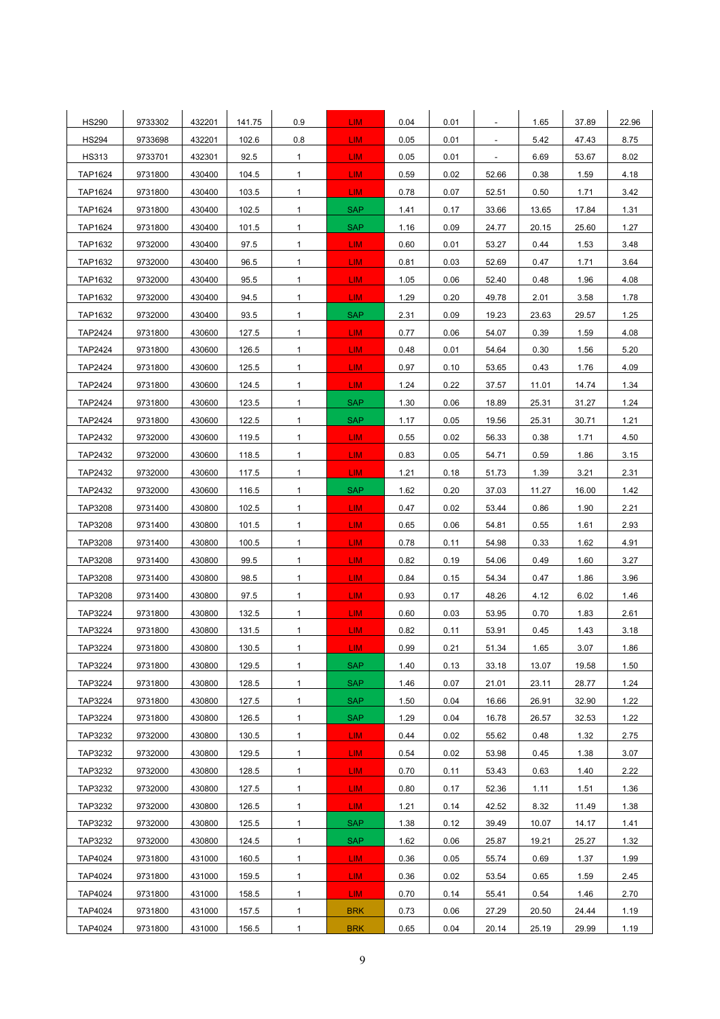| <b>HS290</b>   | 9733302 | 432201 | 141.75 | 0.9          | LIM <sup>1</sup> | 0.04 | 0.01 |                          | 1.65  | 37.89 | 22.96 |
|----------------|---------|--------|--------|--------------|------------------|------|------|--------------------------|-------|-------|-------|
| <b>HS294</b>   | 9733698 | 432201 | 102.6  | 0.8          | LIM.             | 0.05 | 0.01 |                          | 5.42  | 47.43 | 8.75  |
| <b>HS313</b>   | 9733701 | 432301 | 92.5   | $\mathbf{1}$ | LIM.             | 0.05 | 0.01 | $\overline{\phantom{a}}$ | 6.69  | 53.67 | 8.02  |
| TAP1624        | 9731800 | 430400 | 104.5  | $\mathbf{1}$ | LIM.             | 0.59 | 0.02 | 52.66                    | 0.38  | 1.59  | 4.18  |
| TAP1624        | 9731800 | 430400 | 103.5  | $\mathbf{1}$ | LIM-             | 0.78 | 0.07 | 52.51                    | 0.50  | 1.71  | 3.42  |
| TAP1624        | 9731800 | 430400 | 102.5  | $\mathbf{1}$ | <b>SAP</b>       | 1.41 | 0.17 | 33.66                    | 13.65 | 17.84 | 1.31  |
| TAP1624        | 9731800 | 430400 | 101.5  | $\mathbf{1}$ | <b>SAP</b>       | 1.16 | 0.09 | 24.77                    | 20.15 | 25.60 | 1.27  |
| TAP1632        | 9732000 | 430400 | 97.5   | $\mathbf{1}$ | LIM.             | 0.60 | 0.01 | 53.27                    | 0.44  | 1.53  | 3.48  |
| TAP1632        | 9732000 | 430400 | 96.5   | $\mathbf{1}$ | LIM.             | 0.81 | 0.03 | 52.69                    | 0.47  | 1.71  | 3.64  |
| TAP1632        | 9732000 | 430400 | 95.5   | $\mathbf{1}$ | LIM.             | 1.05 | 0.06 | 52.40                    | 0.48  | 1.96  | 4.08  |
| TAP1632        | 9732000 | 430400 | 94.5   | $\mathbf{1}$ | LIM.             | 1.29 | 0.20 | 49.78                    | 2.01  | 3.58  | 1.78  |
| TAP1632        | 9732000 | 430400 | 93.5   | $\mathbf{1}$ | <b>SAP</b>       | 2.31 | 0.09 | 19.23                    | 23.63 | 29.57 | 1.25  |
| TAP2424        | 9731800 | 430600 | 127.5  | $\mathbf{1}$ | LIM.             | 0.77 | 0.06 | 54.07                    | 0.39  | 1.59  | 4.08  |
| TAP2424        | 9731800 | 430600 | 126.5  | $\mathbf{1}$ | LIM.             | 0.48 | 0.01 | 54.64                    | 0.30  | 1.56  | 5.20  |
| TAP2424        | 9731800 | 430600 | 125.5  | $\mathbf{1}$ | LIM.             | 0.97 | 0.10 | 53.65                    | 0.43  | 1.76  | 4.09  |
| <b>TAP2424</b> | 9731800 | 430600 | 124.5  | $\mathbf{1}$ | LIM.             | 1.24 | 0.22 | 37.57                    | 11.01 | 14.74 | 1.34  |
| <b>TAP2424</b> | 9731800 | 430600 | 123.5  | $\mathbf{1}$ | <b>SAP</b>       | 1.30 | 0.06 | 18.89                    | 25.31 | 31.27 | 1.24  |
| <b>TAP2424</b> | 9731800 | 430600 | 122.5  | $\mathbf{1}$ | <b>SAP</b>       | 1.17 | 0.05 | 19.56                    | 25.31 | 30.71 | 1.21  |
| TAP2432        | 9732000 | 430600 | 119.5  | $\mathbf{1}$ | LIM.             | 0.55 | 0.02 | 56.33                    | 0.38  | 1.71  | 4.50  |
| TAP2432        | 9732000 | 430600 | 118.5  | $\mathbf{1}$ | LIM.             | 0.83 | 0.05 | 54.71                    | 0.59  | 1.86  | 3.15  |
| TAP2432        | 9732000 | 430600 | 117.5  | $\mathbf{1}$ | LIM-             | 1.21 | 0.18 | 51.73                    | 1.39  | 3.21  | 2.31  |
| TAP2432        | 9732000 | 430600 | 116.5  | $\mathbf{1}$ | <b>SAP</b>       | 1.62 | 0.20 | 37.03                    | 11.27 | 16.00 | 1.42  |
| TAP3208        | 9731400 | 430800 | 102.5  | $\mathbf{1}$ | LIM.             | 0.47 | 0.02 | 53.44                    | 0.86  | 1.90  | 2.21  |
| TAP3208        | 9731400 | 430800 | 101.5  | $\mathbf{1}$ | LIM.             | 0.65 | 0.06 | 54.81                    | 0.55  | 1.61  | 2.93  |
| TAP3208        | 9731400 | 430800 | 100.5  | $\mathbf{1}$ | LIM.             | 0.78 | 0.11 | 54.98                    | 0.33  | 1.62  | 4.91  |
| TAP3208        | 9731400 | 430800 | 99.5   | $\mathbf{1}$ | LIM.             | 0.82 | 0.19 | 54.06                    | 0.49  | 1.60  | 3.27  |
| TAP3208        | 9731400 | 430800 | 98.5   | $\mathbf{1}$ | LIM.             | 0.84 | 0.15 | 54.34                    | 0.47  | 1.86  | 3.96  |
| TAP3208        | 9731400 | 430800 | 97.5   | $\mathbf{1}$ | LIM.             | 0.93 | 0.17 | 48.26                    | 4.12  | 6.02  | 1.46  |
| TAP3224        | 9731800 | 430800 | 132.5  | $\mathbf{1}$ | LIM.             | 0.60 | 0.03 | 53.95                    | 0.70  | 1.83  | 2.61  |
| TAP3224        | 9731800 | 430800 | 131.5  | $\mathbf{1}$ | LIM <sub></sub>  | 0.82 | 0.11 | 53.91                    | 0.45  | 1.43  | 3.18  |
| TAP3224        | 9731800 | 430800 | 130.5  | 1            | LIM.             | 0.99 | 0.21 | 51.34                    | 1.65  | 3.07  | 1.86  |
| TAP3224        | 9731800 | 430800 | 129.5  | $\mathbf{1}$ | <b>SAP</b>       | 1.40 | 0.13 | 33.18                    | 13.07 | 19.58 | 1.50  |
| TAP3224        | 9731800 | 430800 | 128.5  | $\mathbf{1}$ | <b>SAP</b>       | 1.46 | 0.07 | 21.01                    | 23.11 | 28.77 | 1.24  |
| TAP3224        | 9731800 | 430800 | 127.5  | $\mathbf{1}$ | <b>SAP</b>       | 1.50 | 0.04 | 16.66                    | 26.91 | 32.90 | 1.22  |
| TAP3224        | 9731800 | 430800 | 126.5  | $\mathbf{1}$ | <b>SAP</b>       | 1.29 | 0.04 | 16.78                    | 26.57 | 32.53 | 1.22  |
| TAP3232        | 9732000 | 430800 | 130.5  | $\mathbf{1}$ | LIM-             | 0.44 | 0.02 | 55.62                    | 0.48  | 1.32  | 2.75  |
| TAP3232        | 9732000 | 430800 | 129.5  | $\mathbf{1}$ | LIM.             | 0.54 | 0.02 | 53.98                    | 0.45  | 1.38  | 3.07  |
| TAP3232        | 9732000 | 430800 | 128.5  | $\mathbf{1}$ | LIM.             | 0.70 | 0.11 | 53.43                    | 0.63  | 1.40  | 2.22  |
| TAP3232        | 9732000 | 430800 | 127.5  | $\mathbf{1}$ | LIM.             | 0.80 | 0.17 | 52.36                    | 1.11  | 1.51  | 1.36  |
| TAP3232        | 9732000 | 430800 | 126.5  | $\mathbf{1}$ | LIM.             | 1.21 | 0.14 | 42.52                    | 8.32  | 11.49 | 1.38  |
| TAP3232        | 9732000 | 430800 | 125.5  | $\mathbf{1}$ | <b>SAP</b>       | 1.38 | 0.12 | 39.49                    | 10.07 | 14.17 | 1.41  |
| TAP3232        | 9732000 | 430800 | 124.5  | $\mathbf{1}$ | <b>SAP</b>       | 1.62 | 0.06 | 25.87                    | 19.21 | 25.27 | 1.32  |
| TAP4024        | 9731800 | 431000 | 160.5  | $\mathbf{1}$ | LIM <sub></sub>  | 0.36 | 0.05 | 55.74                    | 0.69  | 1.37  | 1.99  |
| TAP4024        | 9731800 | 431000 | 159.5  | $\mathbf{1}$ | LIM.             | 0.36 | 0.02 | 53.54                    | 0.65  | 1.59  | 2.45  |
| TAP4024        | 9731800 | 431000 | 158.5  | $\mathbf{1}$ | LIM.             | 0.70 | 0.14 | 55.41                    | 0.54  | 1.46  | 2.70  |
| TAP4024        | 9731800 | 431000 | 157.5  | $\mathbf{1}$ | <b>BRK</b>       | 0.73 | 0.06 | 27.29                    | 20.50 | 24.44 | 1.19  |
| TAP4024        | 9731800 | 431000 | 156.5  | $\mathbf{1}$ | <b>BRK</b>       | 0.65 | 0.04 | 20.14                    | 25.19 | 29.99 | 1.19  |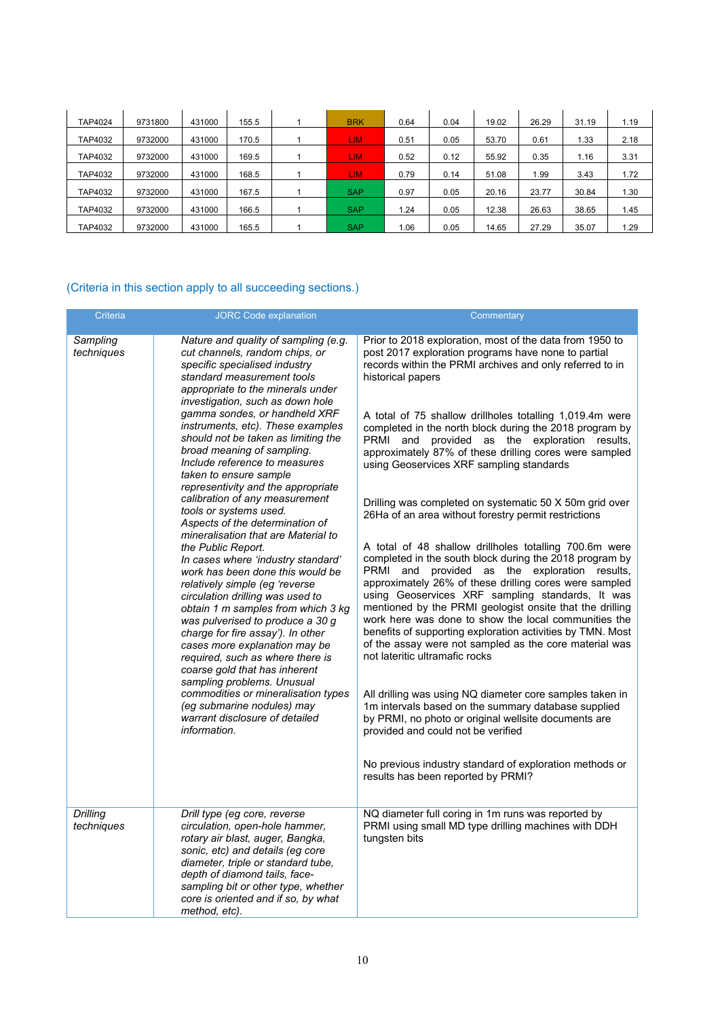| TAP4024 | 9731800 | 431000 | 155.5 | <b>BRK</b> | 0.64 | 0.04 | 19.02 | 26.29 | 31.19 | 1.19 |
|---------|---------|--------|-------|------------|------|------|-------|-------|-------|------|
| TAP4032 | 9732000 | 431000 | 170.5 | <b>LIM</b> | 0.51 | 0.05 | 53.70 | 0.61  | 1.33  | 2.18 |
| TAP4032 | 9732000 | 431000 | 169.5 | <b>LIM</b> | 0.52 | 0.12 | 55.92 | 0.35  | 1.16  | 3.31 |
| TAP4032 | 9732000 | 431000 | 168.5 | <b>LIM</b> | 0.79 | 0.14 | 51.08 | 1.99  | 3.43  | 1.72 |
| TAP4032 | 9732000 | 431000 | 167.5 | <b>SAP</b> | 0.97 | 0.05 | 20.16 | 23.77 | 30.84 | 1.30 |
| TAP4032 | 9732000 | 431000 | 166.5 | <b>SAP</b> | 1.24 | 0.05 | 12.38 | 26.63 | 38.65 | 1.45 |
| TAP4032 | 9732000 | 431000 | 165.5 | <b>SAP</b> | .06  | 0.05 | 14.65 | 27.29 | 35.07 | 1.29 |

### (Criteria in this section apply to all succeeding sections.)

| Criteria               | <b>JORC Code explanation</b>                                                                                                                                                                                                                                                                                                                                                                                          | Commentary                                                                                                                                                                                                                                                                                                                                                                                                                                                                                                                                                     |
|------------------------|-----------------------------------------------------------------------------------------------------------------------------------------------------------------------------------------------------------------------------------------------------------------------------------------------------------------------------------------------------------------------------------------------------------------------|----------------------------------------------------------------------------------------------------------------------------------------------------------------------------------------------------------------------------------------------------------------------------------------------------------------------------------------------------------------------------------------------------------------------------------------------------------------------------------------------------------------------------------------------------------------|
| Sampling<br>techniques | Nature and quality of sampling (e.g.<br>cut channels, random chips, or<br>specific specialised industry<br>standard measurement tools<br>appropriate to the minerals under<br>investigation, such as down hole<br>gamma sondes, or handheld XRF<br>instruments, etc). These examples                                                                                                                                  | Prior to 2018 exploration, most of the data from 1950 to<br>post 2017 exploration programs have none to partial<br>records within the PRMI archives and only referred to in<br>historical papers<br>A total of 75 shallow drillholes totalling 1,019.4m were                                                                                                                                                                                                                                                                                                   |
|                        | should not be taken as limiting the<br>broad meaning of sampling.<br>Include reference to measures<br>taken to ensure sample<br>representivity and the appropriate                                                                                                                                                                                                                                                    | completed in the north block during the 2018 program by<br>PRMI and<br>provided as the exploration results,<br>approximately 87% of these drilling cores were sampled<br>using Geoservices XRF sampling standards                                                                                                                                                                                                                                                                                                                                              |
|                        | calibration of any measurement<br>tools or systems used.<br>Aspects of the determination of<br>mineralisation that are Material to                                                                                                                                                                                                                                                                                    | Drilling was completed on systematic 50 X 50m grid over<br>26Ha of an area without forestry permit restrictions                                                                                                                                                                                                                                                                                                                                                                                                                                                |
|                        | the Public Report.<br>In cases where 'industry standard'<br>work has been done this would be<br>relatively simple (eg 'reverse<br>circulation drilling was used to<br>obtain 1 m samples from which 3 kg<br>was pulverised to produce a 30 g<br>charge for fire assay'). In other<br>cases more explanation may be<br>required, such as where there is<br>coarse gold that has inherent<br>sampling problems. Unusual | A total of 48 shallow drillholes totalling 700.6m were<br>completed in the south block during the 2018 program by<br>PRMI and provided as the exploration results,<br>approximately 26% of these drilling cores were sampled<br>using Geoservices XRF sampling standards, It was<br>mentioned by the PRMI geologist onsite that the drilling<br>work here was done to show the local communities the<br>benefits of supporting exploration activities by TMN. Most<br>of the assay were not sampled as the core material was<br>not lateritic ultramafic rocks |
|                        | commodities or mineralisation types<br>(eg submarine nodules) may<br>warrant disclosure of detailed<br>information.                                                                                                                                                                                                                                                                                                   | All drilling was using NQ diameter core samples taken in<br>1m intervals based on the summary database supplied<br>by PRMI, no photo or original wellsite documents are<br>provided and could not be verified                                                                                                                                                                                                                                                                                                                                                  |
|                        |                                                                                                                                                                                                                                                                                                                                                                                                                       | No previous industry standard of exploration methods or<br>results has been reported by PRMI?                                                                                                                                                                                                                                                                                                                                                                                                                                                                  |
| Drilling<br>techniques | Drill type (eg core, reverse<br>circulation, open-hole hammer,<br>rotary air blast, auger, Bangka,<br>sonic, etc) and details (eg core<br>diameter, triple or standard tube,<br>depth of diamond tails, face-<br>sampling bit or other type, whether<br>core is oriented and if so, by what<br>method, etc).                                                                                                          | NQ diameter full coring in 1m runs was reported by<br>PRMI using small MD type drilling machines with DDH<br>tungsten bits                                                                                                                                                                                                                                                                                                                                                                                                                                     |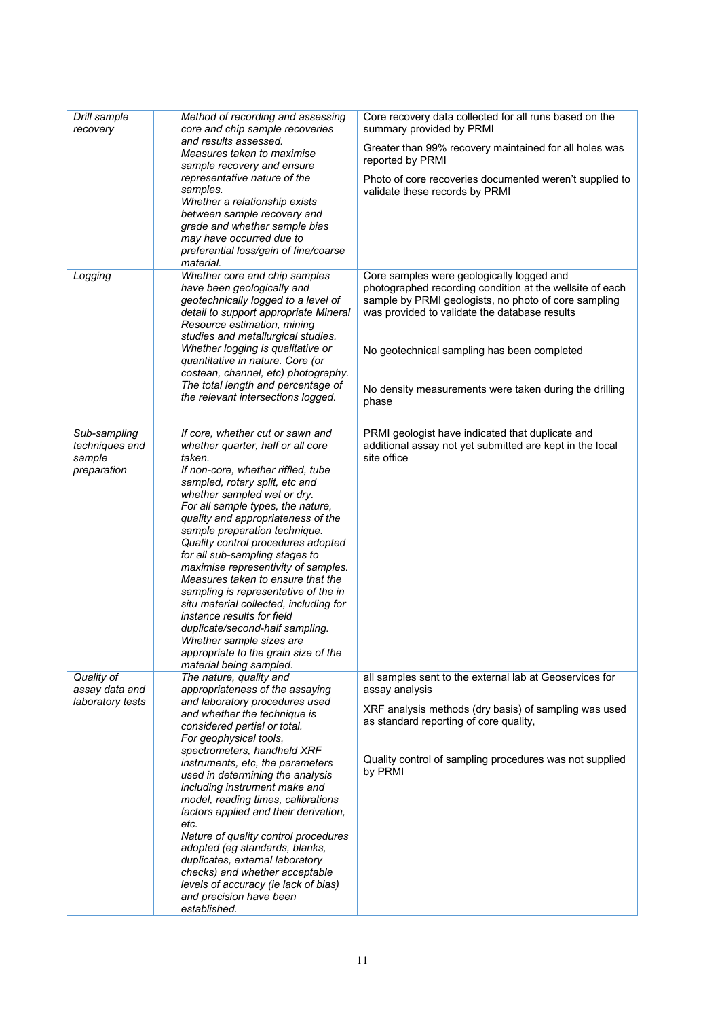| Drill sample<br>recovery                                | Method of recording and assessing<br>core and chip sample recoveries                                                                                                                                                                                                                                                                                                                                                                                                                                                                                                                                                                                                                                     | Core recovery data collected for all runs based on the<br>summary provided by PRMI                                                                                                                                                                 |
|---------------------------------------------------------|----------------------------------------------------------------------------------------------------------------------------------------------------------------------------------------------------------------------------------------------------------------------------------------------------------------------------------------------------------------------------------------------------------------------------------------------------------------------------------------------------------------------------------------------------------------------------------------------------------------------------------------------------------------------------------------------------------|----------------------------------------------------------------------------------------------------------------------------------------------------------------------------------------------------------------------------------------------------|
|                                                         | and results assessed.<br>Measures taken to maximise<br>sample recovery and ensure                                                                                                                                                                                                                                                                                                                                                                                                                                                                                                                                                                                                                        | Greater than 99% recovery maintained for all holes was<br>reported by PRMI                                                                                                                                                                         |
|                                                         | representative nature of the<br>samples.<br>Whether a relationship exists<br>between sample recovery and<br>grade and whether sample bias<br>may have occurred due to<br>preferential loss/gain of fine/coarse<br>material.                                                                                                                                                                                                                                                                                                                                                                                                                                                                              | Photo of core recoveries documented weren't supplied to<br>validate these records by PRMI                                                                                                                                                          |
| Logging                                                 | Whether core and chip samples<br>have been geologically and<br>geotechnically logged to a level of<br>detail to support appropriate Mineral<br>Resource estimation, mining<br>studies and metallurgical studies.<br>Whether logging is qualitative or                                                                                                                                                                                                                                                                                                                                                                                                                                                    | Core samples were geologically logged and<br>photographed recording condition at the wellsite of each<br>sample by PRMI geologists, no photo of core sampling<br>was provided to validate the database results                                     |
|                                                         | quantitative in nature. Core (or<br>costean, channel, etc) photography.<br>The total length and percentage of<br>the relevant intersections logged.                                                                                                                                                                                                                                                                                                                                                                                                                                                                                                                                                      | No geotechnical sampling has been completed<br>No density measurements were taken during the drilling<br>phase                                                                                                                                     |
| Sub-sampling<br>techniques and<br>sample<br>preparation | If core, whether cut or sawn and<br>whether quarter, half or all core<br>taken.<br>If non-core, whether riffled, tube<br>sampled, rotary split, etc and<br>whether sampled wet or dry.<br>For all sample types, the nature,<br>quality and appropriateness of the<br>sample preparation technique.<br>Quality control procedures adopted<br>for all sub-sampling stages to<br>maximise representivity of samples.<br>Measures taken to ensure that the<br>sampling is representative of the in<br>situ material collected, including for<br>instance results for field<br>duplicate/second-half sampling.<br>Whether sample sizes are<br>appropriate to the grain size of the<br>material being sampled. | PRMI geologist have indicated that duplicate and<br>additional assay not yet submitted are kept in the local<br>site office                                                                                                                        |
| Quality of<br>assay data and<br>laboratory tests        | The nature, quality and<br>appropriateness of the assaying<br>and laboratory procedures used<br>and whether the technique is<br>considered partial or total.<br>For geophysical tools,<br>spectrometers, handheld XRF<br>instruments, etc, the parameters<br>used in determining the analysis<br>including instrument make and<br>model, reading times, calibrations<br>factors applied and their derivation,<br>etc.<br>Nature of quality control procedures<br>adopted (eg standards, blanks,<br>duplicates, external laboratory<br>checks) and whether acceptable<br>levels of accuracy (ie lack of bias)<br>and precision have been<br>established.                                                  | all samples sent to the external lab at Geoservices for<br>assay analysis<br>XRF analysis methods (dry basis) of sampling was used<br>as standard reporting of core quality,<br>Quality control of sampling procedures was not supplied<br>by PRMI |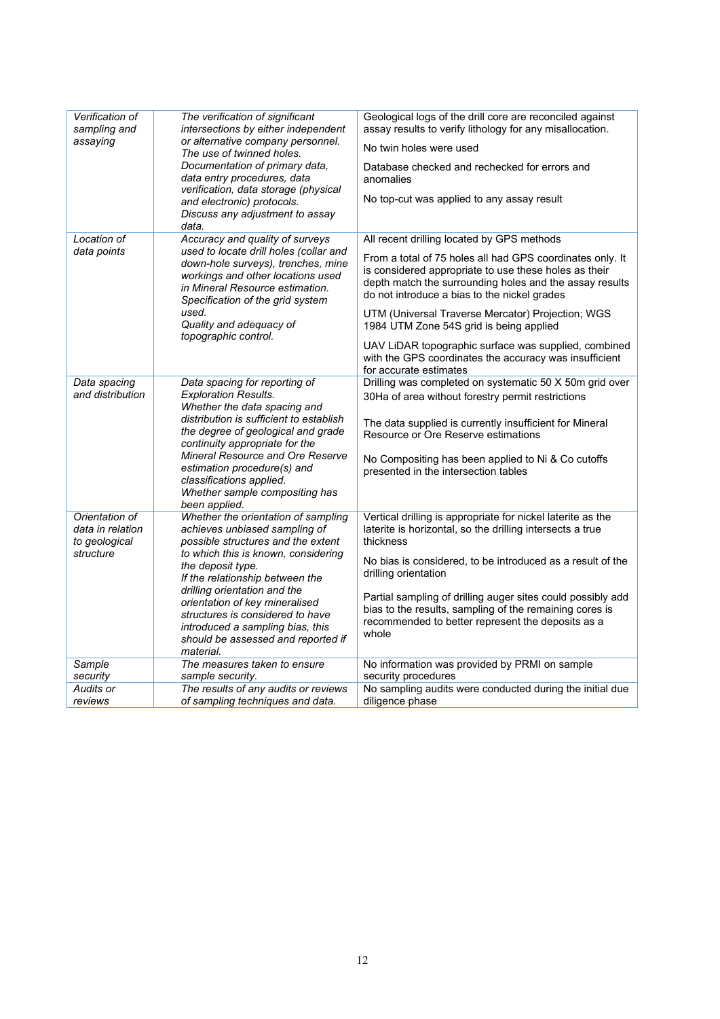| Verification of<br>sampling and<br>assaying                      | The verification of significant<br>intersections by either independent<br>or alternative company personnel.<br>The use of twinned holes.<br>Documentation of primary data,<br>data entry procedures, data<br>verification, data storage (physical<br>and electronic) protocols.<br>Discuss any adjustment to assay<br>data.                                                                            | Geological logs of the drill core are reconciled against<br>assay results to verify lithology for any misallocation.<br>No twin holes were used<br>Database checked and rechecked for errors and<br>anomalies<br>No top-cut was applied to any assay result                                                                                                                                                                                                                                                             |
|------------------------------------------------------------------|--------------------------------------------------------------------------------------------------------------------------------------------------------------------------------------------------------------------------------------------------------------------------------------------------------------------------------------------------------------------------------------------------------|-------------------------------------------------------------------------------------------------------------------------------------------------------------------------------------------------------------------------------------------------------------------------------------------------------------------------------------------------------------------------------------------------------------------------------------------------------------------------------------------------------------------------|
| <b>Location of</b><br>data points                                | Accuracy and quality of surveys<br>used to locate drill holes (collar and<br>down-hole surveys), trenches, mine<br>workings and other locations used<br>in Mineral Resource estimation.<br>Specification of the grid system<br>used.<br>Quality and adequacy of<br>topographic control.                                                                                                                | All recent drilling located by GPS methods<br>From a total of 75 holes all had GPS coordinates only. It<br>is considered appropriate to use these holes as their<br>depth match the surrounding holes and the assay results<br>do not introduce a bias to the nickel grades<br>UTM (Universal Traverse Mercator) Projection; WGS<br>1984 UTM Zone 54S grid is being applied<br>UAV LiDAR topographic surface was supplied, combined<br>with the GPS coordinates the accuracy was insufficient<br>for accurate estimates |
| Data spacing<br>and distribution                                 | Data spacing for reporting of<br><b>Exploration Results.</b><br>Whether the data spacing and<br>distribution is sufficient to establish<br>the degree of geological and grade<br>continuity appropriate for the<br><b>Mineral Resource and Ore Reserve</b><br>estimation procedure(s) and<br>classifications applied.<br>Whether sample compositing has<br>been applied.                               | Drilling was completed on systematic 50 X 50m grid over<br>30Ha of area without forestry permit restrictions<br>The data supplied is currently insufficient for Mineral<br>Resource or Ore Reserve estimations<br>No Compositing has been applied to Ni & Co cutoffs<br>presented in the intersection tables                                                                                                                                                                                                            |
| Orientation of<br>data in relation<br>to geological<br>structure | Whether the orientation of sampling<br>achieves unbiased sampling of<br>possible structures and the extent<br>to which this is known, considering<br>the deposit type.<br>If the relationship between the<br>drilling orientation and the<br>orientation of key mineralised<br>structures is considered to have<br>introduced a sampling bias, this<br>should be assessed and reported if<br>material. | Vertical drilling is appropriate for nickel laterite as the<br>laterite is horizontal, so the drilling intersects a true<br>thickness<br>No bias is considered, to be introduced as a result of the<br>drilling orientation<br>Partial sampling of drilling auger sites could possibly add<br>bias to the results, sampling of the remaining cores is<br>recommended to better represent the deposits as a<br>whole                                                                                                     |
| Sample<br>security                                               | The measures taken to ensure<br>sample security.                                                                                                                                                                                                                                                                                                                                                       | No information was provided by PRMI on sample<br>security procedures                                                                                                                                                                                                                                                                                                                                                                                                                                                    |
| Audits or<br>reviews                                             | The results of any audits or reviews<br>of sampling techniques and data.                                                                                                                                                                                                                                                                                                                               | No sampling audits were conducted during the initial due<br>diligence phase                                                                                                                                                                                                                                                                                                                                                                                                                                             |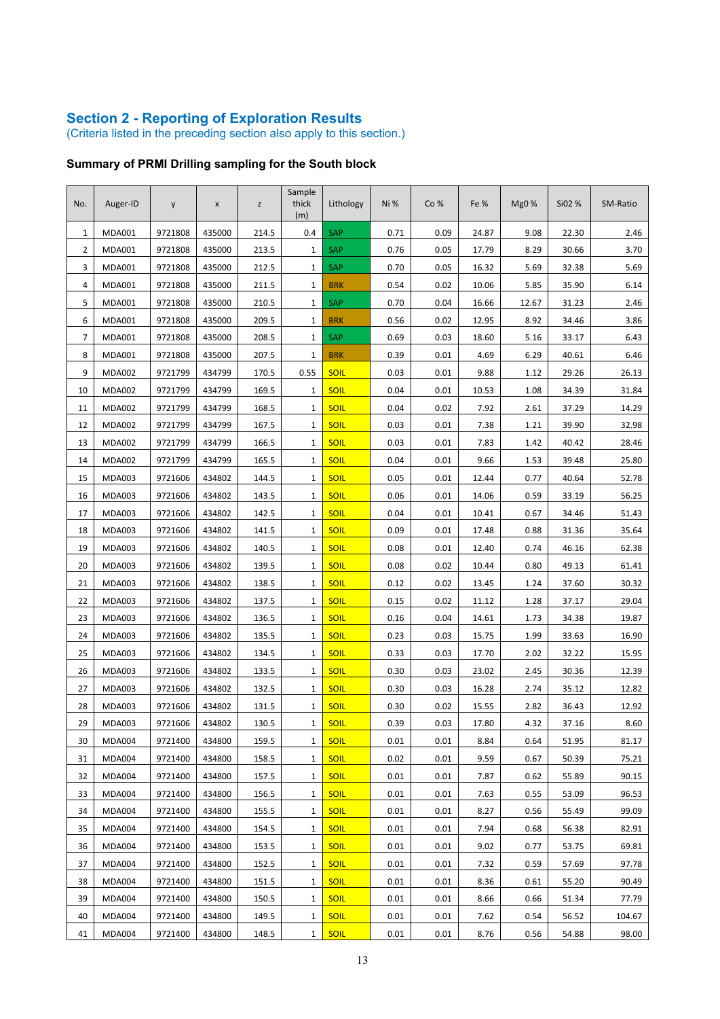#### **Section 2 - Reporting of Exploration Results**

(Criteria listed in the preceding section also apply to this section.)

### **Summary of PRMI Drilling sampling for the South block**

| No.              | Auger-ID      | y       | X      | z     | Sample<br>thick<br>(m) | Lithology   | Ni % | Co%  | Fe %  | Mg0 % | Si02 % | SM-Ratio |
|------------------|---------------|---------|--------|-------|------------------------|-------------|------|------|-------|-------|--------|----------|
| $\mathbf{1}$     | <b>MDA001</b> | 9721808 | 435000 | 214.5 | 0.4                    | <b>SAP</b>  | 0.71 | 0.09 | 24.87 | 9.08  | 22.30  | 2.46     |
| $\overline{2}$   | <b>MDA001</b> | 9721808 | 435000 | 213.5 | 1                      | SAP         | 0.76 | 0.05 | 17.79 | 8.29  | 30.66  | 3.70     |
| 3                | <b>MDA001</b> | 9721808 | 435000 | 212.5 | 1                      | SAP         | 0.70 | 0.05 | 16.32 | 5.69  | 32.38  | 5.69     |
| 4                | <b>MDA001</b> | 9721808 | 435000 | 211.5 | $\mathbf{1}$           | <b>BRK</b>  | 0.54 | 0.02 | 10.06 | 5.85  | 35.90  | 6.14     |
| 5                | <b>MDA001</b> | 9721808 | 435000 | 210.5 | 1                      | <b>SAP</b>  | 0.70 | 0.04 | 16.66 | 12.67 | 31.23  | 2.46     |
| $\boldsymbol{6}$ | <b>MDA001</b> | 9721808 | 435000 | 209.5 | 1                      | <b>BRK</b>  | 0.56 | 0.02 | 12.95 | 8.92  | 34.46  | 3.86     |
| $\overline{7}$   | <b>MDA001</b> | 9721808 | 435000 | 208.5 | 1                      | SAP         | 0.69 | 0.03 | 18.60 | 5.16  | 33.17  | 6.43     |
| 8                | <b>MDA001</b> | 9721808 | 435000 | 207.5 | $\mathbf{1}$           | <b>BRK</b>  | 0.39 | 0.01 | 4.69  | 6.29  | 40.61  | 6.46     |
| 9                | <b>MDA002</b> | 9721799 | 434799 | 170.5 | 0.55                   | <b>SOIL</b> | 0.03 | 0.01 | 9.88  | 1.12  | 29.26  | 26.13    |
| 10               | <b>MDA002</b> | 9721799 | 434799 | 169.5 | 1                      | <b>SOIL</b> | 0.04 | 0.01 | 10.53 | 1.08  | 34.39  | 31.84    |
| 11               | <b>MDA002</b> | 9721799 | 434799 | 168.5 | 1                      | <b>SOIL</b> | 0.04 | 0.02 | 7.92  | 2.61  | 37.29  | 14.29    |
| 12               | <b>MDA002</b> | 9721799 | 434799 | 167.5 | 1                      | <b>SOIL</b> | 0.03 | 0.01 | 7.38  | 1.21  | 39.90  | 32.98    |
| 13               | <b>MDA002</b> | 9721799 | 434799 | 166.5 | 1                      | <b>SOIL</b> | 0.03 | 0.01 | 7.83  | 1.42  | 40.42  | 28.46    |
| 14               | <b>MDA002</b> | 9721799 | 434799 | 165.5 | 1                      | <b>SOIL</b> | 0.04 | 0.01 | 9.66  | 1.53  | 39.48  | 25.80    |
| 15               | <b>MDA003</b> | 9721606 | 434802 | 144.5 | 1                      | <b>SOIL</b> | 0.05 | 0.01 | 12.44 | 0.77  | 40.64  | 52.78    |
| 16               | <b>MDA003</b> | 9721606 | 434802 | 143.5 | 1                      | <b>SOIL</b> | 0.06 | 0.01 | 14.06 | 0.59  | 33.19  | 56.25    |
| 17               | MDA003        | 9721606 | 434802 | 142.5 | 1                      | SOIL        | 0.04 | 0.01 | 10.41 | 0.67  | 34.46  | 51.43    |
| 18               | <b>MDA003</b> | 9721606 | 434802 | 141.5 | 1                      | <b>SOIL</b> | 0.09 | 0.01 | 17.48 | 0.88  | 31.36  | 35.64    |
| 19               | <b>MDA003</b> | 9721606 | 434802 | 140.5 | 1                      | <b>SOIL</b> | 0.08 | 0.01 | 12.40 | 0.74  | 46.16  | 62.38    |
| 20               | <b>MDA003</b> | 9721606 | 434802 | 139.5 | 1                      | <b>SOIL</b> | 0.08 | 0.02 | 10.44 | 0.80  | 49.13  | 61.41    |
| 21               | <b>MDA003</b> | 9721606 | 434802 | 138.5 | 1                      | <b>SOIL</b> | 0.12 | 0.02 | 13.45 | 1.24  | 37.60  | 30.32    |
| 22               | <b>MDA003</b> | 9721606 | 434802 | 137.5 | 1                      | <b>SOIL</b> | 0.15 | 0.02 | 11.12 | 1.28  | 37.17  | 29.04    |
| 23               | <b>MDA003</b> | 9721606 | 434802 | 136.5 | 1                      | <b>SOIL</b> | 0.16 | 0.04 | 14.61 | 1.73  | 34.38  | 19.87    |
| 24               | <b>MDA003</b> | 9721606 | 434802 | 135.5 | 1                      | <b>SOIL</b> | 0.23 | 0.03 | 15.75 | 1.99  | 33.63  | 16.90    |
| 25               | MDA003        | 9721606 | 434802 | 134.5 | 1                      | <b>SOIL</b> | 0.33 | 0.03 | 17.70 | 2.02  | 32.22  | 15.95    |
| 26               | <b>MDA003</b> | 9721606 | 434802 | 133.5 | 1                      | <b>SOIL</b> | 0.30 | 0.03 | 23.02 | 2.45  | 30.36  | 12.39    |
| 27               | <b>MDA003</b> | 9721606 | 434802 | 132.5 | 1                      | <b>SOIL</b> | 0.30 | 0.03 | 16.28 | 2.74  | 35.12  | 12.82    |
| 28               | <b>MDA003</b> | 9721606 | 434802 | 131.5 | 1                      | SOIL        | 0.30 | 0.02 | 15.55 | 2.82  | 36.43  | 12.92    |
| 29               | <b>MDA003</b> | 9721606 | 434802 | 130.5 | 1                      | SOIL        | 0.39 | 0.03 | 17.80 | 4.32  | 37.16  | 8.60     |
| 30               | <b>MDA004</b> | 9721400 | 434800 | 159.5 | 1                      | <b>SOIL</b> | 0.01 | 0.01 | 8.84  | 0.64  | 51.95  | 81.17    |
| 31               | <b>MDA004</b> | 9721400 | 434800 | 158.5 | 1                      | <b>SOIL</b> | 0.02 | 0.01 | 9.59  | 0.67  | 50.39  | 75.21    |
| 32               | <b>MDA004</b> | 9721400 | 434800 | 157.5 | 1                      | <b>SOIL</b> | 0.01 | 0.01 | 7.87  | 0.62  | 55.89  | 90.15    |
| 33               | <b>MDA004</b> | 9721400 | 434800 | 156.5 | $\mathbf{1}$           | <b>SOIL</b> | 0.01 | 0.01 | 7.63  | 0.55  | 53.09  | 96.53    |
| 34               | <b>MDA004</b> | 9721400 | 434800 | 155.5 | $\mathbf{1}$           | <b>SOIL</b> | 0.01 | 0.01 | 8.27  | 0.56  | 55.49  | 99.09    |
| 35               | <b>MDA004</b> | 9721400 | 434800 | 154.5 | 1                      | <b>SOIL</b> | 0.01 | 0.01 | 7.94  | 0.68  | 56.38  | 82.91    |
| 36               | <b>MDA004</b> | 9721400 | 434800 | 153.5 | 1                      | <b>SOIL</b> | 0.01 | 0.01 | 9.02  | 0.77  | 53.75  | 69.81    |
| 37               | <b>MDA004</b> | 9721400 | 434800 | 152.5 | 1                      | <b>SOIL</b> | 0.01 | 0.01 | 7.32  | 0.59  | 57.69  | 97.78    |
| 38               | <b>MDA004</b> | 9721400 | 434800 | 151.5 | 1                      | <b>SOIL</b> | 0.01 | 0.01 | 8.36  | 0.61  | 55.20  | 90.49    |
| 39               | <b>MDA004</b> | 9721400 | 434800 | 150.5 | $\mathbf{1}$           | <b>SOIL</b> | 0.01 | 0.01 | 8.66  | 0.66  | 51.34  | 77.79    |
| 40               | <b>MDA004</b> | 9721400 | 434800 | 149.5 | 1                      | <b>SOIL</b> | 0.01 | 0.01 | 7.62  | 0.54  | 56.52  | 104.67   |
| 41               | <b>MDA004</b> | 9721400 | 434800 | 148.5 | $\mathbf{1}$           | <b>SOIL</b> | 0.01 | 0.01 | 8.76  | 0.56  | 54.88  | 98.00    |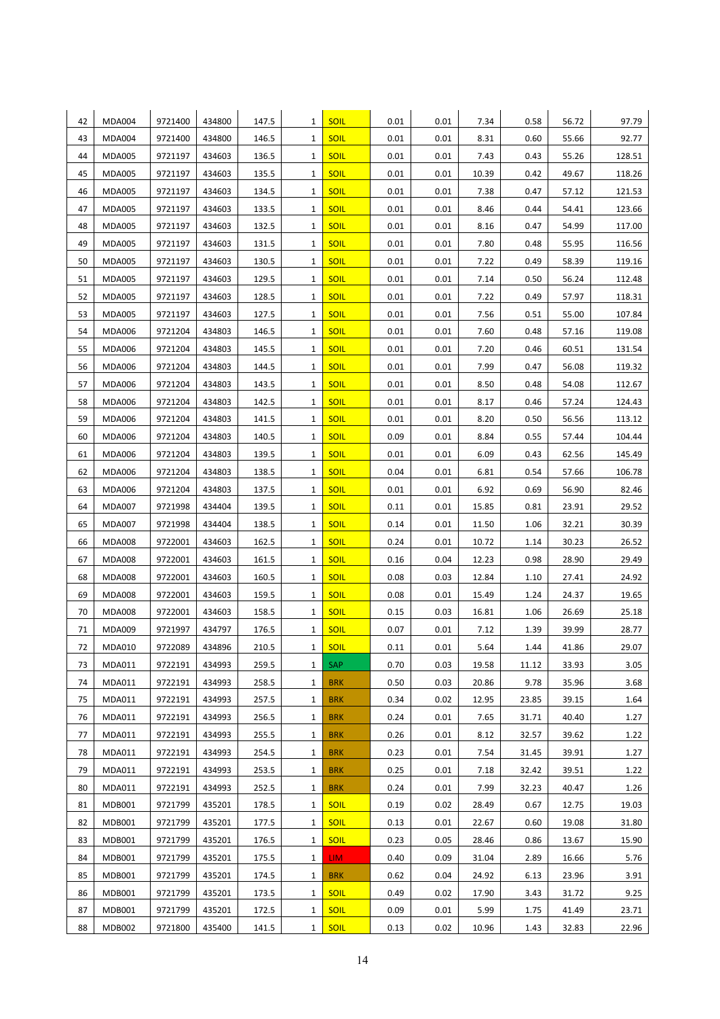| 42       | <b>MDA004</b>                  | 9721400            | 434800           | 147.5          | 1            | <b>SOIL</b>         | 0.01         | 0.01         | 7.34           | 0.58         | 56.72          | 97.79          |
|----------|--------------------------------|--------------------|------------------|----------------|--------------|---------------------|--------------|--------------|----------------|--------------|----------------|----------------|
| 43       | <b>MDA004</b>                  | 9721400            | 434800           | 146.5          | 1            | <b>SOIL</b>         | 0.01         | 0.01         | 8.31           | 0.60         | 55.66          | 92.77          |
| 44       | <b>MDA005</b>                  | 9721197            | 434603           | 136.5          | 1            | <b>SOIL</b>         | 0.01         | 0.01         | 7.43           | 0.43         | 55.26          | 128.51         |
| 45       | <b>MDA005</b>                  | 9721197            | 434603           | 135.5          | 1            | SOIL                | 0.01         | 0.01         | 10.39          | 0.42         | 49.67          | 118.26         |
| 46       | <b>MDA005</b>                  | 9721197            | 434603           | 134.5          | 1            | <b>SOIL</b>         | 0.01         | 0.01         | 7.38           | 0.47         | 57.12          | 121.53         |
| 47       | <b>MDA005</b>                  | 9721197            | 434603           | 133.5          | 1            | <b>SOIL</b>         | 0.01         | 0.01         | 8.46           | 0.44         | 54.41          | 123.66         |
| 48       | <b>MDA005</b>                  | 9721197            | 434603           | 132.5          | 1            | <b>SOIL</b>         | 0.01         | 0.01         | 8.16           | 0.47         | 54.99          | 117.00         |
| 49       | <b>MDA005</b>                  | 9721197            | 434603           | 131.5          | 1            | <b>SOIL</b>         | 0.01         | 0.01         | 7.80           | 0.48         | 55.95          | 116.56         |
| 50       | <b>MDA005</b>                  | 9721197            | 434603           | 130.5          | 1            | <b>SOIL</b>         | 0.01         | 0.01         | 7.22           | 0.49         | 58.39          | 119.16         |
| 51       | <b>MDA005</b>                  | 9721197            | 434603           | 129.5          | 1            | <b>SOIL</b>         | 0.01         | 0.01         | 7.14           | 0.50         | 56.24          | 112.48         |
| 52       | <b>MDA005</b>                  | 9721197            | 434603           | 128.5          | 1            | SOIL                | 0.01         | 0.01         | 7.22           | 0.49         | 57.97          | 118.31         |
| 53       | <b>MDA005</b>                  | 9721197            | 434603           | 127.5          | 1            | <b>SOIL</b>         | 0.01         | 0.01         | 7.56           | 0.51         | 55.00          | 107.84         |
| 54       | <b>MDA006</b>                  | 9721204            | 434803           | 146.5          | 1            | <b>SOIL</b>         | 0.01         | 0.01         | 7.60           | 0.48         | 57.16          | 119.08         |
| 55       | <b>MDA006</b>                  | 9721204            | 434803           | 145.5          | 1            | <b>SOIL</b>         | 0.01         | 0.01         | 7.20           | 0.46         | 60.51          | 131.54         |
| 56       | <b>MDA006</b>                  | 9721204            | 434803           | 144.5          | 1            | <b>SOIL</b>         | 0.01         | 0.01         | 7.99           | 0.47         | 56.08          | 119.32         |
| 57       | <b>MDA006</b>                  | 9721204            | 434803           | 143.5          | 1            | SOIL                | 0.01         | 0.01         | 8.50           | 0.48         | 54.08          | 112.67         |
| 58       | <b>MDA006</b>                  | 9721204            | 434803           | 142.5          | 1            | <b>SOIL</b>         | 0.01         | 0.01         | 8.17           | 0.46         | 57.24          | 124.43         |
| 59       | <b>MDA006</b>                  | 9721204            | 434803           | 141.5          | 1            | <b>SOIL</b>         | 0.01         | 0.01         | 8.20           | 0.50         | 56.56          | 113.12         |
| 60       | <b>MDA006</b>                  | 9721204            | 434803           | 140.5          | 1            | <b>SOIL</b>         | 0.09         | 0.01         | 8.84           | 0.55         | 57.44          | 104.44         |
| 61       | <b>MDA006</b>                  | 9721204            | 434803           | 139.5          | 1            | <b>SOIL</b>         | 0.01         | 0.01         | 6.09           | 0.43         | 62.56          | 145.49         |
| 62       | MDA006                         | 9721204            | 434803           | 138.5          | 1            | <b>SOIL</b>         | 0.04         | 0.01         | 6.81           | 0.54         | 57.66          | 106.78         |
| 63       | <b>MDA006</b>                  | 9721204            | 434803           | 137.5          | 1            | <b>SOIL</b>         | 0.01         | 0.01         | 6.92           | 0.69         | 56.90          | 82.46          |
| 64       | <b>MDA007</b>                  | 9721998            | 434404           | 139.5          | 1            | SOIL                | 0.11         | 0.01         | 15.85          | 0.81         | 23.91          | 29.52          |
| 65       | <b>MDA007</b>                  | 9721998            | 434404           | 138.5          | 1            | SOIL                | 0.14         | 0.01         | 11.50          | 1.06         | 32.21          | 30.39          |
| 66       | <b>MDA008</b>                  | 9722001            | 434603           | 162.5          | 1            | <b>SOIL</b>         | 0.24         | 0.01         | 10.72          | 1.14         | 30.23          | 26.52          |
| 67       | <b>MDA008</b>                  | 9722001            | 434603           | 161.5          | 1            | <b>SOIL</b>         | 0.16         | 0.04         | 12.23          | 0.98         | 28.90          | 29.49          |
| 68<br>69 | <b>MDA008</b><br><b>MDA008</b> | 9722001            | 434603<br>434603 | 160.5          | 1<br>1       | <b>SOIL</b><br>SOIL | 0.08<br>0.08 | 0.03<br>0.01 | 12.84          | 1.10<br>1.24 | 27.41          | 24.92<br>19.65 |
| 70       | <b>MDA008</b>                  | 9722001<br>9722001 | 434603           | 159.5<br>158.5 | 1            | <b>SOIL</b>         | 0.15         | 0.03         | 15.49<br>16.81 | 1.06         | 24.37<br>26.69 | 25.18          |
| 71       | <b>MDA009</b>                  | 9721997            | 434797           | 176.5          | 1            | <b>SOIL</b>         | 0.07         | 0.01         | 7.12           | 1.39         | 39.99          | 28.77          |
| 72       | <b>MDA010</b>                  | 9722089            | 434896           | 210.5          | $\mathbf{1}$ | SOIL                | 0.11         | 0.01         | 5.64           | 1.44         | 41.86          | 29.07          |
| 73       | MDA011                         | 9722191            | 434993           | 259.5          | 1            | <b>SAP</b>          | 0.70         | 0.03         | 19.58          | 11.12        | 33.93          | 3.05           |
| 74       | MDA011                         | 9722191            | 434993           | 258.5          | 1            | <b>BRK</b>          | 0.50         | 0.03         | 20.86          | 9.78         | 35.96          | 3.68           |
| 75       | MDA011                         | 9722191            | 434993           | 257.5          | 1            | <b>BRK</b>          | 0.34         | 0.02         | 12.95          | 23.85        | 39.15          | 1.64           |
| 76       | MDA011                         | 9722191            | 434993           | 256.5          | $\mathbf{1}$ | <b>BRK</b>          | 0.24         | 0.01         | 7.65           | 31.71        | 40.40          | 1.27           |
| 77       | MDA011                         | 9722191            | 434993           | 255.5          | 1            | <b>BRK</b>          | 0.26         | 0.01         | 8.12           | 32.57        | 39.62          | 1.22           |
| 78       | <b>MDA011</b>                  | 9722191            | 434993           | 254.5          | 1            | <b>BRK</b>          | 0.23         | 0.01         | 7.54           | 31.45        | 39.91          | 1.27           |
| 79       | MDA011                         | 9722191            | 434993           | 253.5          | 1            | <b>BRK</b>          | 0.25         | 0.01         | 7.18           | 32.42        | 39.51          | 1.22           |
| 80       | MDA011                         | 9722191            | 434993           | 252.5          | 1            | <b>BRK</b>          | 0.24         | 0.01         | 7.99           | 32.23        | 40.47          | 1.26           |
| 81       | <b>MDB001</b>                  | 9721799            | 435201           | 178.5          | 1            | SOIL                | 0.19         | 0.02         | 28.49          | 0.67         | 12.75          | 19.03          |
| 82       | <b>MDB001</b>                  | 9721799            | 435201           | 177.5          | 1            | <b>SOIL</b>         | 0.13         | 0.01         | 22.67          | 0.60         | 19.08          | 31.80          |
| 83       | <b>MDB001</b>                  | 9721799            | 435201           | 176.5          | 1            | <b>SOIL</b>         | 0.23         | 0.05         | 28.46          | 0.86         | 13.67          | 15.90          |
| 84       | <b>MDB001</b>                  | 9721799            | 435201           | 175.5          | 1            | LIM.                | 0.40         | 0.09         | 31.04          | 2.89         | 16.66          | 5.76           |
| 85       | MDB001                         | 9721799            | 435201           | 174.5          | 1            | <b>BRK</b>          | 0.62         | 0.04         | 24.92          | 6.13         | 23.96          | 3.91           |
| 86       | MDB001                         | 9721799            | 435201           | 173.5          | 1            | <b>SOIL</b>         | 0.49         | 0.02         | 17.90          | 3.43         | 31.72          | 9.25           |
| 87       | <b>MDB001</b>                  | 9721799            | 435201           | 172.5          | 1            | <b>SOIL</b>         | 0.09         | 0.01         | 5.99           | 1.75         | 41.49          | 23.71          |
| 88       | <b>MDB002</b>                  | 9721800            | 435400           | 141.5          | 1            | <b>SOIL</b>         | 0.13         | 0.02         | 10.96          | 1.43         | 32.83          | 22.96          |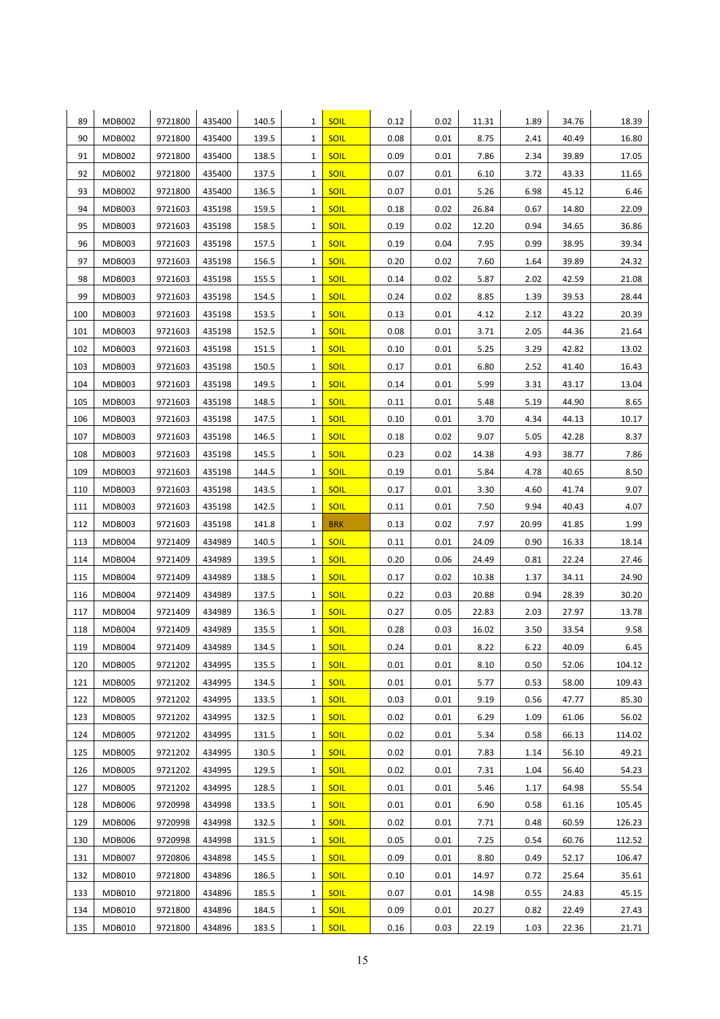| 89         | <b>MDB002</b>           | 9721800            | 435400           | 140.5          | 1            | <b>SOIL</b>         | 0.12         | 0.02         | 11.31        | 1.89         | 34.76          | 18.39          |
|------------|-------------------------|--------------------|------------------|----------------|--------------|---------------------|--------------|--------------|--------------|--------------|----------------|----------------|
| 90         | <b>MDB002</b>           | 9721800            | 435400           | 139.5          | $\mathbf{1}$ | <b>SOIL</b>         | 0.08         | 0.01         | 8.75         | 2.41         | 40.49          | 16.80          |
| 91         | <b>MDB002</b>           | 9721800            | 435400           | 138.5          | 1            | <b>SOIL</b>         | 0.09         | 0.01         | 7.86         | 2.34         | 39.89          | 17.05          |
| 92         | <b>MDB002</b>           | 9721800            | 435400           | 137.5          | 1            | <b>SOIL</b>         | 0.07         | 0.01         | 6.10         | 3.72         | 43.33          | 11.65          |
| 93         | <b>MDB002</b>           | 9721800            | 435400           | 136.5          | 1            | <b>SOIL</b>         | 0.07         | 0.01         | 5.26         | 6.98         | 45.12          | 6.46           |
| 94         | <b>MDB003</b>           | 9721603            | 435198           | 159.5          | 1            | <b>SOIL</b>         | 0.18         | 0.02         | 26.84        | 0.67         | 14.80          | 22.09          |
| 95         | <b>MDB003</b>           | 9721603            | 435198           | 158.5          | 1            | <b>SOIL</b>         | 0.19         | 0.02         | 12.20        | 0.94         | 34.65          | 36.86          |
| 96         | <b>MDB003</b>           | 9721603            | 435198           | 157.5          | 1            | <b>SOIL</b>         | 0.19         | 0.04         | 7.95         | 0.99         | 38.95          | 39.34          |
| 97         | MDB003                  | 9721603            | 435198           | 156.5          | 1            | <b>SOIL</b>         | 0.20         | 0.02         | 7.60         | 1.64         | 39.89          | 24.32          |
| 98         | <b>MDB003</b>           | 9721603            | 435198           | 155.5          | 1            | <b>SOIL</b>         | 0.14         | 0.02         | 5.87         | 2.02         | 42.59          | 21.08          |
| 99         | <b>MDB003</b>           | 9721603            | 435198           | 154.5          | 1            | <b>SOIL</b>         | 0.24         | 0.02         | 8.85         | 1.39         | 39.53          | 28.44          |
| 100        | <b>MDB003</b>           | 9721603            | 435198           | 153.5          | 1            | <b>SOIL</b>         | 0.13         | 0.01         | 4.12         | 2.12         | 43.22          | 20.39          |
| 101        | <b>MDB003</b>           | 9721603            | 435198           | 152.5          | 1            | <b>SOIL</b>         | 0.08         | 0.01         | 3.71         | 2.05         | 44.36          | 21.64          |
| 102        | <b>MDB003</b>           | 9721603            | 435198           | 151.5          | 1            | <b>SOIL</b>         | 0.10         | 0.01         | 5.25         | 3.29         | 42.82          | 13.02          |
| 103        | <b>MDB003</b>           | 9721603            | 435198           | 150.5          | 1            | <b>SOIL</b>         | 0.17         | 0.01         | 6.80         | 2.52         | 41.40          | 16.43          |
| 104        | <b>MDB003</b>           | 9721603            | 435198           | 149.5          | 1            | <b>SOIL</b>         | 0.14         | 0.01         | 5.99         | 3.31         | 43.17          | 13.04          |
| 105        | <b>MDB003</b>           | 9721603            | 435198           | 148.5          | 1            | <b>SOIL</b>         | 0.11         | 0.01         | 5.48         | 5.19         | 44.90          | 8.65           |
| 106        | <b>MDB003</b>           | 9721603            | 435198           | 147.5          | 1            | <b>SOIL</b>         | 0.10         | 0.01         | 3.70         | 4.34         | 44.13          | 10.17          |
| 107        | <b>MDB003</b>           | 9721603            | 435198           | 146.5          | 1            | <b>SOIL</b>         | 0.18         | 0.02         | 9.07         | 5.05         | 42.28          | 8.37           |
| 108        | <b>MDB003</b>           | 9721603            | 435198           | 145.5          | 1            | <b>SOIL</b>         | 0.23         | 0.02         | 14.38        | 4.93         | 38.77          | 7.86           |
| 109        | <b>MDB003</b>           | 9721603            | 435198           | 144.5          | 1            | SOIL                | 0.19         | 0.01         | 5.84         | 4.78         | 40.65          | 8.50           |
| 110        | <b>MDB003</b>           | 9721603            | 435198           | 143.5          | 1            | <b>SOIL</b>         | 0.17         | 0.01         | 3.30         | 4.60         | 41.74          | 9.07           |
| 111        | <b>MDB003</b>           | 9721603            | 435198           | 142.5          | 1            | <b>SOIL</b>         | 0.11         | 0.01         | 7.50         | 9.94         | 40.43          | 4.07           |
| 112        | MDB003                  | 9721603            | 435198           | 141.8          | 1            | <b>BRK</b>          | 0.13         | 0.02         | 7.97         | 20.99        | 41.85          | 1.99           |
| 113        | <b>MDB004</b>           | 9721409            | 434989           | 140.5          | 1            | <b>SOIL</b>         | 0.11         | 0.01         | 24.09        | 0.90         | 16.33          | 18.14          |
| 114        | <b>MDB004</b>           | 9721409            | 434989           | 139.5          | 1            | <b>SOIL</b>         | 0.20         | 0.06         | 24.49        | 0.81         | 22.24          | 27.46          |
| 115        | MDB004                  | 9721409            | 434989           | 138.5          | 1            | <b>SOIL</b>         | 0.17         | 0.02         | 10.38        | 1.37         | 34.11          | 24.90          |
| 116        | <b>MDB004</b>           | 9721409            | 434989           | 137.5          | 1            | <b>SOIL</b>         | 0.22         | 0.03         | 20.88        | 0.94         | 28.39          | 30.20          |
| 117        | MDB004                  | 9721409            | 434989           | 136.5          | 1            | <b>SOIL</b>         | 0.27         | 0.05         | 22.83        | 2.03         | 27.97          | 13.78          |
| 118        | MDB004                  | 9721409            | 434989           | 135.5          | 1            | <b>SOIL</b><br>SOIL | 0.28         | 0.03         | 16.02        | 3.50         | 33.54          | 9.58           |
| 119<br>120 | MDB004<br><b>MDB005</b> | 9721409<br>9721202 | 434989<br>434995 | 134.5<br>135.5 | 1<br>1       | <b>SOIL</b>         | 0.24<br>0.01 | 0.01<br>0.01 | 8.22<br>8.10 | 6.22<br>0.50 | 40.09<br>52.06 | 6.45<br>104.12 |
| 121        | <b>MDB005</b>           | 9721202            | 434995           | 134.5          | 1            | SOIL                | 0.01         | 0.01         | 5.77         | 0.53         | 58.00          | 109.43         |
| 122        | <b>MDB005</b>           | 9721202            | 434995           | 133.5          | 1            | <b>SOIL</b>         | 0.03         | 0.01         | 9.19         | 0.56         | 47.77          | 85.30          |
| 123        | <b>MDB005</b>           | 9721202            | 434995           | 132.5          | 1            | <b>SOIL</b>         | 0.02         | 0.01         | 6.29         | 1.09         | 61.06          | 56.02          |
| 124        | <b>MDB005</b>           | 9721202            | 434995           | 131.5          | 1            | <b>SOIL</b>         | 0.02         | 0.01         | 5.34         | 0.58         | 66.13          | 114.02         |
| 125        | <b>MDB005</b>           | 9721202            | 434995           | 130.5          | 1            | <b>SOIL</b>         | 0.02         | 0.01         | 7.83         | 1.14         | 56.10          | 49.21          |
| 126        | <b>MDB005</b>           | 9721202            | 434995           | 129.5          | 1            | <b>SOIL</b>         | 0.02         | 0.01         | 7.31         | 1.04         | 56.40          | 54.23          |
| 127        | <b>MDB005</b>           | 9721202            | 434995           | 128.5          | 1            | <b>SOIL</b>         | 0.01         | 0.01         | 5.46         | 1.17         | 64.98          | 55.54          |
| 128        | <b>MDB006</b>           | 9720998            | 434998           | 133.5          | 1            | <b>SOIL</b>         | 0.01         | 0.01         | 6.90         | 0.58         | 61.16          | 105.45         |
| 129        | <b>MDB006</b>           | 9720998            | 434998           | 132.5          | 1            | <b>SOIL</b>         | 0.02         | 0.01         | 7.71         | 0.48         | 60.59          | 126.23         |
| 130        | <b>MDB006</b>           | 9720998            | 434998           | 131.5          | 1            | <b>SOIL</b>         | 0.05         | 0.01         | 7.25         | 0.54         | 60.76          | 112.52         |
| 131        | <b>MDB007</b>           | 9720806            | 434898           | 145.5          | 1            | <b>SOIL</b>         | 0.09         | 0.01         | 8.80         | 0.49         | 52.17          | 106.47         |
| 132        | <b>MDB010</b>           | 9721800            | 434896           | 186.5          | 1            | <b>SOIL</b>         | 0.10         | 0.01         | 14.97        | 0.72         | 25.64          | 35.61          |
| 133        | MDB010                  | 9721800            | 434896           | 185.5          | 1            | <b>SOIL</b>         | 0.07         | 0.01         | 14.98        | 0.55         | 24.83          | 45.15          |
| 134        | MDB010                  | 9721800            | 434896           | 184.5          | 1            | <b>SOIL</b>         | 0.09         | 0.01         | 20.27        | 0.82         | 22.49          | 27.43          |
| 135        | <b>MDB010</b>           | 9721800            | 434896           | 183.5          | 1            | <b>SOIL</b>         | 0.16         | 0.03         | 22.19        | 1.03         | 22.36          | 21.71          |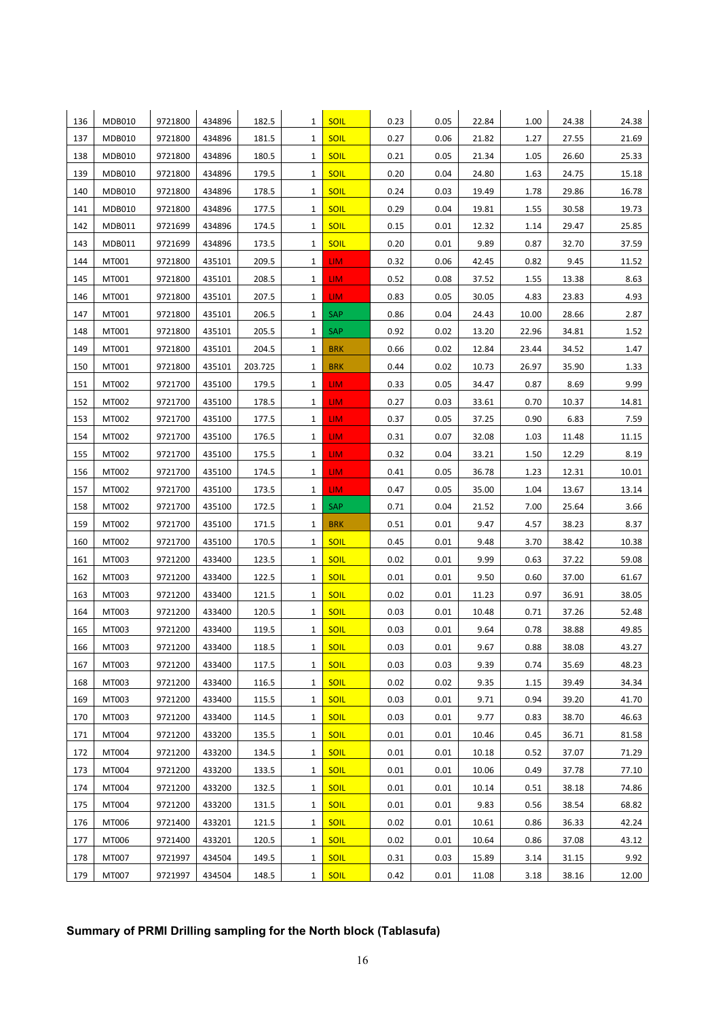| 136 | <b>MDB010</b> | 9721800 | 434896 | 182.5   | 1            | <b>SOIL</b> | 0.23 | 0.05 | 22.84 | 1.00  | 24.38 | 24.38 |
|-----|---------------|---------|--------|---------|--------------|-------------|------|------|-------|-------|-------|-------|
| 137 | <b>MDB010</b> | 9721800 | 434896 | 181.5   | 1            | <b>SOIL</b> | 0.27 | 0.06 | 21.82 | 1.27  | 27.55 | 21.69 |
| 138 | <b>MDB010</b> | 9721800 | 434896 | 180.5   | 1            | <b>SOIL</b> | 0.21 | 0.05 | 21.34 | 1.05  | 26.60 | 25.33 |
| 139 | <b>MDB010</b> | 9721800 | 434896 | 179.5   | 1            | <b>SOIL</b> | 0.20 | 0.04 | 24.80 | 1.63  | 24.75 | 15.18 |
| 140 | <b>MDB010</b> | 9721800 | 434896 | 178.5   | 1            | <b>SOIL</b> | 0.24 | 0.03 | 19.49 | 1.78  | 29.86 | 16.78 |
| 141 | <b>MDB010</b> | 9721800 | 434896 | 177.5   | 1            | <b>SOIL</b> | 0.29 | 0.04 | 19.81 | 1.55  | 30.58 | 19.73 |
| 142 | MDB011        | 9721699 | 434896 | 174.5   | 1            | <b>SOIL</b> | 0.15 | 0.01 | 12.32 | 1.14  | 29.47 | 25.85 |
| 143 | MDB011        | 9721699 | 434896 | 173.5   | 1            | <b>SOIL</b> | 0.20 | 0.01 | 9.89  | 0.87  | 32.70 | 37.59 |
| 144 | MT001         | 9721800 | 435101 | 209.5   | 1            | LIM.        | 0.32 | 0.06 | 42.45 | 0.82  | 9.45  | 11.52 |
| 145 | MT001         | 9721800 | 435101 | 208.5   | 1            | LIM.        | 0.52 | 0.08 | 37.52 | 1.55  | 13.38 | 8.63  |
| 146 | MT001         | 9721800 | 435101 | 207.5   | 1            | LIM.        | 0.83 | 0.05 | 30.05 | 4.83  | 23.83 | 4.93  |
| 147 | MT001         | 9721800 | 435101 | 206.5   | 1            | <b>SAP</b>  | 0.86 | 0.04 | 24.43 | 10.00 | 28.66 | 2.87  |
| 148 | MT001         | 9721800 | 435101 | 205.5   | 1            | <b>SAP</b>  | 0.92 | 0.02 | 13.20 | 22.96 | 34.81 | 1.52  |
| 149 | MT001         | 9721800 | 435101 | 204.5   | 1            | <b>BRK</b>  | 0.66 | 0.02 | 12.84 | 23.44 | 34.52 | 1.47  |
| 150 | MT001         | 9721800 | 435101 | 203.725 | 1            | <b>BRK</b>  | 0.44 | 0.02 | 10.73 | 26.97 | 35.90 | 1.33  |
| 151 | MT002         | 9721700 | 435100 | 179.5   | 1            | LIM.        | 0.33 | 0.05 | 34.47 | 0.87  | 8.69  | 9.99  |
| 152 | MT002         | 9721700 | 435100 | 178.5   | 1            | LIM.        | 0.27 | 0.03 | 33.61 | 0.70  | 10.37 | 14.81 |
| 153 | MT002         | 9721700 | 435100 | 177.5   | 1            | LIM.        | 0.37 | 0.05 | 37.25 | 0.90  | 6.83  | 7.59  |
| 154 | MT002         | 9721700 | 435100 | 176.5   | 1            | LIM.        | 0.31 | 0.07 | 32.08 | 1.03  | 11.48 | 11.15 |
| 155 | MT002         | 9721700 | 435100 | 175.5   | 1            | LIM.        | 0.32 | 0.04 | 33.21 | 1.50  | 12.29 | 8.19  |
| 156 | MT002         | 9721700 | 435100 | 174.5   | 1            | LIM.        | 0.41 | 0.05 | 36.78 | 1.23  | 12.31 | 10.01 |
| 157 | MT002         | 9721700 | 435100 | 173.5   | 1            | LIM.        | 0.47 | 0.05 | 35.00 | 1.04  | 13.67 | 13.14 |
| 158 | MT002         | 9721700 | 435100 | 172.5   | 1            | <b>SAP</b>  | 0.71 | 0.04 | 21.52 | 7.00  | 25.64 | 3.66  |
| 159 | MT002         | 9721700 | 435100 | 171.5   | 1            | <b>BRK</b>  | 0.51 | 0.01 | 9.47  | 4.57  | 38.23 | 8.37  |
| 160 | MT002         | 9721700 | 435100 | 170.5   | 1            | <b>SOIL</b> | 0.45 | 0.01 | 9.48  | 3.70  | 38.42 | 10.38 |
| 161 | MT003         | 9721200 | 433400 | 123.5   | 1            | <b>SOIL</b> | 0.02 | 0.01 | 9.99  | 0.63  | 37.22 | 59.08 |
| 162 | MT003         | 9721200 | 433400 | 122.5   | 1            | <b>SOIL</b> | 0.01 | 0.01 | 9.50  | 0.60  | 37.00 | 61.67 |
| 163 | MT003         | 9721200 | 433400 | 121.5   | 1            | <b>SOIL</b> | 0.02 | 0.01 | 11.23 | 0.97  | 36.91 | 38.05 |
| 164 | MT003         | 9721200 | 433400 | 120.5   | 1            | <b>SOIL</b> | 0.03 | 0.01 | 10.48 | 0.71  | 37.26 | 52.48 |
| 165 | MT003         | 9721200 | 433400 | 119.5   | 1            | <b>SOIL</b> | 0.03 | 0.01 | 9.64  | 0.78  | 38.88 | 49.85 |
| 166 | MT003         | 9721200 | 433400 | 118.5   | 1            | SOIL        | 0.03 | 0.01 | 9.67  | 0.88  | 38.08 | 43.27 |
| 167 | MT003         | 9721200 | 433400 | 117.5   | 1            | <b>SOIL</b> | 0.03 | 0.03 | 9.39  | 0.74  | 35.69 | 48.23 |
| 168 | MT003         | 9721200 | 433400 | 116.5   | 1            | <b>SOIL</b> | 0.02 | 0.02 | 9.35  | 1.15  | 39.49 | 34.34 |
| 169 | MT003         | 9721200 | 433400 | 115.5   | 1            | <b>SOIL</b> | 0.03 | 0.01 | 9.71  | 0.94  | 39.20 | 41.70 |
| 170 | MT003         | 9721200 | 433400 | 114.5   | 1            | <b>SOIL</b> | 0.03 | 0.01 | 9.77  | 0.83  | 38.70 | 46.63 |
| 171 | MT004         | 9721200 | 433200 | 135.5   | 1            | <b>SOIL</b> | 0.01 | 0.01 | 10.46 | 0.45  | 36.71 | 81.58 |
| 172 | MT004         | 9721200 | 433200 | 134.5   | 1            | <b>SOIL</b> | 0.01 | 0.01 | 10.18 | 0.52  | 37.07 | 71.29 |
| 173 | MT004         | 9721200 | 433200 | 133.5   | 1            | <b>SOIL</b> | 0.01 | 0.01 | 10.06 | 0.49  | 37.78 | 77.10 |
| 174 | MT004         | 9721200 | 433200 | 132.5   | 1            | <b>SOIL</b> | 0.01 | 0.01 | 10.14 | 0.51  | 38.18 | 74.86 |
| 175 | MT004         | 9721200 | 433200 | 131.5   | 1            | <b>SOIL</b> | 0.01 | 0.01 | 9.83  | 0.56  | 38.54 | 68.82 |
| 176 | MT006         | 9721400 | 433201 | 121.5   | 1            | <b>SOIL</b> | 0.02 | 0.01 | 10.61 | 0.86  | 36.33 | 42.24 |
| 177 | MT006         | 9721400 | 433201 | 120.5   | 1            | <b>SOIL</b> | 0.02 | 0.01 | 10.64 | 0.86  | 37.08 | 43.12 |
| 178 | MT007         | 9721997 | 434504 | 149.5   | 1            | <b>SOIL</b> | 0.31 | 0.03 | 15.89 | 3.14  | 31.15 | 9.92  |
| 179 | MT007         | 9721997 | 434504 | 148.5   | $\mathbf{1}$ | <b>SOIL</b> | 0.42 | 0.01 | 11.08 | 3.18  | 38.16 | 12.00 |

# **Summary of PRMI Drilling sampling for the North block (Tablasufa)**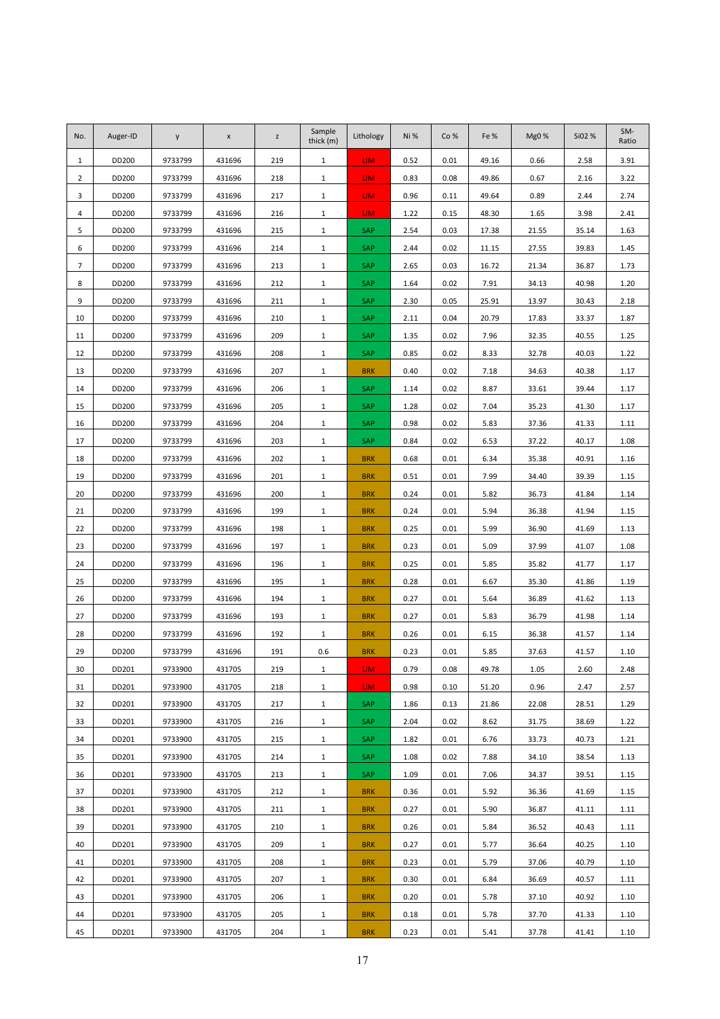| No.            | Auger-ID | y       | $\pmb{\mathsf{x}}$ | $\mathsf Z$ | Sample<br>thick (m) | Lithology  | Ni%  | Co%  | Fe%   | Mg0%  | Si02 % | SM-<br>Ratio |
|----------------|----------|---------|--------------------|-------------|---------------------|------------|------|------|-------|-------|--------|--------------|
| $\mathbf{1}$   | DD200    | 9733799 | 431696             | 219         | $\mathbf{1}$        | LIM.       | 0.52 | 0.01 | 49.16 | 0.66  | 2.58   | 3.91         |
| $\overline{2}$ | DD200    | 9733799 | 431696             | 218         | $\mathbf{1}$        | LIM.       | 0.83 | 0.08 | 49.86 | 0.67  | 2.16   | 3.22         |
| 3              | DD200    | 9733799 | 431696             | 217         | $\mathbf{1}$        | LIM.       | 0.96 | 0.11 | 49.64 | 0.89  | 2.44   | 2.74         |
| 4              | DD200    | 9733799 | 431696             | 216         | $\mathbf{1}$        | LIM.       | 1.22 | 0.15 | 48.30 | 1.65  | 3.98   | 2.41         |
| 5              | DD200    | 9733799 | 431696             | 215         | $\mathbf{1}$        | SAP        | 2.54 | 0.03 | 17.38 | 21.55 | 35.14  | 1.63         |
| 6              | DD200    | 9733799 | 431696             | 214         | $\mathbf{1}$        | SAP        | 2.44 | 0.02 | 11.15 | 27.55 | 39.83  | 1.45         |
| $\overline{7}$ | DD200    | 9733799 | 431696             | 213         | $\mathbf{1}$        | SAP        | 2.65 | 0.03 | 16.72 | 21.34 | 36.87  | 1.73         |
| 8              | DD200    | 9733799 | 431696             | 212         | $\mathbf{1}$        | SAP        | 1.64 | 0.02 | 7.91  | 34.13 | 40.98  | 1.20         |
| 9              | DD200    | 9733799 | 431696             | 211         | $\mathbf{1}$        | SAP        | 2.30 | 0.05 | 25.91 | 13.97 | 30.43  | 2.18         |
| 10             | DD200    | 9733799 | 431696             | 210         | $\mathbf{1}$        | SAP        | 2.11 | 0.04 | 20.79 | 17.83 | 33.37  | 1.87         |
| 11             | DD200    | 9733799 | 431696             | 209         | $\mathbf{1}$        | SAP        | 1.35 | 0.02 | 7.96  | 32.35 | 40.55  | 1.25         |
| 12             | DD200    | 9733799 | 431696             | 208         | $\mathbf{1}$        | <b>SAP</b> | 0.85 | 0.02 | 8.33  | 32.78 | 40.03  | 1.22         |
| 13             | DD200    | 9733799 | 431696             | 207         | $\mathbf{1}$        | <b>BRK</b> | 0.40 | 0.02 | 7.18  | 34.63 | 40.38  | 1.17         |
| 14             | DD200    | 9733799 | 431696             | 206         | $\mathbf{1}$        | SAP        | 1.14 | 0.02 | 8.87  | 33.61 | 39.44  | 1.17         |
| 15             | DD200    | 9733799 | 431696             | 205         | $\mathbf{1}$        | SAP        | 1.28 | 0.02 | 7.04  | 35.23 | 41.30  | 1.17         |
| 16             | DD200    | 9733799 | 431696             | 204         | $\mathbf{1}$        | SAP        | 0.98 | 0.02 | 5.83  | 37.36 | 41.33  | 1.11         |
| 17             | DD200    | 9733799 | 431696             | 203         | $\mathbf{1}$        | SAP        | 0.84 | 0.02 | 6.53  | 37.22 | 40.17  | 1.08         |
| 18             | DD200    | 9733799 | 431696             | 202         | $\mathbf{1}$        | <b>BRK</b> | 0.68 | 0.01 | 6.34  | 35.38 | 40.91  | 1.16         |
| 19             | DD200    | 9733799 | 431696             | 201         | $\mathbf{1}$        | <b>BRK</b> | 0.51 | 0.01 | 7.99  | 34.40 | 39.39  | 1.15         |
| 20             | DD200    | 9733799 | 431696             | 200         | $\mathbf{1}$        | <b>BRK</b> | 0.24 | 0.01 | 5.82  | 36.73 | 41.84  | 1.14         |
| 21             | DD200    | 9733799 | 431696             | 199         | $\mathbf{1}$        | <b>BRK</b> | 0.24 | 0.01 | 5.94  | 36.38 | 41.94  | 1.15         |
| 22             | DD200    | 9733799 | 431696             | 198         | $\mathbf{1}$        | <b>BRK</b> | 0.25 | 0.01 | 5.99  | 36.90 | 41.69  | 1.13         |
| 23             | DD200    | 9733799 | 431696             | 197         | $\mathbf{1}$        | <b>BRK</b> | 0.23 | 0.01 | 5.09  | 37.99 | 41.07  | 1.08         |
| 24             | DD200    | 9733799 | 431696             | 196         | $\mathbf{1}$        | <b>BRK</b> | 0.25 | 0.01 | 5.85  | 35.82 | 41.77  | 1.17         |
| 25             | DD200    | 9733799 | 431696             | 195         | $\mathbf{1}$        | <b>BRK</b> | 0.28 | 0.01 | 6.67  | 35.30 | 41.86  | 1.19         |
| 26             | DD200    | 9733799 | 431696             | 194         | $\mathbf{1}$        | <b>BRK</b> | 0.27 | 0.01 | 5.64  | 36.89 | 41.62  | 1.13         |
| 27             | DD200    | 9733799 | 431696             | 193         | $\mathbf{1}$        | <b>BRK</b> | 0.27 | 0.01 | 5.83  | 36.79 | 41.98  | 1.14         |
| 28             | DD200    | 9733799 | 431696             | 192         | $\mathbf{1}$        | <b>BRK</b> | 0.26 | 0.01 | 6.15  | 36.38 | 41.57  | 1.14         |
| 29             | DD200    | 9733799 | 431696             | 191         | 0.6                 | <b>BRK</b> | 0.23 | 0.01 | 5.85  | 37.63 | 41.57  | 1.10         |
| 30             | DD201    | 9733900 | 431705             | 219         | 1                   | LIM -      | 0.79 | 0.08 | 49.78 | 1.05  | 2.60   | 2.48         |
| 31             | DD201    | 9733900 | 431705             | 218         | $\mathbf{1}$        | LIM.       | 0.98 | 0.10 | 51.20 | 0.96  | 2.47   | 2.57         |
| 32             | DD201    | 9733900 | 431705             | 217         | $\mathbf{1}$        | SAP        | 1.86 | 0.13 | 21.86 | 22.08 | 28.51  | 1.29         |
| 33             | DD201    | 9733900 | 431705             | 216         | $\mathbf{1}$        | SAP        | 2.04 | 0.02 | 8.62  | 31.75 | 38.69  | 1.22         |
| 34             | DD201    | 9733900 | 431705             | 215         | $\mathbf{1}$        | SAP        | 1.82 | 0.01 | 6.76  | 33.73 | 40.73  | 1.21         |
| 35             | DD201    | 9733900 | 431705             | 214         | $\mathbf{1}$        | SAP        | 1.08 | 0.02 | 7.88  | 34.10 | 38.54  | 1.13         |
| 36             | DD201    | 9733900 | 431705             | 213         | $\mathbf{1}$        | SAP        | 1.09 | 0.01 | 7.06  | 34.37 | 39.51  | 1.15         |
| 37             | DD201    | 9733900 | 431705             | 212         | $\mathbf{1}$        | <b>BRK</b> | 0.36 | 0.01 | 5.92  | 36.36 | 41.69  | 1.15         |
| 38             | DD201    | 9733900 | 431705             | 211         | $\mathbf{1}$        | <b>BRK</b> | 0.27 | 0.01 | 5.90  | 36.87 | 41.11  | 1.11         |
| 39             | DD201    | 9733900 | 431705             | 210         | $\mathbf{1}$        | <b>BRK</b> | 0.26 | 0.01 | 5.84  | 36.52 | 40.43  | 1.11         |
| 40             | DD201    | 9733900 | 431705             | 209         | $\mathbf{1}$        | <b>BRK</b> | 0.27 | 0.01 | 5.77  | 36.64 | 40.25  | 1.10         |
| 41             | DD201    | 9733900 | 431705             | 208         | $\mathbf{1}$        | <b>BRK</b> | 0.23 | 0.01 | 5.79  | 37.06 | 40.79  | 1.10         |
| 42             | DD201    | 9733900 | 431705             | 207         | $\mathbf{1}$        | <b>BRK</b> | 0.30 | 0.01 | 6.84  | 36.69 | 40.57  | 1.11         |
| 43             | DD201    | 9733900 | 431705             | 206         | $\mathbf{1}$        | <b>BRK</b> | 0.20 | 0.01 | 5.78  | 37.10 | 40.92  | 1.10         |
| 44             | DD201    | 9733900 | 431705             | 205         | $\mathbf{1}$        | <b>BRK</b> | 0.18 | 0.01 | 5.78  | 37.70 | 41.33  | 1.10         |
| 45             | DD201    | 9733900 | 431705             | 204         | $\mathbf{1}$        | <b>BRK</b> | 0.23 | 0.01 | 5.41  | 37.78 | 41.41  | 1.10         |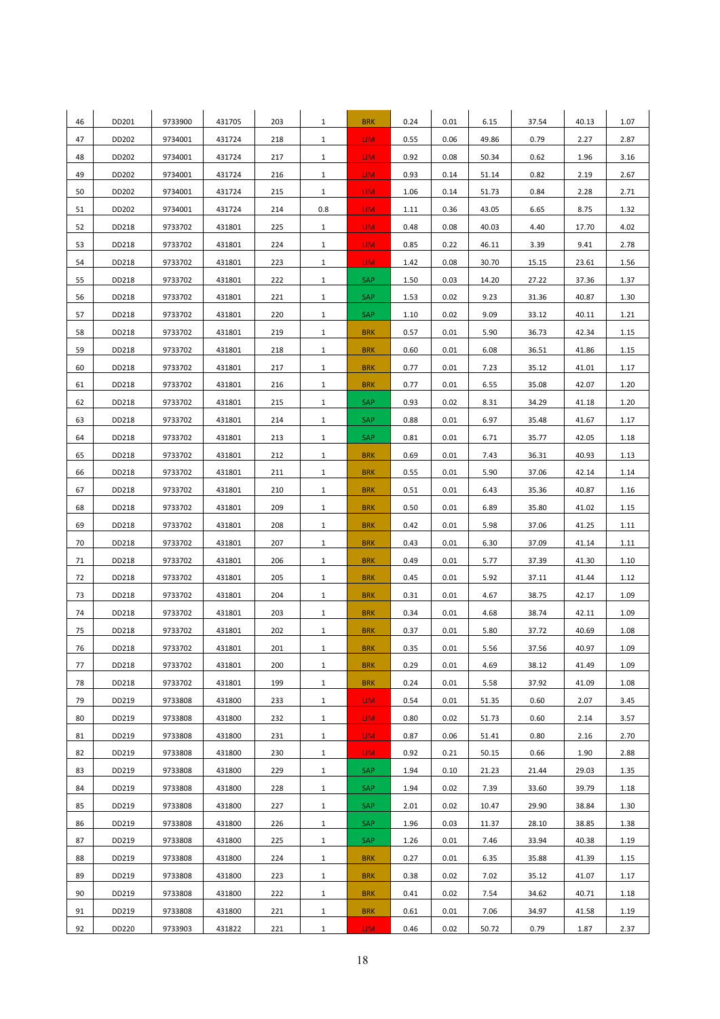| 46 | DD201 | 9733900 | 431705 | 203 | $\mathbf{1}$ | <b>BRK</b>      | 0.24 | 0.01 | 6.15  | 37.54 | 40.13 | 1.07 |
|----|-------|---------|--------|-----|--------------|-----------------|------|------|-------|-------|-------|------|
| 47 | DD202 | 9734001 | 431724 | 218 | $\mathbf{1}$ | LIM.            | 0.55 | 0.06 | 49.86 | 0.79  | 2.27  | 2.87 |
| 48 | DD202 | 9734001 | 431724 | 217 | $\mathbf{1}$ | LIM.            | 0.92 | 0.08 | 50.34 | 0.62  | 1.96  | 3.16 |
| 49 | DD202 | 9734001 | 431724 | 216 | $\mathbf{1}$ | LIM.            | 0.93 | 0.14 | 51.14 | 0.82  | 2.19  | 2.67 |
| 50 | DD202 | 9734001 | 431724 | 215 | $\mathbf{1}$ | LIM.            | 1.06 | 0.14 | 51.73 | 0.84  | 2.28  | 2.71 |
| 51 | DD202 | 9734001 | 431724 | 214 | 0.8          | LIM.            | 1.11 | 0.36 | 43.05 | 6.65  | 8.75  | 1.32 |
| 52 | DD218 | 9733702 | 431801 | 225 | $\mathbf{1}$ | LIM.            | 0.48 | 0.08 | 40.03 | 4.40  | 17.70 | 4.02 |
| 53 | DD218 | 9733702 | 431801 | 224 | $\mathbf{1}$ | LIM.            | 0.85 | 0.22 | 46.11 | 3.39  | 9.41  | 2.78 |
| 54 | DD218 | 9733702 | 431801 | 223 | $\mathbf{1}$ | LIM.            | 1.42 | 0.08 | 30.70 | 15.15 | 23.61 | 1.56 |
| 55 | DD218 | 9733702 | 431801 | 222 | $\mathbf{1}$ | SAP             | 1.50 | 0.03 | 14.20 | 27.22 | 37.36 | 1.37 |
| 56 | DD218 | 9733702 | 431801 | 221 | $\mathbf{1}$ | SAP             | 1.53 | 0.02 | 9.23  | 31.36 | 40.87 | 1.30 |
| 57 | DD218 | 9733702 | 431801 | 220 | $\mathbf{1}$ | SAP             | 1.10 | 0.02 | 9.09  | 33.12 | 40.11 | 1.21 |
| 58 | DD218 | 9733702 | 431801 | 219 | $\mathbf{1}$ | <b>BRK</b>      | 0.57 | 0.01 | 5.90  | 36.73 | 42.34 | 1.15 |
| 59 | DD218 | 9733702 | 431801 | 218 | $\mathbf{1}$ | <b>BRK</b>      | 0.60 | 0.01 | 6.08  | 36.51 | 41.86 | 1.15 |
| 60 | DD218 | 9733702 | 431801 | 217 | $\mathbf{1}$ | <b>BRK</b>      | 0.77 | 0.01 | 7.23  | 35.12 | 41.01 | 1.17 |
| 61 | DD218 | 9733702 | 431801 | 216 | $\mathbf{1}$ | <b>BRK</b>      | 0.77 | 0.01 | 6.55  | 35.08 | 42.07 | 1.20 |
| 62 | DD218 | 9733702 | 431801 | 215 | $\mathbf{1}$ | SAP             | 0.93 | 0.02 | 8.31  | 34.29 | 41.18 | 1.20 |
| 63 | DD218 | 9733702 | 431801 | 214 | $\mathbf{1}$ | SAP             | 0.88 | 0.01 | 6.97  | 35.48 | 41.67 | 1.17 |
| 64 | DD218 | 9733702 | 431801 | 213 | $\mathbf{1}$ | SAP             | 0.81 | 0.01 | 6.71  | 35.77 | 42.05 | 1.18 |
| 65 | DD218 | 9733702 | 431801 | 212 | $\mathbf{1}$ | <b>BRK</b>      | 0.69 | 0.01 | 7.43  | 36.31 | 40.93 | 1.13 |
| 66 | DD218 | 9733702 | 431801 | 211 | $\mathbf{1}$ | <b>BRK</b>      | 0.55 | 0.01 | 5.90  | 37.06 | 42.14 | 1.14 |
| 67 | DD218 | 9733702 | 431801 | 210 | $\mathbf{1}$ | <b>BRK</b>      | 0.51 | 0.01 | 6.43  | 35.36 | 40.87 | 1.16 |
| 68 | DD218 | 9733702 | 431801 | 209 | $\mathbf{1}$ | <b>BRK</b>      | 0.50 | 0.01 | 6.89  | 35.80 | 41.02 | 1.15 |
| 69 | DD218 | 9733702 | 431801 | 208 | $\mathbf{1}$ | <b>BRK</b>      | 0.42 | 0.01 | 5.98  | 37.06 | 41.25 | 1.11 |
| 70 | DD218 | 9733702 | 431801 | 207 | $\mathbf{1}$ | <b>BRK</b>      | 0.43 | 0.01 | 6.30  | 37.09 | 41.14 | 1.11 |
| 71 | DD218 | 9733702 | 431801 | 206 | $\mathbf{1}$ | <b>BRK</b>      | 0.49 | 0.01 | 5.77  | 37.39 | 41.30 | 1.10 |
| 72 | DD218 | 9733702 | 431801 | 205 | $\mathbf{1}$ | <b>BRK</b>      | 0.45 | 0.01 | 5.92  | 37.11 | 41.44 | 1.12 |
| 73 | DD218 | 9733702 | 431801 | 204 | $\mathbf{1}$ | <b>BRK</b>      | 0.31 | 0.01 | 4.67  | 38.75 | 42.17 | 1.09 |
| 74 | DD218 | 9733702 | 431801 | 203 | $\mathbf{1}$ | <b>BRK</b>      | 0.34 | 0.01 | 4.68  | 38.74 | 42.11 | 1.09 |
| 75 | DD218 | 9733702 | 431801 | 202 | $\mathbf{1}$ | <b>BRK</b>      | 0.37 | 0.01 | 5.80  | 37.72 | 40.69 | 1.08 |
| 76 | DD218 | 9733702 | 431801 | 201 | $\mathbf{1}$ | <b>BRK</b>      | 0.35 | 0.01 | 5.56  | 37.56 | 40.97 | 1.09 |
| 77 | DD218 | 9733702 | 431801 | 200 | $\mathbf{1}$ | <b>BRK</b>      | 0.29 | 0.01 | 4.69  | 38.12 | 41.49 | 1.09 |
| 78 | DD218 | 9733702 | 431801 | 199 | $\mathbf{1}$ | <b>BRK</b>      | 0.24 | 0.01 | 5.58  | 37.92 | 41.09 | 1.08 |
| 79 | DD219 | 9733808 | 431800 | 233 | $\mathbf{1}$ | LIM.            | 0.54 | 0.01 | 51.35 | 0.60  | 2.07  | 3.45 |
| 80 | DD219 | 9733808 | 431800 | 232 | $\mathbf{1}$ | LIM.            | 0.80 | 0.02 | 51.73 | 0.60  | 2.14  | 3.57 |
| 81 | DD219 | 9733808 | 431800 | 231 | $\mathbf{1}$ | LIM <sub></sub> | 0.87 | 0.06 | 51.41 | 0.80  | 2.16  | 2.70 |
| 82 | DD219 | 9733808 | 431800 | 230 | $\mathbf{1}$ | LIM.            | 0.92 | 0.21 | 50.15 | 0.66  | 1.90  | 2.88 |
| 83 | DD219 | 9733808 | 431800 | 229 | $\mathbf{1}$ | SAP             | 1.94 | 0.10 | 21.23 | 21.44 | 29.03 | 1.35 |
| 84 | DD219 | 9733808 | 431800 | 228 | $\mathbf{1}$ | <b>SAP</b>      | 1.94 | 0.02 | 7.39  | 33.60 | 39.79 | 1.18 |
| 85 | DD219 | 9733808 | 431800 | 227 | $\mathbf{1}$ | <b>SAP</b>      | 2.01 | 0.02 | 10.47 | 29.90 | 38.84 | 1.30 |
| 86 | DD219 | 9733808 | 431800 | 226 | $\mathbf{1}$ | SAP             | 1.96 | 0.03 | 11.37 | 28.10 | 38.85 | 1.38 |
| 87 | DD219 | 9733808 | 431800 | 225 | $\mathbf{1}$ | <b>SAP</b>      | 1.26 | 0.01 | 7.46  | 33.94 | 40.38 | 1.19 |
| 88 | DD219 | 9733808 | 431800 | 224 | $\mathbf{1}$ | <b>BRK</b>      | 0.27 | 0.01 | 6.35  | 35.88 | 41.39 | 1.15 |
| 89 | DD219 | 9733808 | 431800 | 223 | $\mathbf{1}$ | <b>BRK</b>      | 0.38 | 0.02 | 7.02  | 35.12 | 41.07 | 1.17 |
| 90 | DD219 | 9733808 | 431800 | 222 | $\mathbf{1}$ | <b>BRK</b>      | 0.41 | 0.02 | 7.54  | 34.62 | 40.71 | 1.18 |
| 91 | DD219 | 9733808 | 431800 | 221 | $\mathbf{1}$ | <b>BRK</b>      | 0.61 | 0.01 | 7.06  | 34.97 | 41.58 | 1.19 |
| 92 | DD220 | 9733903 | 431822 | 221 | $\mathbf{1}$ | LIM <sub></sub> | 0.46 | 0.02 | 50.72 | 0.79  | 1.87  | 2.37 |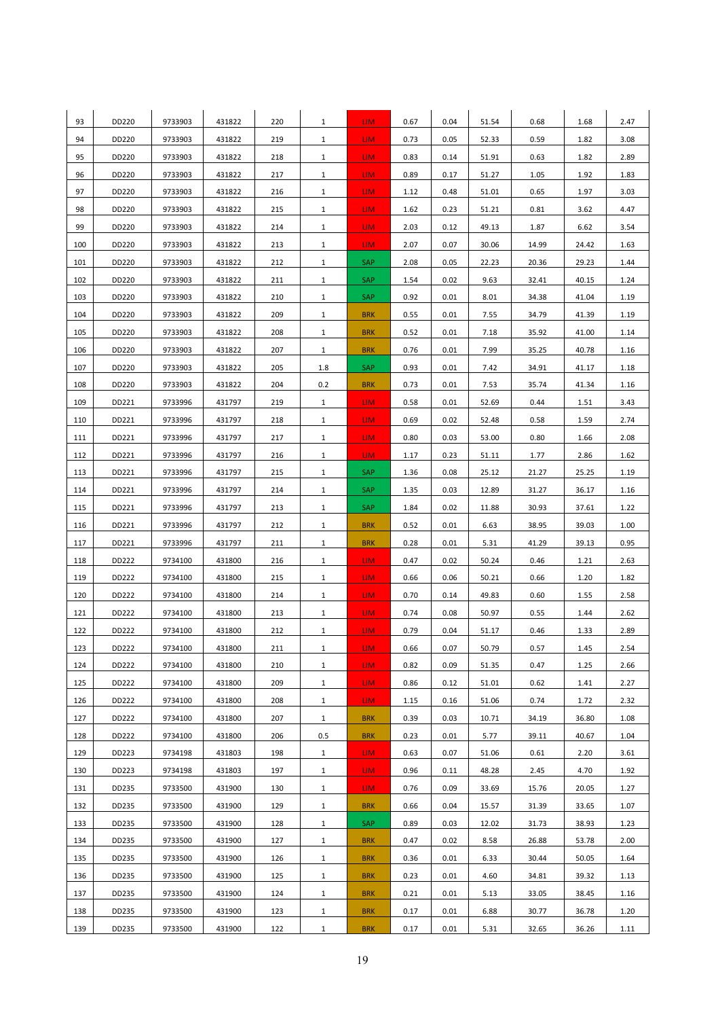| 93  | DD220 | 9733903 | 431822 | 220 | $\mathbf{1}$ | LIM.       | 0.67 | 0.04 | 51.54 | 0.68  | 1.68  | 2.47 |
|-----|-------|---------|--------|-----|--------------|------------|------|------|-------|-------|-------|------|
| 94  | DD220 | 9733903 | 431822 | 219 | $\mathbf{1}$ | LIM.       | 0.73 | 0.05 | 52.33 | 0.59  | 1.82  | 3.08 |
| 95  | DD220 | 9733903 | 431822 | 218 | $\mathbf{1}$ | LIM.       | 0.83 | 0.14 | 51.91 | 0.63  | 1.82  | 2.89 |
| 96  | DD220 | 9733903 | 431822 | 217 | $\mathbf{1}$ | LIM.       | 0.89 | 0.17 | 51.27 | 1.05  | 1.92  | 1.83 |
| 97  | DD220 | 9733903 | 431822 | 216 | $\mathbf{1}$ | LIM.       | 1.12 | 0.48 | 51.01 | 0.65  | 1.97  | 3.03 |
| 98  | DD220 | 9733903 | 431822 | 215 | $\mathbf{1}$ | LIM.       | 1.62 | 0.23 | 51.21 | 0.81  | 3.62  | 4.47 |
| 99  | DD220 | 9733903 | 431822 | 214 | $\mathbf{1}$ | LIM.       | 2.03 | 0.12 | 49.13 | 1.87  | 6.62  | 3.54 |
| 100 | DD220 | 9733903 | 431822 | 213 | $\mathbf{1}$ | LIM.       | 2.07 | 0.07 | 30.06 | 14.99 | 24.42 | 1.63 |
| 101 | DD220 | 9733903 | 431822 | 212 | $\mathbf{1}$ | SAP        | 2.08 | 0.05 | 22.23 | 20.36 | 29.23 | 1.44 |
| 102 | DD220 | 9733903 | 431822 | 211 | $\mathbf{1}$ | SAP        | 1.54 | 0.02 | 9.63  | 32.41 | 40.15 | 1.24 |
| 103 | DD220 | 9733903 | 431822 | 210 | $\mathbf{1}$ | <b>SAP</b> | 0.92 | 0.01 | 8.01  | 34.38 | 41.04 | 1.19 |
| 104 | DD220 | 9733903 | 431822 | 209 | $\mathbf{1}$ | <b>BRK</b> | 0.55 | 0.01 | 7.55  | 34.79 | 41.39 | 1.19 |
| 105 | DD220 | 9733903 | 431822 | 208 | $\mathbf{1}$ | <b>BRK</b> | 0.52 | 0.01 | 7.18  | 35.92 | 41.00 | 1.14 |
| 106 | DD220 | 9733903 | 431822 | 207 | $\mathbf{1}$ | <b>BRK</b> | 0.76 | 0.01 | 7.99  | 35.25 | 40.78 | 1.16 |
| 107 | DD220 | 9733903 | 431822 | 205 | 1.8          | SAP        | 0.93 | 0.01 | 7.42  | 34.91 | 41.17 | 1.18 |
| 108 | DD220 | 9733903 | 431822 | 204 | 0.2          | <b>BRK</b> | 0.73 | 0.01 | 7.53  | 35.74 | 41.34 | 1.16 |
| 109 | DD221 | 9733996 | 431797 | 219 | $\mathbf{1}$ | LIM.       | 0.58 | 0.01 | 52.69 | 0.44  | 1.51  | 3.43 |
| 110 | DD221 | 9733996 | 431797 | 218 | $\mathbf{1}$ | LIM.       | 0.69 | 0.02 | 52.48 | 0.58  | 1.59  | 2.74 |
| 111 | DD221 | 9733996 | 431797 | 217 | $\mathbf{1}$ | LIM.       | 0.80 | 0.03 | 53.00 | 0.80  | 1.66  | 2.08 |
| 112 | DD221 | 9733996 | 431797 | 216 | $\mathbf{1}$ | LIM.       | 1.17 | 0.23 | 51.11 | 1.77  | 2.86  | 1.62 |
| 113 | DD221 | 9733996 | 431797 | 215 | $\mathbf{1}$ | SAP        | 1.36 | 0.08 | 25.12 | 21.27 | 25.25 | 1.19 |
| 114 | DD221 | 9733996 | 431797 | 214 | $\mathbf{1}$ | SAP        | 1.35 | 0.03 | 12.89 | 31.27 | 36.17 | 1.16 |
| 115 | DD221 | 9733996 | 431797 | 213 | $\mathbf{1}$ | SAP        | 1.84 | 0.02 | 11.88 | 30.93 | 37.61 | 1.22 |
| 116 | DD221 | 9733996 | 431797 | 212 | $\mathbf{1}$ | <b>BRK</b> | 0.52 | 0.01 | 6.63  | 38.95 | 39.03 | 1.00 |
| 117 | DD221 | 9733996 | 431797 | 211 | $\mathbf{1}$ | <b>BRK</b> | 0.28 | 0.01 | 5.31  | 41.29 | 39.13 | 0.95 |
| 118 | DD222 | 9734100 | 431800 | 216 | $\mathbf{1}$ | LIM.       | 0.47 | 0.02 | 50.24 | 0.46  | 1.21  | 2.63 |
| 119 | DD222 | 9734100 | 431800 | 215 | $\mathbf{1}$ | LIM.       | 0.66 | 0.06 | 50.21 | 0.66  | 1.20  | 1.82 |
| 120 | DD222 | 9734100 | 431800 | 214 | $\mathbf{1}$ | LIM.       | 0.70 | 0.14 | 49.83 | 0.60  | 1.55  | 2.58 |
| 121 | DD222 | 9734100 | 431800 | 213 | $\mathbf{1}$ | LIM.       | 0.74 | 0.08 | 50.97 | 0.55  | 1.44  | 2.62 |
| 122 | DD222 | 9734100 | 431800 | 212 | $\mathbf{1}$ | LIM.       | 0.79 | 0.04 | 51.17 | 0.46  | 1.33  | 2.89 |
| 123 | DD222 | 9734100 | 431800 | 211 | $\mathbf 1$  | LIM.       | 0.66 | 0.07 | 50.79 | 0.57  | 1.45  | 2.54 |
| 124 | DD222 | 9734100 | 431800 | 210 | $\mathbf{1}$ | LIM.       | 0.82 | 0.09 | 51.35 | 0.47  | 1.25  | 2.66 |
| 125 | DD222 | 9734100 | 431800 | 209 | $\mathbf{1}$ | LIM.       | 0.86 | 0.12 | 51.01 | 0.62  | 1.41  | 2.27 |
| 126 | DD222 | 9734100 | 431800 | 208 | $\mathbf{1}$ | LIM.       | 1.15 | 0.16 | 51.06 | 0.74  | 1.72  | 2.32 |
| 127 | DD222 | 9734100 | 431800 | 207 | $\mathbf{1}$ | <b>BRK</b> | 0.39 | 0.03 | 10.71 | 34.19 | 36.80 | 1.08 |
| 128 | DD222 | 9734100 | 431800 | 206 | 0.5          | <b>BRK</b> | 0.23 | 0.01 | 5.77  | 39.11 | 40.67 | 1.04 |
| 129 | DD223 | 9734198 | 431803 | 198 | $\mathbf{1}$ | LIM.       | 0.63 | 0.07 | 51.06 | 0.61  | 2.20  | 3.61 |
| 130 | DD223 | 9734198 | 431803 | 197 | $\mathbf{1}$ | LIM.       | 0.96 | 0.11 | 48.28 | 2.45  | 4.70  | 1.92 |
| 131 | DD235 | 9733500 | 431900 | 130 | $\mathbf{1}$ | LIM.       | 0.76 | 0.09 | 33.69 | 15.76 | 20.05 | 1.27 |
| 132 | DD235 | 9733500 | 431900 | 129 | $\mathbf{1}$ | <b>BRK</b> | 0.66 | 0.04 | 15.57 | 31.39 | 33.65 | 1.07 |
| 133 | DD235 | 9733500 | 431900 | 128 | $\mathbf{1}$ | SAP        | 0.89 | 0.03 | 12.02 | 31.73 | 38.93 | 1.23 |
| 134 | DD235 | 9733500 | 431900 | 127 | $\mathbf{1}$ | <b>BRK</b> | 0.47 | 0.02 | 8.58  | 26.88 | 53.78 | 2.00 |
| 135 | DD235 | 9733500 | 431900 | 126 | $\mathbf{1}$ | <b>BRK</b> | 0.36 | 0.01 | 6.33  | 30.44 | 50.05 | 1.64 |
| 136 | DD235 | 9733500 | 431900 | 125 | $\mathbf{1}$ | <b>BRK</b> | 0.23 | 0.01 | 4.60  | 34.81 | 39.32 | 1.13 |
| 137 | DD235 | 9733500 | 431900 | 124 | $\mathbf{1}$ | <b>BRK</b> | 0.21 | 0.01 | 5.13  | 33.05 | 38.45 | 1.16 |
| 138 | DD235 | 9733500 | 431900 | 123 | $\mathbf{1}$ | <b>BRK</b> | 0.17 | 0.01 | 6.88  | 30.77 | 36.78 | 1.20 |
| 139 | DD235 | 9733500 | 431900 | 122 | $\mathbf{1}$ | <b>BRK</b> | 0.17 | 0.01 | 5.31  | 32.65 | 36.26 | 1.11 |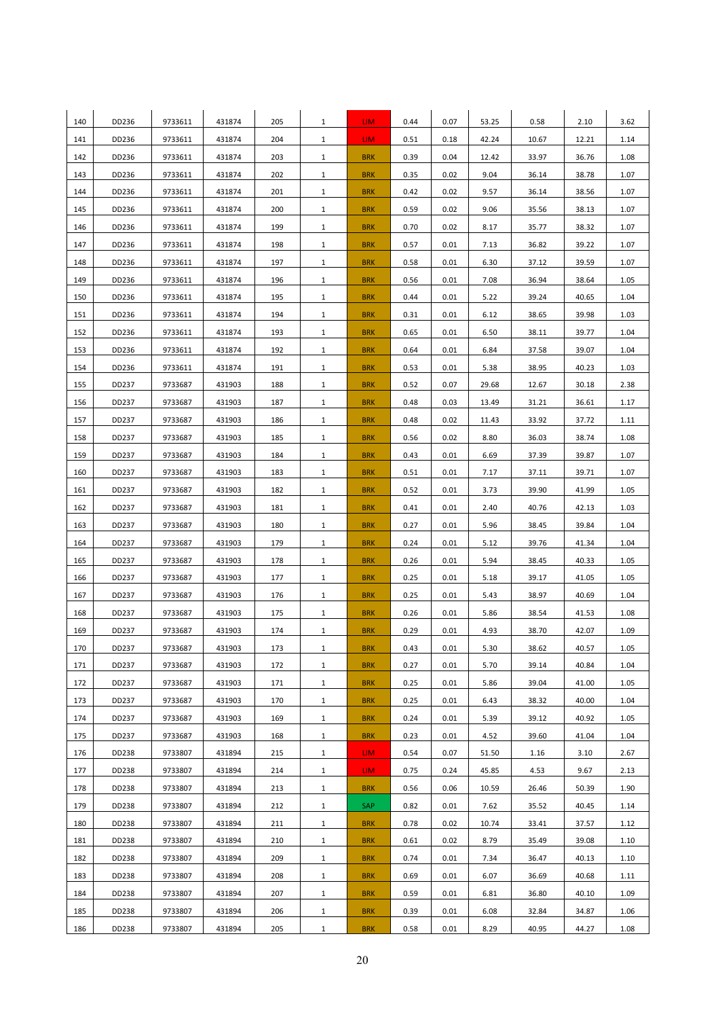| 140 | DD236 | 9733611 | 431874 | 205 | $\mathbf{1}$ | LIM.       | 0.44 | 0.07 | 53.25 | 0.58  | 2.10  | 3.62 |
|-----|-------|---------|--------|-----|--------------|------------|------|------|-------|-------|-------|------|
| 141 | DD236 | 9733611 | 431874 | 204 | $\mathbf{1}$ | LIM.       | 0.51 | 0.18 | 42.24 | 10.67 | 12.21 | 1.14 |
| 142 | DD236 | 9733611 | 431874 | 203 | $\mathbf{1}$ | <b>BRK</b> | 0.39 | 0.04 | 12.42 | 33.97 | 36.76 | 1.08 |
| 143 | DD236 | 9733611 | 431874 | 202 | $\mathbf{1}$ | <b>BRK</b> | 0.35 | 0.02 | 9.04  | 36.14 | 38.78 | 1.07 |
| 144 | DD236 | 9733611 | 431874 | 201 | $\mathbf{1}$ | <b>BRK</b> | 0.42 | 0.02 | 9.57  | 36.14 | 38.56 | 1.07 |
| 145 | DD236 | 9733611 | 431874 | 200 | $\mathbf{1}$ | <b>BRK</b> | 0.59 | 0.02 | 9.06  | 35.56 | 38.13 | 1.07 |
| 146 | DD236 | 9733611 | 431874 | 199 | $\mathbf{1}$ | <b>BRK</b> | 0.70 | 0.02 | 8.17  | 35.77 | 38.32 | 1.07 |
| 147 | DD236 | 9733611 | 431874 | 198 | $\mathbf{1}$ | <b>BRK</b> | 0.57 | 0.01 | 7.13  | 36.82 | 39.22 | 1.07 |
| 148 | DD236 | 9733611 | 431874 | 197 | $\mathbf{1}$ | <b>BRK</b> | 0.58 | 0.01 | 6.30  | 37.12 | 39.59 | 1.07 |
| 149 | DD236 | 9733611 | 431874 | 196 | $\mathbf{1}$ | <b>BRK</b> | 0.56 | 0.01 | 7.08  | 36.94 | 38.64 | 1.05 |
| 150 | DD236 | 9733611 | 431874 | 195 | $\mathbf{1}$ | <b>BRK</b> | 0.44 | 0.01 | 5.22  | 39.24 | 40.65 | 1.04 |
| 151 | DD236 | 9733611 | 431874 | 194 | $\mathbf{1}$ | <b>BRK</b> | 0.31 | 0.01 | 6.12  | 38.65 | 39.98 | 1.03 |
| 152 | DD236 | 9733611 | 431874 | 193 | $\mathbf{1}$ | <b>BRK</b> | 0.65 | 0.01 | 6.50  | 38.11 | 39.77 | 1.04 |
| 153 | DD236 | 9733611 | 431874 | 192 | $\mathbf{1}$ | <b>BRK</b> | 0.64 | 0.01 | 6.84  | 37.58 | 39.07 | 1.04 |
| 154 | DD236 | 9733611 | 431874 | 191 | $\mathbf{1}$ | <b>BRK</b> | 0.53 | 0.01 | 5.38  | 38.95 | 40.23 | 1.03 |
| 155 | DD237 | 9733687 | 431903 | 188 | $\mathbf{1}$ | <b>BRK</b> | 0.52 | 0.07 | 29.68 | 12.67 | 30.18 | 2.38 |
| 156 | DD237 | 9733687 | 431903 | 187 | $\mathbf{1}$ | <b>BRK</b> | 0.48 | 0.03 | 13.49 | 31.21 | 36.61 | 1.17 |
| 157 | DD237 | 9733687 | 431903 | 186 | $\mathbf{1}$ | <b>BRK</b> | 0.48 | 0.02 | 11.43 | 33.92 | 37.72 | 1.11 |
| 158 | DD237 | 9733687 | 431903 | 185 | $\mathbf{1}$ | <b>BRK</b> | 0.56 | 0.02 | 8.80  | 36.03 | 38.74 | 1.08 |
| 159 | DD237 | 9733687 | 431903 | 184 | $\mathbf{1}$ | <b>BRK</b> | 0.43 | 0.01 | 6.69  | 37.39 | 39.87 | 1.07 |
| 160 | DD237 | 9733687 | 431903 | 183 | $\mathbf{1}$ | <b>BRK</b> | 0.51 | 0.01 | 7.17  | 37.11 | 39.71 | 1.07 |
| 161 | DD237 | 9733687 | 431903 | 182 | $\mathbf{1}$ | <b>BRK</b> | 0.52 | 0.01 | 3.73  | 39.90 | 41.99 | 1.05 |
| 162 | DD237 | 9733687 | 431903 | 181 | $\mathbf{1}$ | <b>BRK</b> | 0.41 | 0.01 | 2.40  | 40.76 | 42.13 | 1.03 |
| 163 | DD237 | 9733687 | 431903 | 180 | $\mathbf{1}$ | <b>BRK</b> | 0.27 | 0.01 | 5.96  | 38.45 | 39.84 | 1.04 |
| 164 | DD237 | 9733687 | 431903 | 179 | $\mathbf{1}$ | <b>BRK</b> | 0.24 | 0.01 | 5.12  | 39.76 | 41.34 | 1.04 |
| 165 | DD237 | 9733687 | 431903 | 178 | $\mathbf{1}$ | <b>BRK</b> | 0.26 | 0.01 | 5.94  | 38.45 | 40.33 | 1.05 |
| 166 | DD237 | 9733687 | 431903 | 177 | $\mathbf{1}$ | <b>BRK</b> | 0.25 | 0.01 | 5.18  | 39.17 | 41.05 | 1.05 |
| 167 | DD237 | 9733687 | 431903 | 176 | $\mathbf{1}$ | <b>BRK</b> | 0.25 | 0.01 | 5.43  | 38.97 | 40.69 | 1.04 |
| 168 | DD237 | 9733687 | 431903 | 175 | $\mathbf{1}$ | <b>BRK</b> | 0.26 | 0.01 | 5.86  | 38.54 | 41.53 | 1.08 |
| 169 | DD237 | 9733687 | 431903 | 174 | $\mathbf{1}$ | <b>BRK</b> | 0.29 | 0.01 | 4.93  | 38.70 | 42.07 | 1.09 |
| 170 | DD237 | 9733687 | 431903 | 173 | $\mathbf{1}$ | <b>BRK</b> | 0.43 | 0.01 | 5.30  | 38.62 | 40.57 | 1.05 |
| 171 | DD237 | 9733687 | 431903 | 172 | $\mathbf{1}$ | <b>BRK</b> | 0.27 | 0.01 | 5.70  | 39.14 | 40.84 | 1.04 |
| 172 | DD237 | 9733687 | 431903 | 171 | $\mathbf{1}$ | <b>BRK</b> | 0.25 | 0.01 | 5.86  | 39.04 | 41.00 | 1.05 |
| 173 | DD237 | 9733687 | 431903 | 170 | $\mathbf{1}$ | <b>BRK</b> | 0.25 | 0.01 | 6.43  | 38.32 | 40.00 | 1.04 |
| 174 | DD237 | 9733687 | 431903 | 169 | $\mathbf{1}$ | <b>BRK</b> | 0.24 | 0.01 | 5.39  | 39.12 | 40.92 | 1.05 |
| 175 | DD237 | 9733687 | 431903 | 168 | $\mathbf{1}$ | <b>BRK</b> | 0.23 | 0.01 | 4.52  | 39.60 | 41.04 | 1.04 |
| 176 | DD238 | 9733807 | 431894 | 215 | $\mathbf{1}$ | LIM.       | 0.54 | 0.07 | 51.50 | 1.16  | 3.10  | 2.67 |
| 177 | DD238 | 9733807 | 431894 | 214 | $\mathbf{1}$ | LIM.       | 0.75 | 0.24 | 45.85 | 4.53  | 9.67  | 2.13 |
| 178 | DD238 | 9733807 | 431894 | 213 | $\mathbf{1}$ | <b>BRK</b> | 0.56 | 0.06 | 10.59 | 26.46 | 50.39 | 1.90 |
| 179 | DD238 | 9733807 | 431894 | 212 | $\mathbf{1}$ | <b>SAP</b> | 0.82 | 0.01 | 7.62  | 35.52 | 40.45 | 1.14 |
| 180 | DD238 | 9733807 | 431894 | 211 | $\mathbf{1}$ | <b>BRK</b> | 0.78 | 0.02 | 10.74 | 33.41 | 37.57 | 1.12 |
| 181 | DD238 | 9733807 | 431894 | 210 | $\mathbf{1}$ | <b>BRK</b> | 0.61 | 0.02 | 8.79  | 35.49 | 39.08 | 1.10 |
| 182 | DD238 | 9733807 | 431894 | 209 | $\mathbf{1}$ | <b>BRK</b> | 0.74 | 0.01 | 7.34  | 36.47 | 40.13 | 1.10 |
| 183 | DD238 | 9733807 | 431894 | 208 | $\mathbf{1}$ | <b>BRK</b> | 0.69 | 0.01 | 6.07  | 36.69 | 40.68 | 1.11 |
| 184 | DD238 | 9733807 | 431894 | 207 | $\mathbf{1}$ | <b>BRK</b> | 0.59 | 0.01 | 6.81  | 36.80 | 40.10 | 1.09 |
| 185 | DD238 | 9733807 | 431894 | 206 | $\mathbf{1}$ | <b>BRK</b> | 0.39 | 0.01 | 6.08  | 32.84 | 34.87 | 1.06 |
| 186 | DD238 | 9733807 | 431894 | 205 | $\mathbf{1}$ | <b>BRK</b> | 0.58 | 0.01 | 8.29  | 40.95 | 44.27 | 1.08 |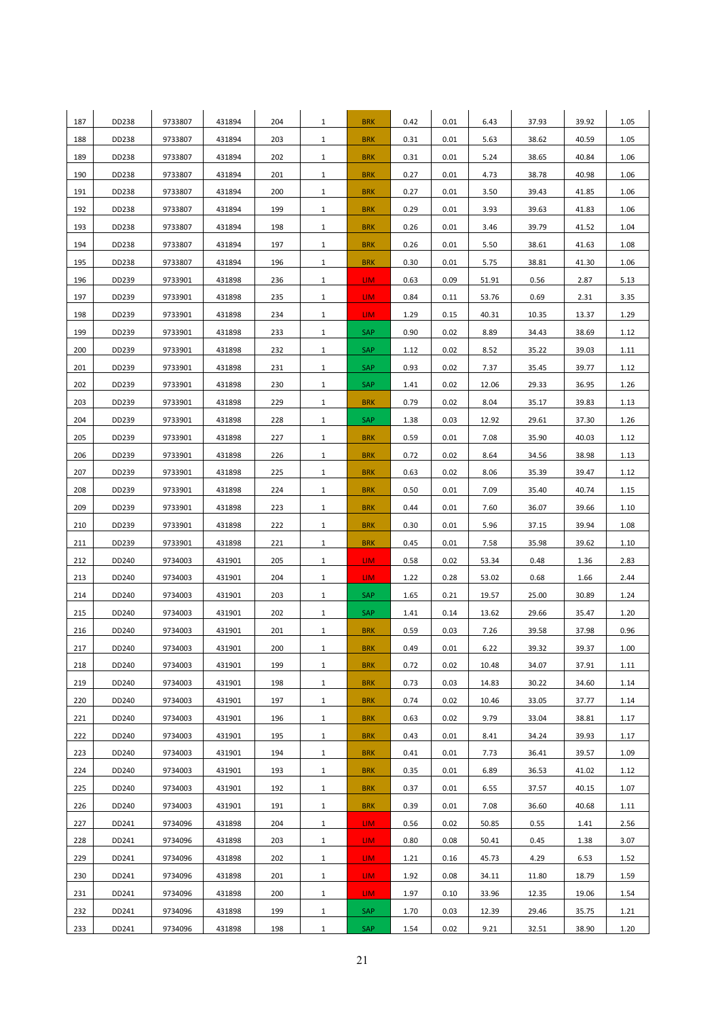| 187     | DD238 | 9733807 | 431894 | 204 | $\mathbf{1}$ | <b>BRK</b>      | 0.42 | 0.01 | 6.43  | 37.93 | 39.92 | 1.05 |
|---------|-------|---------|--------|-----|--------------|-----------------|------|------|-------|-------|-------|------|
| 188     | DD238 | 9733807 | 431894 | 203 | $\mathbf{1}$ | <b>BRK</b>      | 0.31 | 0.01 | 5.63  | 38.62 | 40.59 | 1.05 |
| 189     | DD238 | 9733807 | 431894 | 202 | $\mathbf{1}$ | <b>BRK</b>      | 0.31 | 0.01 | 5.24  | 38.65 | 40.84 | 1.06 |
| 190     | DD238 | 9733807 | 431894 | 201 | $\mathbf{1}$ | <b>BRK</b>      | 0.27 | 0.01 | 4.73  | 38.78 | 40.98 | 1.06 |
| 191     | DD238 | 9733807 | 431894 | 200 | $\mathbf{1}$ | <b>BRK</b>      | 0.27 | 0.01 | 3.50  | 39.43 | 41.85 | 1.06 |
| 192     | DD238 | 9733807 | 431894 | 199 | $\mathbf{1}$ | <b>BRK</b>      | 0.29 | 0.01 | 3.93  | 39.63 | 41.83 | 1.06 |
| 193     | DD238 | 9733807 | 431894 | 198 | $\mathbf{1}$ | <b>BRK</b>      | 0.26 | 0.01 | 3.46  | 39.79 | 41.52 | 1.04 |
| 194     | DD238 | 9733807 | 431894 | 197 | $\mathbf{1}$ | <b>BRK</b>      | 0.26 | 0.01 | 5.50  | 38.61 | 41.63 | 1.08 |
| 195     | DD238 | 9733807 | 431894 | 196 | $\mathbf{1}$ | <b>BRK</b>      | 0.30 | 0.01 | 5.75  | 38.81 | 41.30 | 1.06 |
| 196     | DD239 | 9733901 | 431898 | 236 | $\mathbf{1}$ | LIM.            | 0.63 | 0.09 | 51.91 | 0.56  | 2.87  | 5.13 |
| 197     | DD239 | 9733901 | 431898 | 235 | $\mathbf{1}$ | LIM.            | 0.84 | 0.11 | 53.76 | 0.69  | 2.31  | 3.35 |
| 198     | DD239 | 9733901 | 431898 | 234 | $\mathbf{1}$ | LIM.            | 1.29 | 0.15 | 40.31 | 10.35 | 13.37 | 1.29 |
| 199     | DD239 | 9733901 | 431898 | 233 | $\mathbf{1}$ | SAP             | 0.90 | 0.02 | 8.89  | 34.43 | 38.69 | 1.12 |
| 200     | DD239 | 9733901 | 431898 | 232 | $\mathbf{1}$ | SAP             | 1.12 | 0.02 | 8.52  | 35.22 | 39.03 | 1.11 |
| 201     | DD239 | 9733901 | 431898 | 231 | $\mathbf{1}$ | SAP             | 0.93 | 0.02 | 7.37  | 35.45 | 39.77 | 1.12 |
| 202     | DD239 | 9733901 | 431898 | 230 | $\mathbf{1}$ | SAP             | 1.41 | 0.02 | 12.06 | 29.33 | 36.95 | 1.26 |
| 203     | DD239 | 9733901 | 431898 | 229 | $\mathbf{1}$ | <b>BRK</b>      | 0.79 | 0.02 | 8.04  | 35.17 | 39.83 | 1.13 |
| 204     | DD239 | 9733901 | 431898 | 228 | $\mathbf{1}$ | <b>SAP</b>      | 1.38 | 0.03 | 12.92 | 29.61 | 37.30 | 1.26 |
| 205     | DD239 | 9733901 | 431898 | 227 | $\mathbf{1}$ | <b>BRK</b>      | 0.59 | 0.01 | 7.08  | 35.90 | 40.03 | 1.12 |
| 206     | DD239 | 9733901 | 431898 | 226 | $\mathbf{1}$ | <b>BRK</b>      | 0.72 | 0.02 | 8.64  | 34.56 | 38.98 | 1.13 |
| 207     | DD239 | 9733901 | 431898 | 225 | $\mathbf{1}$ | <b>BRK</b>      | 0.63 | 0.02 | 8.06  | 35.39 | 39.47 | 1.12 |
| 208     | DD239 | 9733901 | 431898 | 224 | $\mathbf{1}$ | <b>BRK</b>      | 0.50 | 0.01 | 7.09  | 35.40 | 40.74 | 1.15 |
| 209     | DD239 | 9733901 | 431898 | 223 | $\mathbf{1}$ | <b>BRK</b>      | 0.44 | 0.01 | 7.60  | 36.07 | 39.66 | 1.10 |
| 210     | DD239 | 9733901 | 431898 | 222 | $\mathbf{1}$ | <b>BRK</b>      | 0.30 | 0.01 | 5.96  | 37.15 | 39.94 | 1.08 |
| 211     | DD239 | 9733901 | 431898 | 221 | $\mathbf{1}$ | <b>BRK</b>      | 0.45 | 0.01 | 7.58  | 35.98 | 39.62 | 1.10 |
| 212     | DD240 | 9734003 | 431901 | 205 | $\mathbf{1}$ | LIM.            | 0.58 | 0.02 | 53.34 | 0.48  | 1.36  | 2.83 |
| 213     | DD240 | 9734003 | 431901 | 204 | $\mathbf{1}$ | LIM.            | 1.22 | 0.28 | 53.02 | 0.68  | 1.66  | 2.44 |
| 214     | DD240 | 9734003 | 431901 | 203 | $\mathbf{1}$ | SAP             | 1.65 | 0.21 | 19.57 | 25.00 | 30.89 | 1.24 |
| 215     | DD240 | 9734003 | 431901 | 202 | $\mathbf{1}$ | <b>SAP</b>      | 1.41 | 0.14 | 13.62 | 29.66 | 35.47 | 1.20 |
| 216     | DD240 | 9734003 | 431901 | 201 | $\mathbf{1}$ | <b>BRK</b>      | 0.59 | 0.03 | 7.26  | 39.58 | 37.98 | 0.96 |
| $217\,$ | DD240 | 9734003 | 431901 | 200 | $\mathbf{1}$ | <b>BRK</b>      | 0.49 | 0.01 | 6.22  | 39.32 | 39.37 | 1.00 |
| 218     | DD240 | 9734003 | 431901 | 199 | $\mathbf{1}$ | <b>BRK</b>      | 0.72 | 0.02 | 10.48 | 34.07 | 37.91 | 1.11 |
| 219     | DD240 | 9734003 | 431901 | 198 | $\mathbf{1}$ | <b>BRK</b>      | 0.73 | 0.03 | 14.83 | 30.22 | 34.60 | 1.14 |
| 220     | DD240 | 9734003 | 431901 | 197 | $\mathbf{1}$ | <b>BRK</b>      | 0.74 | 0.02 | 10.46 | 33.05 | 37.77 | 1.14 |
| 221     | DD240 | 9734003 | 431901 | 196 | $\mathbf{1}$ | <b>BRK</b>      | 0.63 | 0.02 | 9.79  | 33.04 | 38.81 | 1.17 |
| 222     | DD240 | 9734003 | 431901 | 195 | $\mathbf{1}$ | <b>BRK</b>      | 0.43 | 0.01 | 8.41  | 34.24 | 39.93 | 1.17 |
| 223     | DD240 | 9734003 | 431901 | 194 | $\mathbf{1}$ | <b>BRK</b>      | 0.41 | 0.01 | 7.73  | 36.41 | 39.57 | 1.09 |
| 224     | DD240 | 9734003 | 431901 | 193 | $\mathbf{1}$ | <b>BRK</b>      | 0.35 | 0.01 | 6.89  | 36.53 | 41.02 | 1.12 |
| 225     | DD240 | 9734003 | 431901 | 192 | $\mathbf{1}$ | <b>BRK</b>      | 0.37 | 0.01 | 6.55  | 37.57 | 40.15 | 1.07 |
| 226     | DD240 | 9734003 | 431901 | 191 | $\mathbf{1}$ | <b>BRK</b>      | 0.39 | 0.01 | 7.08  | 36.60 | 40.68 | 1.11 |
| 227     | DD241 | 9734096 | 431898 | 204 | $\mathbf{1}$ | LIM <sub></sub> | 0.56 | 0.02 | 50.85 | 0.55  | 1.41  | 2.56 |
| 228     | DD241 | 9734096 | 431898 | 203 | $\mathbf{1}$ | LIM <sub></sub> | 0.80 | 0.08 | 50.41 | 0.45  | 1.38  | 3.07 |
| 229     | DD241 | 9734096 | 431898 | 202 | $\mathbf{1}$ | LIM <sub></sub> | 1.21 | 0.16 | 45.73 | 4.29  | 6.53  | 1.52 |
| 230     | DD241 | 9734096 | 431898 | 201 | $\mathbf{1}$ | LIM.            | 1.92 | 0.08 | 34.11 | 11.80 | 18.79 | 1.59 |
| 231     | DD241 | 9734096 | 431898 | 200 | $\mathbf{1}$ | LIM.            | 1.97 | 0.10 | 33.96 | 12.35 | 19.06 | 1.54 |
| 232     | DD241 | 9734096 | 431898 | 199 | $\mathbf{1}$ | SAP             | 1.70 | 0.03 | 12.39 | 29.46 | 35.75 | 1.21 |
| 233     | DD241 | 9734096 | 431898 | 198 | $\mathbf{1}$ | <b>SAP</b>      | 1.54 | 0.02 | 9.21  | 32.51 | 38.90 | 1.20 |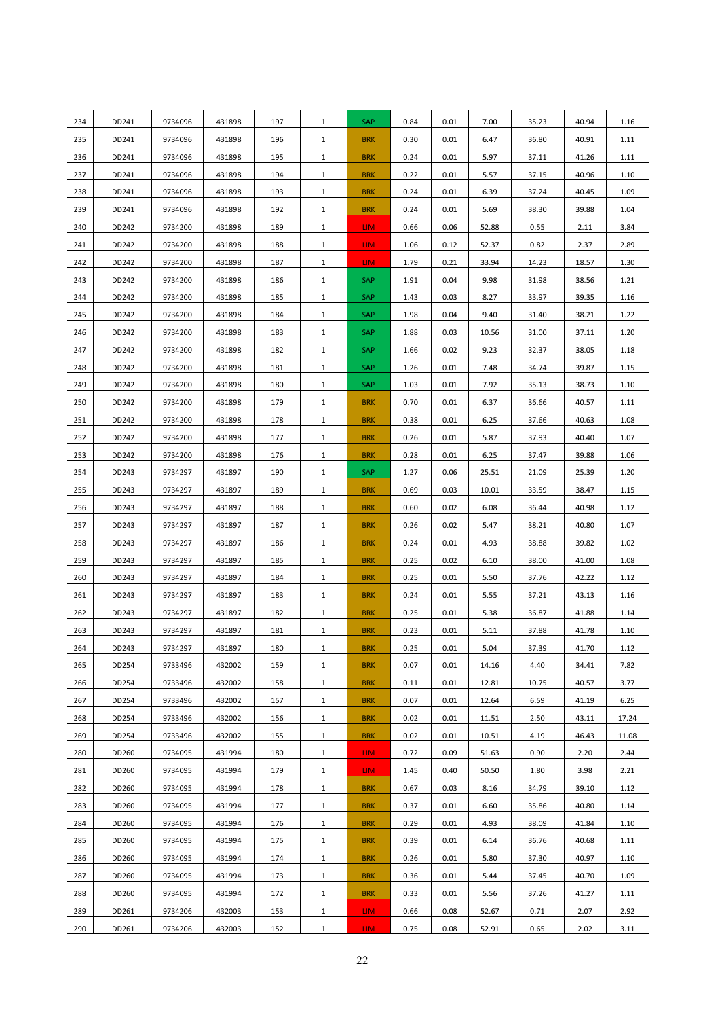| 234        | DD241          | 9734096            | 431898           | 197        | $\mathbf{1}$                 | SAP                      | 0.84         | 0.01         | 7.00         | 35.23          | 40.94          | 1.16         |
|------------|----------------|--------------------|------------------|------------|------------------------------|--------------------------|--------------|--------------|--------------|----------------|----------------|--------------|
| 235        | DD241          | 9734096            | 431898           | 196        | $\mathbf{1}$                 | <b>BRK</b>               | 0.30         | 0.01         | 6.47         | 36.80          | 40.91          | 1.11         |
| 236        | DD241          | 9734096            | 431898           | 195        | $\mathbf{1}$                 | <b>BRK</b>               | 0.24         | 0.01         | 5.97         | 37.11          | 41.26          | 1.11         |
| 237        | DD241          | 9734096            | 431898           | 194        | $\mathbf{1}$                 | <b>BRK</b>               | 0.22         | 0.01         | 5.57         | 37.15          | 40.96          | 1.10         |
| 238        | DD241          | 9734096            | 431898           | 193        | $\mathbf{1}$                 | <b>BRK</b>               | 0.24         | 0.01         | 6.39         | 37.24          | 40.45          | 1.09         |
| 239        | DD241          | 9734096            | 431898           | 192        | $\mathbf{1}$                 | <b>BRK</b>               | 0.24         | 0.01         | 5.69         | 38.30          | 39.88          | 1.04         |
| 240        | DD242          | 9734200            | 431898           | 189        | $\mathbf{1}$                 | LIM.                     | 0.66         | 0.06         | 52.88        | 0.55           | 2.11           | 3.84         |
| 241        | DD242          | 9734200            | 431898           | 188        | $\mathbf{1}$                 | LIM.                     | 1.06         | 0.12         | 52.37        | 0.82           | 2.37           | 2.89         |
| 242        | DD242          | 9734200            | 431898           | 187        | $\mathbf{1}$                 | LIM.                     | 1.79         | 0.21         | 33.94        | 14.23          | 18.57          | 1.30         |
| 243        | DD242          | 9734200            | 431898           | 186        | $\mathbf{1}$                 | SAP                      | 1.91         | 0.04         | 9.98         | 31.98          | 38.56          | 1.21         |
| 244        | DD242          | 9734200            | 431898           | 185        | $\mathbf{1}$                 | SAP                      | 1.43         | 0.03         | 8.27         | 33.97          | 39.35          | 1.16         |
| 245        | DD242          | 9734200            | 431898           | 184        | $\mathbf{1}$                 | SAP                      | 1.98         | 0.04         | 9.40         | 31.40          | 38.21          | 1.22         |
| 246        | DD242          | 9734200            | 431898           | 183        | $\mathbf{1}$                 | SAP                      | 1.88         | 0.03         | 10.56        | 31.00          | 37.11          | 1.20         |
| 247        | DD242          | 9734200            | 431898           | 182        | $\mathbf{1}$                 | SAP                      | 1.66         | 0.02         | 9.23         | 32.37          | 38.05          | 1.18         |
| 248        | DD242          | 9734200            | 431898           | 181        | $\mathbf{1}$                 | SAP                      | 1.26         | 0.01         | 7.48         | 34.74          | 39.87          | 1.15         |
| 249        | DD242          | 9734200            | 431898           | 180        | $\mathbf{1}$                 | SAP                      | 1.03         | 0.01         | 7.92         | 35.13          | 38.73          | 1.10         |
| 250        | DD242          | 9734200            | 431898           | 179        | $\mathbf{1}$                 | <b>BRK</b>               | 0.70         | 0.01         | 6.37         | 36.66          | 40.57          | 1.11         |
| 251        | DD242          | 9734200            | 431898           | 178        | $\mathbf{1}$                 | <b>BRK</b>               | 0.38         | 0.01         | 6.25         | 37.66          | 40.63          | 1.08         |
| 252        | DD242          | 9734200            | 431898           | 177        | $\mathbf{1}$                 | <b>BRK</b>               | 0.26         | 0.01         | 5.87         | 37.93          | 40.40          | 1.07         |
| 253        | DD242          | 9734200            | 431898           | 176        | $\mathbf{1}$                 | <b>BRK</b>               | 0.28         | 0.01         | 6.25         | 37.47          | 39.88          | 1.06         |
| 254        | DD243          | 9734297            | 431897           | 190        | $\mathbf{1}$                 | SAP                      | 1.27         | 0.06         | 25.51        | 21.09          | 25.39          | 1.20         |
| 255        | DD243          | 9734297            | 431897           | 189        | $\mathbf{1}$                 | <b>BRK</b>               | 0.69         | 0.03         | 10.01        | 33.59          | 38.47          | 1.15         |
| 256        | DD243          | 9734297            | 431897           | 188        | $\mathbf{1}$                 | <b>BRK</b>               | 0.60         | 0.02         | 6.08         | 36.44          | 40.98          | 1.12         |
| 257        | DD243          | 9734297            | 431897           | 187        | $\mathbf{1}$                 | <b>BRK</b>               | 0.26         | 0.02         | 5.47         | 38.21          | 40.80          | 1.07         |
| 258        | DD243          | 9734297            | 431897           | 186        | $\mathbf{1}$                 | <b>BRK</b>               | 0.24         | 0.01         | 4.93         | 38.88          | 39.82          | 1.02         |
| 259        | DD243          | 9734297            | 431897           | 185        | $\mathbf{1}$                 | <b>BRK</b>               | 0.25         | 0.02         | 6.10         | 38.00          | 41.00          | 1.08         |
| 260        | DD243          | 9734297            | 431897           | 184        | $\mathbf{1}$                 | <b>BRK</b>               | 0.25         | 0.01         | 5.50         | 37.76          | 42.22          | 1.12         |
| 261        | DD243          | 9734297            | 431897           | 183        | $\mathbf{1}$                 | <b>BRK</b>               | 0.24         | 0.01         | 5.55         | 37.21          | 43.13          | 1.16         |
| 262        | DD243          | 9734297            | 431897           | 182        | $\mathbf{1}$                 | <b>BRK</b>               | 0.25         | 0.01         | 5.38         | 36.87          | 41.88          | 1.14         |
| 263        | DD243          | 9734297            | 431897           | 181        | $\mathbf{1}$                 | <b>BRK</b>               | 0.23         | 0.01         | 5.11         | 37.88          | 41.78          | 1.10         |
| 264        | DD243          | 9734297            | 431897           | 180        | $\mathbf{1}$                 | <b>BRK</b>               | 0.25         | 0.01         | 5.04         | 37.39          | 41.70          | 1.12         |
| 265        | DD254          | 9733496            | 432002           | 159        | $\mathbf{1}$                 | <b>BRK</b>               | 0.07         | 0.01         | 14.16        | 4.40           | 34.41          | 7.82         |
| 266        | DD254          | 9733496            | 432002           | 158        | $\mathbf{1}$                 | <b>BRK</b>               | 0.11         | 0.01         | 12.81        | 10.75          | 40.57          | 3.77         |
| 267        | DD254          | 9733496            | 432002           | 157        | $\mathbf{1}$                 | <b>BRK</b>               | 0.07         | 0.01         | 12.64        | 6.59           | 41.19          | 6.25         |
| 268        | DD254          | 9733496            | 432002           | 156        | $\mathbf{1}$                 | <b>BRK</b>               | 0.02         | 0.01         | 11.51        | 2.50           | 43.11          | 17.24        |
| 269        | DD254          | 9733496            | 432002           | 155        | $\mathbf{1}$                 | <b>BRK</b>               | 0.02         | 0.01         | 10.51        | 4.19           | 46.43          | 11.08        |
| 280        | DD260<br>DD260 | 9734095            | 431994           | 180<br>179 | $\mathbf{1}$                 | LIM.                     | 0.72         | 0.09<br>0.40 | 51.63        | 0.90           | 2.20           | 2.44         |
| 281        |                | 9734095            | 431994           |            | $\mathbf{1}$                 | LIM.                     | 1.45         |              | 50.50        | 1.80           | 3.98           | 2.21         |
| 282<br>283 | DD260<br>DD260 | 9734095<br>9734095 | 431994<br>431994 | 178<br>177 | $\mathbf{1}$<br>$\mathbf{1}$ | <b>BRK</b><br><b>BRK</b> | 0.67<br>0.37 | 0.03<br>0.01 | 8.16<br>6.60 | 34.79<br>35.86 | 39.10<br>40.80 | 1.12         |
| 284        | DD260          | 9734095            | 431994           | 176        | $\mathbf{1}$                 | <b>BRK</b>               | 0.29         | 0.01         | 4.93         | 38.09          |                | 1.14         |
| 285        | DD260          | 9734095            | 431994           | 175        | $\mathbf{1}$                 | <b>BRK</b>               | 0.39         | 0.01         | 6.14         | 36.76          | 41.84<br>40.68 | 1.10<br>1.11 |
| 286        | DD260          | 9734095            | 431994           | 174        | $\mathbf{1}$                 | <b>BRK</b>               | 0.26         | 0.01         | 5.80         | 37.30          | 40.97          | 1.10         |
| 287        | DD260          | 9734095            | 431994           | 173        | $\mathbf{1}$                 | <b>BRK</b>               | 0.36         | 0.01         | 5.44         | 37.45          | 40.70          | 1.09         |
| 288        | DD260          | 9734095            | 431994           | 172        | $\mathbf{1}$                 | <b>BRK</b>               | 0.33         | 0.01         | 5.56         | 37.26          | 41.27          | 1.11         |
| 289        | DD261          | 9734206            | 432003           | 153        | $\mathbf{1}$                 | LIM.                     | 0.66         | 0.08         | 52.67        | 0.71           | 2.07           | 2.92         |
| 290        | DD261          | 9734206            | 432003           | 152        | $\mathbf{1}$                 | LIM <sub></sub>          | 0.75         | 0.08         | 52.91        | 0.65           | 2.02           | 3.11         |
|            |                |                    |                  |            |                              |                          |              |              |              |                |                |              |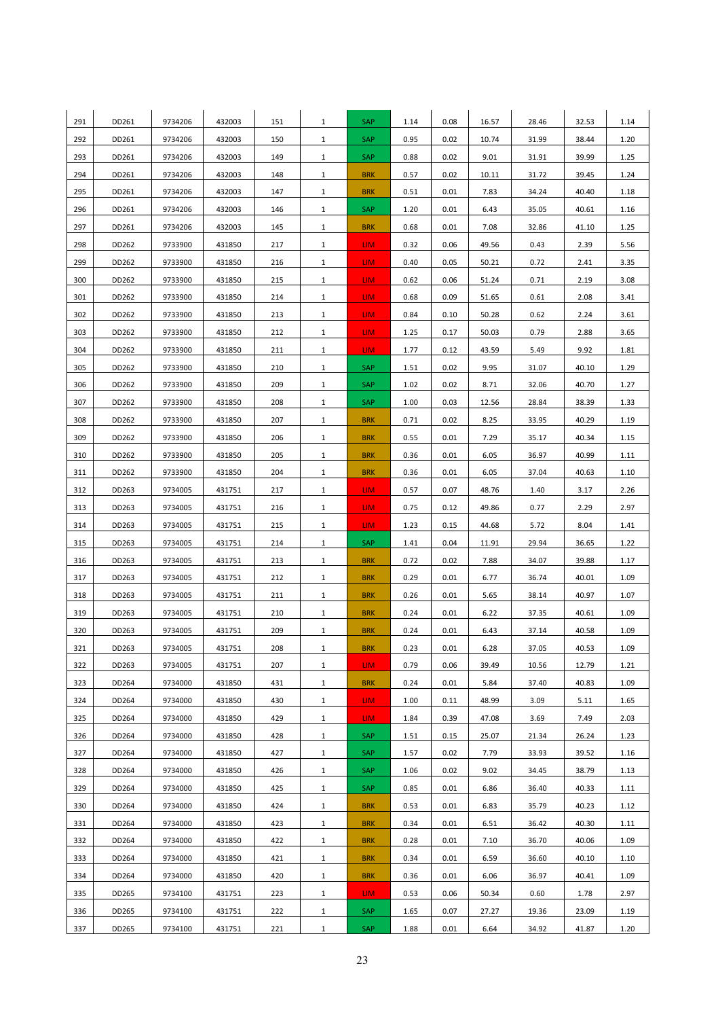| 291 | DD261 | 9734206 | 432003 | 151 | $\mathbf{1}$ | SAP        | 1.14 | 0.08 | 16.57 | 28.46 | 32.53 | 1.14 |
|-----|-------|---------|--------|-----|--------------|------------|------|------|-------|-------|-------|------|
| 292 | DD261 | 9734206 | 432003 | 150 | $\mathbf{1}$ | SAP        | 0.95 | 0.02 | 10.74 | 31.99 | 38.44 | 1.20 |
| 293 | DD261 | 9734206 | 432003 | 149 | $\mathbf{1}$ | SAP        | 0.88 | 0.02 | 9.01  | 31.91 | 39.99 | 1.25 |
| 294 | DD261 | 9734206 | 432003 | 148 | $\mathbf{1}$ | <b>BRK</b> | 0.57 | 0.02 | 10.11 | 31.72 | 39.45 | 1.24 |
| 295 | DD261 | 9734206 | 432003 | 147 | $\mathbf{1}$ | <b>BRK</b> | 0.51 | 0.01 | 7.83  | 34.24 | 40.40 | 1.18 |
| 296 | DD261 | 9734206 | 432003 | 146 | $\mathbf{1}$ | <b>SAP</b> | 1.20 | 0.01 | 6.43  | 35.05 | 40.61 | 1.16 |
| 297 | DD261 | 9734206 | 432003 | 145 | $\mathbf{1}$ | <b>BRK</b> | 0.68 | 0.01 | 7.08  | 32.86 | 41.10 | 1.25 |
| 298 | DD262 | 9733900 | 431850 | 217 | $\mathbf{1}$ | LIM.       | 0.32 | 0.06 | 49.56 | 0.43  | 2.39  | 5.56 |
| 299 | DD262 | 9733900 | 431850 | 216 | $\mathbf{1}$ | LIM.       | 0.40 | 0.05 | 50.21 | 0.72  | 2.41  | 3.35 |
| 300 | DD262 | 9733900 | 431850 | 215 | $\mathbf{1}$ | LIM.       | 0.62 | 0.06 | 51.24 | 0.71  | 2.19  | 3.08 |
| 301 | DD262 | 9733900 | 431850 | 214 | $\mathbf{1}$ | LIM.       | 0.68 | 0.09 | 51.65 | 0.61  | 2.08  | 3.41 |
| 302 | DD262 | 9733900 | 431850 | 213 | $\mathbf{1}$ | LIM.       | 0.84 | 0.10 | 50.28 | 0.62  | 2.24  | 3.61 |
| 303 | DD262 | 9733900 | 431850 | 212 | $\mathbf{1}$ | LIM.       | 1.25 | 0.17 | 50.03 | 0.79  | 2.88  | 3.65 |
| 304 | DD262 | 9733900 | 431850 | 211 | $\mathbf{1}$ | LIM.       | 1.77 | 0.12 | 43.59 | 5.49  | 9.92  | 1.81 |
| 305 | DD262 | 9733900 | 431850 | 210 | $\mathbf{1}$ | SAP        | 1.51 | 0.02 | 9.95  | 31.07 | 40.10 | 1.29 |
| 306 | DD262 | 9733900 | 431850 | 209 | $\mathbf{1}$ | SAP        | 1.02 | 0.02 | 8.71  | 32.06 | 40.70 | 1.27 |
| 307 | DD262 | 9733900 | 431850 | 208 | $\mathbf{1}$ | <b>SAP</b> | 1.00 | 0.03 | 12.56 | 28.84 | 38.39 | 1.33 |
| 308 | DD262 | 9733900 | 431850 | 207 | $\mathbf{1}$ | <b>BRK</b> | 0.71 | 0.02 | 8.25  | 33.95 | 40.29 | 1.19 |
| 309 | DD262 | 9733900 | 431850 | 206 | $\mathbf{1}$ | <b>BRK</b> | 0.55 | 0.01 | 7.29  | 35.17 | 40.34 | 1.15 |
| 310 | DD262 | 9733900 | 431850 | 205 | $\mathbf{1}$ | <b>BRK</b> | 0.36 | 0.01 | 6.05  | 36.97 | 40.99 | 1.11 |
| 311 | DD262 | 9733900 | 431850 | 204 | $\mathbf{1}$ | <b>BRK</b> | 0.36 | 0.01 | 6.05  | 37.04 | 40.63 | 1.10 |
| 312 | DD263 | 9734005 | 431751 | 217 | $\mathbf{1}$ | LIM.       | 0.57 | 0.07 | 48.76 | 1.40  | 3.17  | 2.26 |
| 313 | DD263 | 9734005 | 431751 | 216 | $\mathbf{1}$ | LIM.       | 0.75 | 0.12 | 49.86 | 0.77  | 2.29  | 2.97 |
| 314 | DD263 | 9734005 | 431751 | 215 | $\mathbf{1}$ | LIM.       | 1.23 | 0.15 | 44.68 | 5.72  | 8.04  | 1.41 |
| 315 | DD263 | 9734005 | 431751 | 214 | $\mathbf{1}$ | SAP        | 1.41 | 0.04 | 11.91 | 29.94 | 36.65 | 1.22 |
| 316 | DD263 | 9734005 | 431751 | 213 | $\mathbf{1}$ | <b>BRK</b> | 0.72 | 0.02 | 7.88  | 34.07 | 39.88 | 1.17 |
| 317 | DD263 | 9734005 | 431751 | 212 | $\mathbf{1}$ | <b>BRK</b> | 0.29 | 0.01 | 6.77  | 36.74 | 40.01 | 1.09 |
| 318 | DD263 | 9734005 | 431751 | 211 | $\mathbf{1}$ | <b>BRK</b> | 0.26 | 0.01 | 5.65  | 38.14 | 40.97 | 1.07 |
| 319 | DD263 | 9734005 | 431751 | 210 | $\mathbf{1}$ | <b>BRK</b> | 0.24 | 0.01 | 6.22  | 37.35 | 40.61 | 1.09 |
| 320 | DD263 | 9734005 | 431751 | 209 | $\mathbf{1}$ | <b>BRK</b> | 0.24 | 0.01 | 6.43  | 37.14 | 40.58 | 1.09 |
| 321 | DD263 | 9734005 | 431751 | 208 | $\mathbf{1}$ | <b>BRK</b> | 0.23 | 0.01 | 6.28  | 37.05 | 40.53 | 1.09 |
| 322 | DD263 | 9734005 | 431751 | 207 | $\mathbf{1}$ | LIM.       | 0.79 | 0.06 | 39.49 | 10.56 | 12.79 | 1.21 |
| 323 | DD264 | 9734000 | 431850 | 431 | $\mathbf{1}$ | <b>BRK</b> | 0.24 | 0.01 | 5.84  | 37.40 | 40.83 | 1.09 |
| 324 | DD264 | 9734000 | 431850 | 430 | $\mathbf{1}$ | LIM.       | 1.00 | 0.11 | 48.99 | 3.09  | 5.11  | 1.65 |
| 325 | DD264 | 9734000 | 431850 | 429 | $\mathbf{1}$ | LIM.       | 1.84 | 0.39 | 47.08 | 3.69  | 7.49  | 2.03 |
| 326 | DD264 | 9734000 | 431850 | 428 | $\mathbf{1}$ | SAP        | 1.51 | 0.15 | 25.07 | 21.34 | 26.24 | 1.23 |
| 327 | DD264 | 9734000 | 431850 | 427 | $\mathbf{1}$ | SAP        | 1.57 | 0.02 | 7.79  | 33.93 | 39.52 | 1.16 |
| 328 | DD264 | 9734000 | 431850 | 426 | $\mathbf{1}$ | SAP        | 1.06 | 0.02 | 9.02  | 34.45 | 38.79 | 1.13 |
| 329 | DD264 | 9734000 | 431850 | 425 | $\mathbf{1}$ | SAP        | 0.85 | 0.01 | 6.86  | 36.40 | 40.33 | 1.11 |
| 330 | DD264 | 9734000 | 431850 | 424 | $\mathbf{1}$ | <b>BRK</b> | 0.53 | 0.01 | 6.83  | 35.79 | 40.23 | 1.12 |
| 331 | DD264 | 9734000 | 431850 | 423 | $\mathbf{1}$ | <b>BRK</b> | 0.34 | 0.01 | 6.51  | 36.42 | 40.30 | 1.11 |
| 332 | DD264 | 9734000 | 431850 | 422 | $\mathbf{1}$ | <b>BRK</b> | 0.28 | 0.01 | 7.10  | 36.70 | 40.06 | 1.09 |
| 333 | DD264 | 9734000 | 431850 | 421 | $\mathbf{1}$ | <b>BRK</b> | 0.34 | 0.01 | 6.59  | 36.60 | 40.10 | 1.10 |
| 334 | DD264 | 9734000 | 431850 | 420 | $\mathbf{1}$ | <b>BRK</b> | 0.36 | 0.01 | 6.06  | 36.97 | 40.41 | 1.09 |
| 335 | DD265 | 9734100 | 431751 | 223 | $\mathbf{1}$ | LIM.       | 0.53 | 0.06 | 50.34 | 0.60  | 1.78  | 2.97 |
| 336 | DD265 | 9734100 | 431751 | 222 | $\mathbf{1}$ | SAP        | 1.65 | 0.07 | 27.27 | 19.36 | 23.09 | 1.19 |
| 337 | DD265 | 9734100 | 431751 | 221 | $\mathbf{1}$ | SAP        | 1.88 | 0.01 | 6.64  | 34.92 | 41.87 | 1.20 |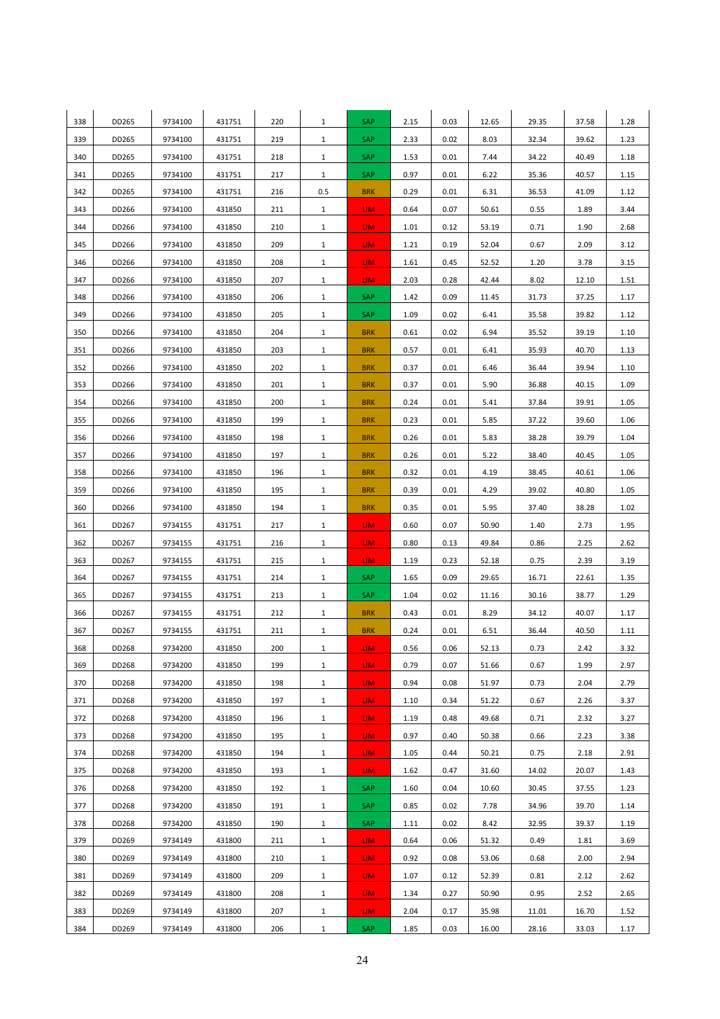| 338 | DD265 | 9734100 | 431751 | 220 | $\mathbf{1}$ | SAP             | 2.15 | 0.03 | 12.65 | 29.35 | 37.58 | 1.28 |
|-----|-------|---------|--------|-----|--------------|-----------------|------|------|-------|-------|-------|------|
| 339 | DD265 | 9734100 | 431751 | 219 | $\mathbf{1}$ | SAP             | 2.33 | 0.02 | 8.03  | 32.34 | 39.62 | 1.23 |
| 340 | DD265 | 9734100 | 431751 | 218 | $\mathbf{1}$ | SAP             | 1.53 | 0.01 | 7.44  | 34.22 | 40.49 | 1.18 |
| 341 | DD265 | 9734100 | 431751 | 217 | $\mathbf{1}$ | <b>SAP</b>      | 0.97 | 0.01 | 6.22  | 35.36 | 40.57 | 1.15 |
| 342 | DD265 | 9734100 | 431751 | 216 | 0.5          | <b>BRK</b>      | 0.29 | 0.01 | 6.31  | 36.53 | 41.09 | 1.12 |
| 343 | DD266 | 9734100 | 431850 | 211 | $\mathbf{1}$ | LIM.            | 0.64 | 0.07 | 50.61 | 0.55  | 1.89  | 3.44 |
| 344 | DD266 | 9734100 | 431850 | 210 | $\mathbf{1}$ | LIM.            | 1.01 | 0.12 | 53.19 | 0.71  | 1.90  | 2.68 |
| 345 | DD266 | 9734100 | 431850 | 209 | $\mathbf{1}$ | LIM.            | 1.21 | 0.19 | 52.04 | 0.67  | 2.09  | 3.12 |
| 346 | DD266 | 9734100 | 431850 | 208 | $\mathbf{1}$ | LIM.            | 1.61 | 0.45 | 52.52 | 1.20  | 3.78  | 3.15 |
| 347 | DD266 | 9734100 | 431850 | 207 | $\mathbf{1}$ | LIM.            | 2.03 | 0.28 | 42.44 | 8.02  | 12.10 | 1.51 |
| 348 | DD266 | 9734100 | 431850 | 206 | $\mathbf{1}$ | SAP             | 1.42 | 0.09 | 11.45 | 31.73 | 37.25 | 1.17 |
| 349 | DD266 | 9734100 | 431850 | 205 | $\mathbf{1}$ | SAP             | 1.09 | 0.02 | 6.41  | 35.58 | 39.82 | 1.12 |
| 350 | DD266 | 9734100 | 431850 | 204 | $\mathbf{1}$ | <b>BRK</b>      | 0.61 | 0.02 | 6.94  | 35.52 | 39.19 | 1.10 |
| 351 | DD266 | 9734100 | 431850 | 203 | $\mathbf{1}$ | <b>BRK</b>      | 0.57 | 0.01 | 6.41  | 35.93 | 40.70 | 1.13 |
| 352 | DD266 | 9734100 | 431850 | 202 | $\mathbf{1}$ | <b>BRK</b>      | 0.37 | 0.01 | 6.46  | 36.44 | 39.94 | 1.10 |
| 353 | DD266 | 9734100 | 431850 | 201 | $\mathbf{1}$ | <b>BRK</b>      | 0.37 | 0.01 | 5.90  | 36.88 | 40.15 | 1.09 |
| 354 | DD266 | 9734100 | 431850 | 200 | $\mathbf{1}$ | <b>BRK</b>      | 0.24 | 0.01 | 5.41  | 37.84 | 39.91 | 1.05 |
| 355 | DD266 | 9734100 | 431850 | 199 | $\mathbf{1}$ | <b>BRK</b>      | 0.23 | 0.01 | 5.85  | 37.22 | 39.60 | 1.06 |
| 356 | DD266 | 9734100 | 431850 | 198 | $\mathbf{1}$ | <b>BRK</b>      | 0.26 | 0.01 | 5.83  | 38.28 | 39.79 | 1.04 |
| 357 | DD266 | 9734100 | 431850 | 197 | $\mathbf{1}$ | <b>BRK</b>      | 0.26 | 0.01 | 5.22  | 38.40 | 40.45 | 1.05 |
| 358 | DD266 | 9734100 | 431850 | 196 | $\mathbf{1}$ | <b>BRK</b>      | 0.32 | 0.01 | 4.19  | 38.45 | 40.61 | 1.06 |
| 359 | DD266 | 9734100 | 431850 | 195 | $\mathbf{1}$ | <b>BRK</b>      | 0.39 | 0.01 | 4.29  | 39.02 | 40.80 | 1.05 |
| 360 | DD266 | 9734100 | 431850 | 194 | $\mathbf{1}$ | <b>BRK</b>      | 0.35 | 0.01 | 5.95  | 37.40 | 38.28 | 1.02 |
| 361 | DD267 | 9734155 | 431751 | 217 | $\mathbf{1}$ | LIM <sub></sub> | 0.60 | 0.07 | 50.90 | 1.40  | 2.73  | 1.95 |
| 362 | DD267 | 9734155 | 431751 | 216 | $\mathbf{1}$ | LIM.            | 0.80 | 0.13 | 49.84 | 0.86  | 2.25  | 2.62 |
| 363 | DD267 | 9734155 | 431751 | 215 | $\mathbf{1}$ | LIM.            | 1.19 | 0.23 | 52.18 | 0.75  | 2.39  | 3.19 |
| 364 | DD267 | 9734155 | 431751 | 214 | $\mathbf{1}$ | SAP             | 1.65 | 0.09 | 29.65 | 16.71 | 22.61 | 1.35 |
| 365 | DD267 | 9734155 | 431751 | 213 | $\mathbf{1}$ | <b>SAP</b>      | 1.04 | 0.02 | 11.16 | 30.16 | 38.77 | 1.29 |
| 366 | DD267 | 9734155 | 431751 | 212 | $\mathbf{1}$ | <b>BRK</b>      | 0.43 | 0.01 | 8.29  | 34.12 | 40.07 | 1.17 |
| 367 | DD267 | 9734155 | 431751 | 211 | $\mathbf{1}$ | <b>BRK</b>      | 0.24 | 0.01 | 6.51  | 36.44 | 40.50 | 1.11 |
| 368 | DD268 | 9734200 | 431850 | 200 | $\mathbf{1}$ | LIM.            | 0.56 | 0.06 | 52.13 | 0.73  | 2.42  | 3.32 |
| 369 | DD268 | 9734200 | 431850 | 199 | $\mathbf{1}$ | LIM.            | 0.79 | 0.07 | 51.66 | 0.67  | 1.99  | 2.97 |
| 370 | DD268 | 9734200 | 431850 | 198 | $\mathbf{1}$ | LIM.            | 0.94 | 0.08 | 51.97 | 0.73  | 2.04  | 2.79 |
| 371 | DD268 | 9734200 | 431850 | 197 | $\mathbf{1}$ | LIM.            | 1.10 | 0.34 | 51.22 | 0.67  | 2.26  | 3.37 |
| 372 | DD268 | 9734200 | 431850 | 196 | $\mathbf{1}$ | LIM <sub></sub> | 1.19 | 0.48 | 49.68 | 0.71  | 2.32  | 3.27 |
| 373 | DD268 | 9734200 | 431850 | 195 | $\mathbf{1}$ | LIM <sub></sub> | 0.97 | 0.40 | 50.38 | 0.66  | 2.23  | 3.38 |
| 374 | DD268 | 9734200 | 431850 | 194 | $\mathbf{1}$ | LIM.            | 1.05 | 0.44 | 50.21 | 0.75  | 2.18  | 2.91 |
| 375 | DD268 | 9734200 | 431850 | 193 | $\mathbf{1}$ | LIM.            | 1.62 | 0.47 | 31.60 | 14.02 | 20.07 | 1.43 |
| 376 | DD268 | 9734200 | 431850 | 192 | $\mathbf{1}$ | SAP             | 1.60 | 0.04 | 10.60 | 30.45 | 37.55 | 1.23 |
| 377 | DD268 | 9734200 | 431850 | 191 | $\mathbf{1}$ | <b>SAP</b>      | 0.85 | 0.02 | 7.78  | 34.96 | 39.70 | 1.14 |
| 378 | DD268 | 9734200 | 431850 | 190 | $\mathbf{1}$ | <b>SAP</b>      | 1.11 | 0.02 | 8.42  | 32.95 | 39.37 | 1.19 |
| 379 | DD269 | 9734149 | 431800 | 211 | $\mathbf{1}$ | LIM.            | 0.64 | 0.06 | 51.32 | 0.49  | 1.81  | 3.69 |
| 380 | DD269 | 9734149 | 431800 | 210 | $\mathbf{1}$ | LIM.            | 0.92 | 0.08 | 53.06 | 0.68  | 2.00  | 2.94 |
| 381 | DD269 | 9734149 | 431800 | 209 | $\mathbf{1}$ | LIM.            | 1.07 | 0.12 | 52.39 | 0.81  | 2.12  | 2.62 |
| 382 | DD269 | 9734149 | 431800 | 208 | $\mathbf{1}$ | LIM.            | 1.34 | 0.27 | 50.90 | 0.95  | 2.52  | 2.65 |
| 383 | DD269 | 9734149 | 431800 | 207 | $\mathbf{1}$ | LIM.            | 2.04 | 0.17 | 35.98 | 11.01 | 16.70 | 1.52 |
| 384 | DD269 | 9734149 | 431800 | 206 | $\mathbf{1}$ | <b>SAP</b>      | 1.85 | 0.03 | 16.00 | 28.16 | 33.03 | 1.17 |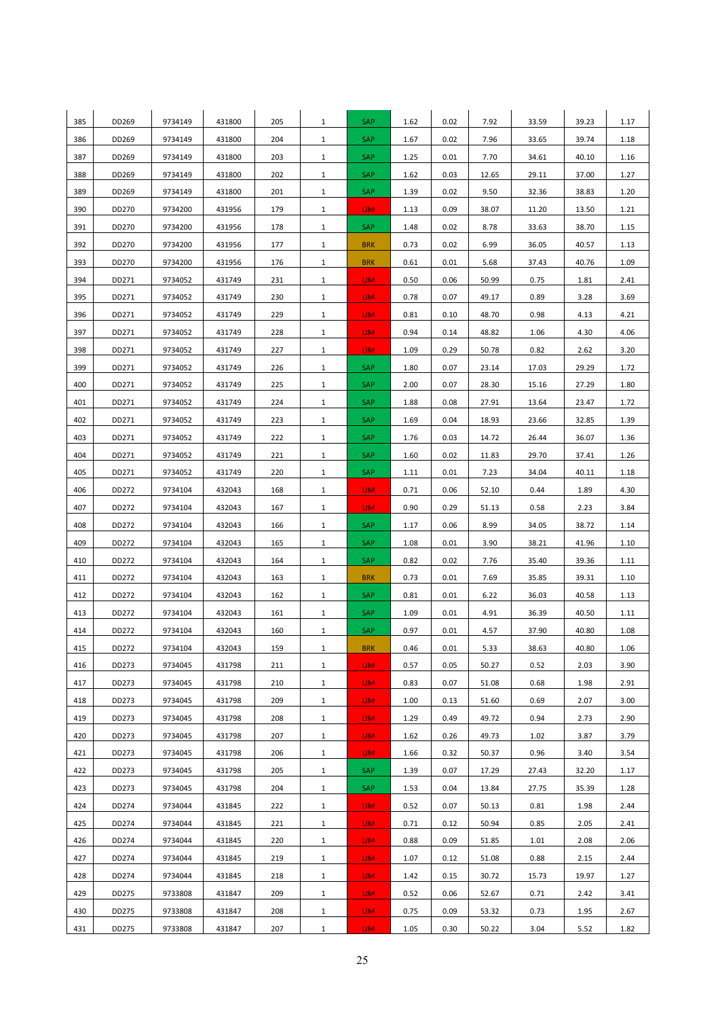| 385        | DD269          | 9734149            | 431800           | 205        | $\mathbf{1}$                 | SAP             | 1.62         | 0.02         | 7.92           | 33.59        | 39.23        | 1.17         |
|------------|----------------|--------------------|------------------|------------|------------------------------|-----------------|--------------|--------------|----------------|--------------|--------------|--------------|
| 386        | DD269          | 9734149            | 431800           | 204        | $\mathbf{1}$                 | SAP             | 1.67         | 0.02         | 7.96           | 33.65        | 39.74        | 1.18         |
| 387        | DD269          | 9734149            | 431800           | 203        | $\mathbf{1}$                 | SAP             | 1.25         | 0.01         | 7.70           | 34.61        | 40.10        | 1.16         |
| 388        | DD269          | 9734149            | 431800           | 202        | 1                            | SAP             | 1.62         | 0.03         | 12.65          | 29.11        | 37.00        | 1.27         |
| 389        | DD269          | 9734149            | 431800           | 201        | $\mathbf{1}$                 | SAP             | 1.39         | 0.02         | 9.50           | 32.36        | 38.83        | 1.20         |
| 390        | DD270          | 9734200            | 431956           | 179        | $\mathbf{1}$                 | LIM.            | 1.13         | 0.09         | 38.07          | 11.20        | 13.50        | 1.21         |
| 391        | DD270          | 9734200            | 431956           | 178        | 1                            | SAP             | 1.48         | 0.02         | 8.78           | 33.63        | 38.70        | 1.15         |
| 392        | DD270          | 9734200            | 431956           | 177        | $\mathbf{1}$                 | <b>BRK</b>      | 0.73         | 0.02         | 6.99           | 36.05        | 40.57        | 1.13         |
| 393        | DD270          | 9734200            | 431956           | 176        | $\mathbf{1}$                 | <b>BRK</b>      | 0.61         | 0.01         | 5.68           | 37.43        | 40.76        | 1.09         |
| 394        | DD271          | 9734052            | 431749           | 231        | $\mathbf{1}$                 | LIM.            | 0.50         | 0.06         | 50.99          | 0.75         | 1.81         | 2.41         |
| 395        | DD271          | 9734052            | 431749           | 230        | $\mathbf{1}$                 | LIM.            | 0.78         | 0.07         | 49.17          | 0.89         | 3.28         | 3.69         |
| 396        | DD271          | 9734052            | 431749           | 229        | $\mathbf{1}$                 | LIM <sub></sub> | 0.81         | 0.10         | 48.70          | 0.98         | 4.13         | 4.21         |
| 397        | DD271          | 9734052            | 431749           | 228        | $\mathbf{1}$                 | LIM.            | 0.94         | 0.14         | 48.82          | 1.06         | 4.30         | 4.06         |
| 398        | DD271          | 9734052            | 431749           | 227        | $\mathbf{1}$                 | LIM.            | 1.09         | 0.29         | 50.78          | 0.82         | 2.62         | 3.20         |
| 399        | DD271          | 9734052            | 431749           | 226        | $\mathbf{1}$                 | SAP             | 1.80         | 0.07         | 23.14          | 17.03        | 29.29        | 1.72         |
| 400        | DD271          | 9734052            | 431749           | 225        | $\mathbf{1}$                 | SAP             | 2.00         | 0.07         | 28.30          | 15.16        | 27.29        | 1.80         |
| 401        | DD271          | 9734052            | 431749           | 224        | $\mathbf{1}$                 | SAP             | 1.88         | 0.08         | 27.91          | 13.64        | 23.47        | 1.72         |
| 402        | DD271          | 9734052            | 431749           | 223        | $\mathbf{1}$                 | SAP             | 1.69         | 0.04         | 18.93          | 23.66        | 32.85        | 1.39         |
| 403        | DD271          | 9734052            | 431749           | 222        | $\mathbf{1}$                 | SAP             | 1.76         | 0.03         | 14.72          | 26.44        | 36.07        | 1.36         |
| 404        | DD271          | 9734052            | 431749           | 221        | $\mathbf{1}$                 | SAP             | 1.60         | 0.02         | 11.83          | 29.70        | 37.41        | 1.26         |
| 405        | DD271          | 9734052            | 431749           | 220        | $\mathbf{1}$                 | SAP             | 1.11         | 0.01         | 7.23           | 34.04        | 40.11        | 1.18         |
| 406        | DD272          | 9734104            | 432043           | 168        | $\mathbf{1}$                 | LIM.            | 0.71         | 0.06         | 52.10          | 0.44         | 1.89         | 4.30         |
| 407        | DD272          | 9734104            | 432043           | 167        | $\mathbf{1}$                 | LIM.            | 0.90         | 0.29         | 51.13          | 0.58         | 2.23         | 3.84         |
| 408        | DD272          | 9734104            | 432043           | 166        | $\mathbf{1}$                 | SAP             | 1.17         | 0.06         | 8.99           | 34.05        | 38.72        | 1.14         |
| 409        | DD272          | 9734104            | 432043           | 165        | $\mathbf{1}$                 | SAP             | 1.08         | 0.01         | 3.90           | 38.21        | 41.96        | 1.10         |
| 410        | DD272          | 9734104            | 432043           | 164        | $\mathbf{1}$                 | SAP             | 0.82         | 0.02         | 7.76           | 35.40        | 39.36        | 1.11         |
| 411        | DD272          | 9734104            | 432043           | 163        | $\mathbf{1}$                 | <b>BRK</b>      | 0.73         | 0.01         | 7.69           | 35.85        | 39.31        | 1.10         |
| 412        | DD272          | 9734104            | 432043           | 162        | $\mathbf{1}$                 | SAP             | 0.81         | 0.01         | 6.22           | 36.03        | 40.58        | 1.13         |
| 413        | DD272          | 9734104            | 432043           | 161        | $\mathbf{1}$                 | SAP             | 1.09         | 0.01         | 4.91           | 36.39        | 40.50        | 1.11         |
| 414        | DD272          | 9734104            | 432043           | 160        | $\mathbf{1}$                 | SAP             | 0.97         | 0.01         | 4.57           | 37.90        | 40.80        | 1.08         |
| 415        | DD272          | 9734104            | 432043           | 159        | $1\,$                        | <b>BRK</b>      | 0.46         | 0.01         | 5.33           | 38.63        | 40.80        | 1.06         |
| 416        | DD273          | 9734045            | 431798           | 211        | $\mathbf{1}$                 | LIM.            | 0.57         | 0.05         | 50.27          | 0.52         | 2.03         | 3.90         |
| 417        | DD273          | 9734045            | 431798           | 210        | $\mathbf{1}$                 | LIM.            | 0.83         | 0.07         | 51.08          | 0.68         | 1.98         | 2.91         |
| 418<br>419 | DD273<br>DD273 | 9734045<br>9734045 | 431798<br>431798 | 209<br>208 | $\mathbf{1}$<br>$\mathbf{1}$ | LIM.            | 1.00<br>1.29 | 0.13<br>0.49 | 51.60<br>49.72 | 0.69<br>0.94 | 2.07<br>2.73 | 3.00<br>2.90 |
| 420        | DD273          | 9734045            | 431798           | 207        | $\mathbf{1}$                 | LIM.<br>LIM.    | 1.62         | 0.26         | 49.73          | 1.02         | 3.87         | 3.79         |
| 421        | DD273          | 9734045            | 431798           | 206        | $\mathbf{1}$                 | LIM.            | 1.66         | 0.32         | 50.37          | 0.96         | 3.40         | 3.54         |
| 422        | DD273          | 9734045            | 431798           | 205        | $\mathbf{1}$                 | SAP             | 1.39         | 0.07         | 17.29          | 27.43        | 32.20        | 1.17         |
| 423        | DD273          | 9734045            | 431798           | 204        | $\mathbf{1}$                 | SAP             | 1.53         | 0.04         | 13.84          | 27.75        | 35.39        | 1.28         |
| 424        | DD274          | 9734044            | 431845           | 222        | $\mathbf{1}$                 | LIM <sub></sub> | 0.52         | 0.07         | 50.13          | 0.81         | 1.98         | 2.44         |
| 425        | DD274          | 9734044            | 431845           | 221        | $\mathbf{1}$                 | LIM.            | 0.71         | 0.12         | 50.94          | 0.85         | 2.05         | 2.41         |
| 426        | DD274          | 9734044            | 431845           | 220        | $\mathbf{1}$                 | LIM.            | 0.88         | 0.09         | 51.85          | 1.01         | 2.08         | 2.06         |
| 427        | DD274          | 9734044            | 431845           | 219        | $\mathbf{1}$                 | LIM <sub></sub> | 1.07         | 0.12         | 51.08          | 0.88         | 2.15         | 2.44         |
| 428        | DD274          | 9734044            | 431845           | 218        | $\mathbf{1}$                 | LIM.            | 1.42         | 0.15         | 30.72          | 15.73        | 19.97        | 1.27         |
| 429        | DD275          | 9733808            | 431847           | 209        | $\mathbf{1}$                 | LIM.            | 0.52         | 0.06         | 52.67          | 0.71         | 2.42         | 3.41         |
| 430        | DD275          | 9733808            | 431847           | 208        | $\mathbf{1}$                 | LIM <sub></sub> | 0.75         | 0.09         | 53.32          | 0.73         | 1.95         | 2.67         |
| 431        | DD275          | 9733808            | 431847           | 207        | $\mathbf{1}$                 | LIM.            | 1.05         | 0.30         | 50.22          | 3.04         | 5.52         | 1.82         |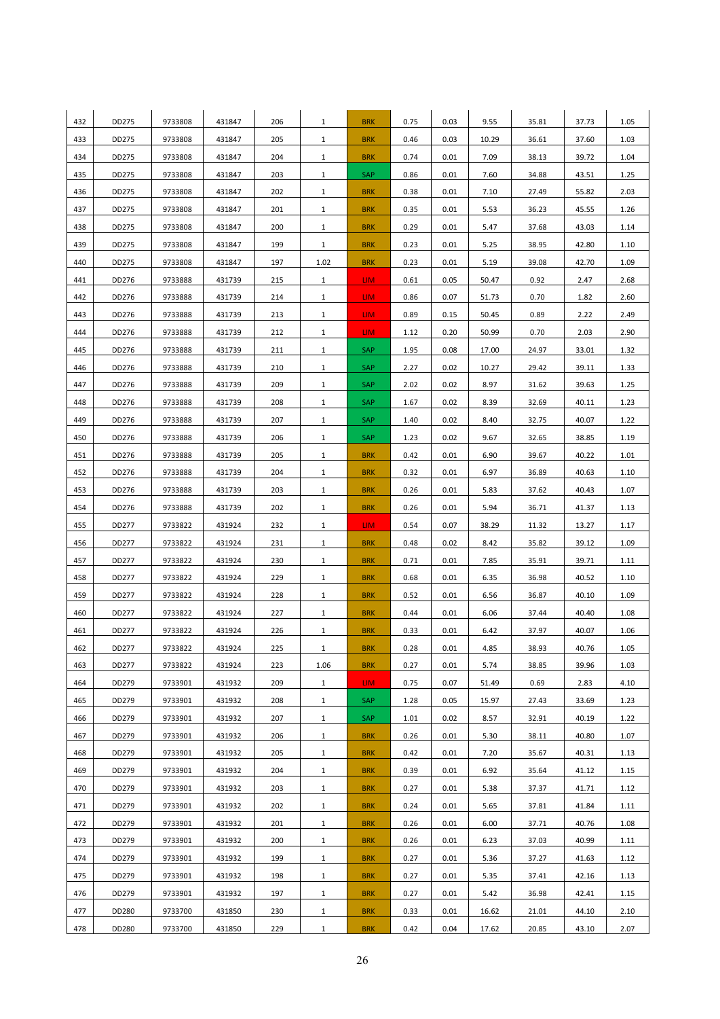| 432 | DD275 | 9733808 | 431847 | 206 | $\mathbf{1}$ | <b>BRK</b> | 0.75 | 0.03 | 9.55  | 35.81 | 37.73 | 1.05 |
|-----|-------|---------|--------|-----|--------------|------------|------|------|-------|-------|-------|------|
| 433 | DD275 | 9733808 | 431847 | 205 | $\mathbf{1}$ | <b>BRK</b> | 0.46 | 0.03 | 10.29 | 36.61 | 37.60 | 1.03 |
| 434 | DD275 | 9733808 | 431847 | 204 | $\mathbf{1}$ | <b>BRK</b> | 0.74 | 0.01 | 7.09  | 38.13 | 39.72 | 1.04 |
| 435 | DD275 | 9733808 | 431847 | 203 | $\mathbf{1}$ | SAP        | 0.86 | 0.01 | 7.60  | 34.88 | 43.51 | 1.25 |
| 436 | DD275 | 9733808 | 431847 | 202 | $\mathbf{1}$ | <b>BRK</b> | 0.38 | 0.01 | 7.10  | 27.49 | 55.82 | 2.03 |
| 437 | DD275 | 9733808 | 431847 | 201 | $\mathbf{1}$ | <b>BRK</b> | 0.35 | 0.01 | 5.53  | 36.23 | 45.55 | 1.26 |
| 438 | DD275 | 9733808 | 431847 | 200 | $\mathbf{1}$ | <b>BRK</b> | 0.29 | 0.01 | 5.47  | 37.68 | 43.03 | 1.14 |
| 439 | DD275 | 9733808 | 431847 | 199 | $\mathbf{1}$ | <b>BRK</b> | 0.23 | 0.01 | 5.25  | 38.95 | 42.80 | 1.10 |
| 440 | DD275 | 9733808 | 431847 | 197 | 1.02         | <b>BRK</b> | 0.23 | 0.01 | 5.19  | 39.08 | 42.70 | 1.09 |
| 441 | DD276 | 9733888 | 431739 | 215 | $\mathbf{1}$ | LIM.       | 0.61 | 0.05 | 50.47 | 0.92  | 2.47  | 2.68 |
| 442 | DD276 | 9733888 | 431739 | 214 | $\mathbf{1}$ | LIM.       | 0.86 | 0.07 | 51.73 | 0.70  | 1.82  | 2.60 |
| 443 | DD276 | 9733888 | 431739 | 213 | $\mathbf{1}$ | LIM.       | 0.89 | 0.15 | 50.45 | 0.89  | 2.22  | 2.49 |
| 444 | DD276 | 9733888 | 431739 | 212 | $\mathbf{1}$ | LIM.       | 1.12 | 0.20 | 50.99 | 0.70  | 2.03  | 2.90 |
| 445 | DD276 | 9733888 | 431739 | 211 | $\mathbf{1}$ | SAP        | 1.95 | 0.08 | 17.00 | 24.97 | 33.01 | 1.32 |
| 446 | DD276 | 9733888 | 431739 | 210 | $\mathbf{1}$ | SAP        | 2.27 | 0.02 | 10.27 | 29.42 | 39.11 | 1.33 |
| 447 | DD276 | 9733888 | 431739 | 209 | $\mathbf{1}$ | <b>SAP</b> | 2.02 | 0.02 | 8.97  | 31.62 | 39.63 | 1.25 |
| 448 | DD276 | 9733888 | 431739 | 208 | $\mathbf{1}$ | SAP        | 1.67 | 0.02 | 8.39  | 32.69 | 40.11 | 1.23 |
| 449 | DD276 | 9733888 | 431739 | 207 | $\mathbf{1}$ | SAP        | 1.40 | 0.02 | 8.40  | 32.75 | 40.07 | 1.22 |
| 450 | DD276 | 9733888 | 431739 | 206 | $\mathbf{1}$ | SAP        | 1.23 | 0.02 | 9.67  | 32.65 | 38.85 | 1.19 |
| 451 | DD276 | 9733888 | 431739 | 205 | $\mathbf{1}$ | <b>BRK</b> | 0.42 | 0.01 | 6.90  | 39.67 | 40.22 | 1.01 |
| 452 | DD276 | 9733888 | 431739 | 204 | $\mathbf{1}$ | <b>BRK</b> | 0.32 | 0.01 | 6.97  | 36.89 | 40.63 | 1.10 |
| 453 | DD276 | 9733888 | 431739 | 203 | $\mathbf{1}$ | <b>BRK</b> | 0.26 | 0.01 | 5.83  | 37.62 | 40.43 | 1.07 |
| 454 | DD276 | 9733888 | 431739 | 202 | $\mathbf{1}$ | <b>BRK</b> | 0.26 | 0.01 | 5.94  | 36.71 | 41.37 | 1.13 |
| 455 | DD277 | 9733822 | 431924 | 232 | $\mathbf{1}$ | LIM.       | 0.54 | 0.07 | 38.29 | 11.32 | 13.27 | 1.17 |
| 456 | DD277 | 9733822 | 431924 | 231 | $\mathbf{1}$ | <b>BRK</b> | 0.48 | 0.02 | 8.42  | 35.82 | 39.12 | 1.09 |
| 457 | DD277 | 9733822 | 431924 | 230 | $\mathbf{1}$ | <b>BRK</b> | 0.71 | 0.01 | 7.85  | 35.91 | 39.71 | 1.11 |
| 458 | DD277 | 9733822 | 431924 | 229 | $\mathbf{1}$ | <b>BRK</b> | 0.68 | 0.01 | 6.35  | 36.98 | 40.52 | 1.10 |
| 459 | DD277 | 9733822 | 431924 | 228 | $\mathbf{1}$ | <b>BRK</b> | 0.52 | 0.01 | 6.56  | 36.87 | 40.10 | 1.09 |
| 460 | DD277 | 9733822 | 431924 | 227 | $\mathbf{1}$ | <b>BRK</b> | 0.44 | 0.01 | 6.06  | 37.44 | 40.40 | 1.08 |
| 461 | DD277 | 9733822 | 431924 | 226 | $\mathbf{1}$ | <b>BRK</b> | 0.33 | 0.01 | 6.42  | 37.97 | 40.07 | 1.06 |
| 462 | DD277 | 9733822 | 431924 | 225 | $\mathbf{1}$ | <b>BRK</b> | 0.28 | 0.01 | 4.85  | 38.93 | 40.76 | 1.05 |
| 463 | DD277 | 9733822 | 431924 | 223 | 1.06         | <b>BRK</b> | 0.27 | 0.01 | 5.74  | 38.85 | 39.96 | 1.03 |
| 464 | DD279 | 9733901 | 431932 | 209 | $\mathbf{1}$ | LIM.       | 0.75 | 0.07 | 51.49 | 0.69  | 2.83  | 4.10 |
| 465 | DD279 | 9733901 | 431932 | 208 | $\mathbf{1}$ | SAP        | 1.28 | 0.05 | 15.97 | 27.43 | 33.69 | 1.23 |
| 466 | DD279 | 9733901 | 431932 | 207 | $\mathbf{1}$ | <b>SAP</b> | 1.01 | 0.02 | 8.57  | 32.91 | 40.19 | 1.22 |
| 467 | DD279 | 9733901 | 431932 | 206 | $\mathbf{1}$ | <b>BRK</b> | 0.26 | 0.01 | 5.30  | 38.11 | 40.80 | 1.07 |
| 468 | DD279 | 9733901 | 431932 | 205 | $\mathbf{1}$ | <b>BRK</b> | 0.42 | 0.01 | 7.20  | 35.67 | 40.31 | 1.13 |
| 469 | DD279 | 9733901 | 431932 | 204 | $\mathbf{1}$ | <b>BRK</b> | 0.39 | 0.01 | 6.92  | 35.64 | 41.12 | 1.15 |
| 470 | DD279 | 9733901 | 431932 | 203 | $\mathbf{1}$ | <b>BRK</b> | 0.27 | 0.01 | 5.38  | 37.37 | 41.71 | 1.12 |
| 471 | DD279 | 9733901 | 431932 | 202 | $\mathbf{1}$ | <b>BRK</b> | 0.24 | 0.01 | 5.65  | 37.81 | 41.84 | 1.11 |
| 472 | DD279 | 9733901 | 431932 | 201 | $\mathbf{1}$ | <b>BRK</b> | 0.26 | 0.01 | 6.00  | 37.71 | 40.76 | 1.08 |
| 473 | DD279 | 9733901 | 431932 | 200 | $\mathbf{1}$ | <b>BRK</b> | 0.26 | 0.01 | 6.23  | 37.03 | 40.99 | 1.11 |
| 474 | DD279 | 9733901 | 431932 | 199 | $\mathbf{1}$ | <b>BRK</b> | 0.27 | 0.01 | 5.36  | 37.27 | 41.63 | 1.12 |
| 475 | DD279 | 9733901 | 431932 | 198 | $\mathbf{1}$ | <b>BRK</b> | 0.27 | 0.01 | 5.35  | 37.41 | 42.16 | 1.13 |
| 476 | DD279 | 9733901 | 431932 | 197 | $\mathbf{1}$ | <b>BRK</b> | 0.27 | 0.01 | 5.42  | 36.98 | 42.41 | 1.15 |
| 477 | DD280 | 9733700 | 431850 | 230 | $\mathbf{1}$ | <b>BRK</b> | 0.33 | 0.01 | 16.62 | 21.01 | 44.10 | 2.10 |
| 478 | DD280 | 9733700 | 431850 | 229 | $\mathbf{1}$ | <b>BRK</b> | 0.42 | 0.04 | 17.62 | 20.85 | 43.10 | 2.07 |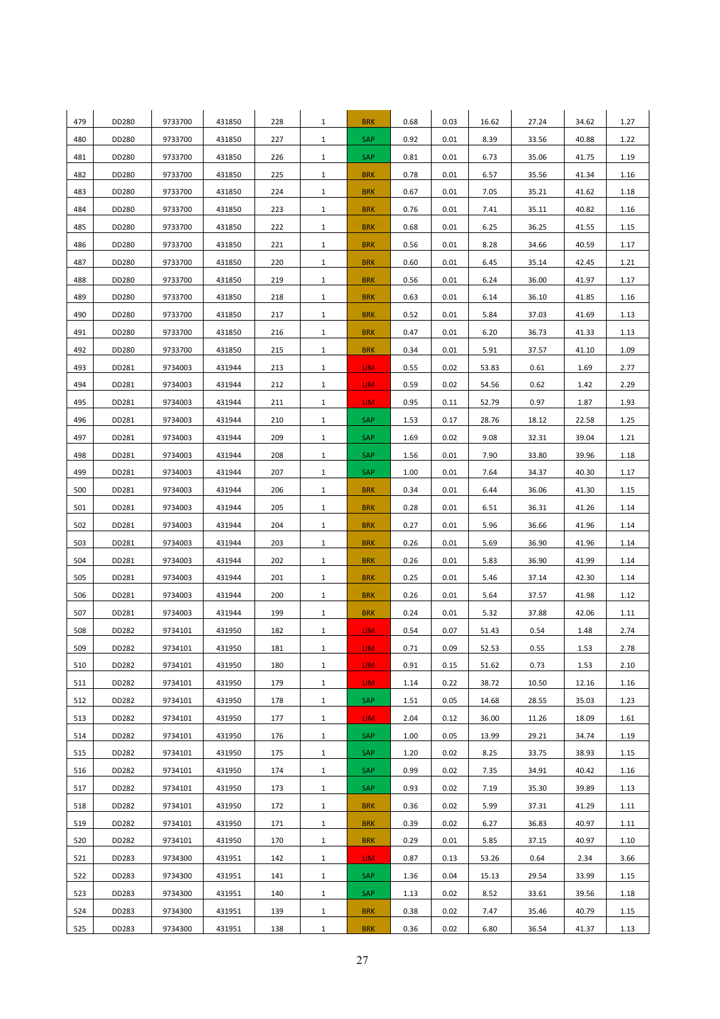| 479 | DD280 | 9733700 | 431850 | 228 | $\mathbf{1}$ | <b>BRK</b>      | 0.68 | 0.03 | 16.62 | 27.24 | 34.62 | 1.27 |
|-----|-------|---------|--------|-----|--------------|-----------------|------|------|-------|-------|-------|------|
| 480 | DD280 | 9733700 | 431850 | 227 | $\mathbf{1}$ | SAP             | 0.92 | 0.01 | 8.39  | 33.56 | 40.88 | 1.22 |
| 481 | DD280 | 9733700 | 431850 | 226 | $\mathbf{1}$ | SAP             | 0.81 | 0.01 | 6.73  | 35.06 | 41.75 | 1.19 |
| 482 | DD280 | 9733700 | 431850 | 225 | $\mathbf{1}$ | <b>BRK</b>      | 0.78 | 0.01 | 6.57  | 35.56 | 41.34 | 1.16 |
| 483 | DD280 | 9733700 | 431850 | 224 | $\mathbf{1}$ | <b>BRK</b>      | 0.67 | 0.01 | 7.05  | 35.21 | 41.62 | 1.18 |
| 484 | DD280 | 9733700 | 431850 | 223 | $\mathbf{1}$ | <b>BRK</b>      | 0.76 | 0.01 | 7.41  | 35.11 | 40.82 | 1.16 |
| 485 | DD280 | 9733700 | 431850 | 222 | $\mathbf{1}$ | <b>BRK</b>      | 0.68 | 0.01 | 6.25  | 36.25 | 41.55 | 1.15 |
| 486 | DD280 | 9733700 | 431850 | 221 | $\mathbf{1}$ | <b>BRK</b>      | 0.56 | 0.01 | 8.28  | 34.66 | 40.59 | 1.17 |
| 487 | DD280 | 9733700 | 431850 | 220 | $\mathbf{1}$ | <b>BRK</b>      | 0.60 | 0.01 | 6.45  | 35.14 | 42.45 | 1.21 |
| 488 | DD280 | 9733700 | 431850 | 219 | $\mathbf{1}$ | <b>BRK</b>      | 0.56 | 0.01 | 6.24  | 36.00 | 41.97 | 1.17 |
| 489 | DD280 | 9733700 | 431850 | 218 | $\mathbf{1}$ | <b>BRK</b>      | 0.63 | 0.01 | 6.14  | 36.10 | 41.85 | 1.16 |
| 490 | DD280 | 9733700 | 431850 | 217 | $\mathbf{1}$ | <b>BRK</b>      | 0.52 | 0.01 | 5.84  | 37.03 | 41.69 | 1.13 |
| 491 | DD280 | 9733700 | 431850 | 216 | $\mathbf{1}$ | <b>BRK</b>      | 0.47 | 0.01 | 6.20  | 36.73 | 41.33 | 1.13 |
| 492 | DD280 | 9733700 | 431850 | 215 | $\mathbf{1}$ | <b>BRK</b>      | 0.34 | 0.01 | 5.91  | 37.57 | 41.10 | 1.09 |
| 493 | DD281 | 9734003 | 431944 | 213 | $\mathbf{1}$ | LIM.            | 0.55 | 0.02 | 53.83 | 0.61  | 1.69  | 2.77 |
| 494 | DD281 | 9734003 | 431944 | 212 | $\mathbf{1}$ | LIM.            | 0.59 | 0.02 | 54.56 | 0.62  | 1.42  | 2.29 |
| 495 | DD281 | 9734003 | 431944 | 211 | $\mathbf{1}$ | LIM.            | 0.95 | 0.11 | 52.79 | 0.97  | 1.87  | 1.93 |
| 496 | DD281 | 9734003 | 431944 | 210 | $\mathbf{1}$ | SAP             | 1.53 | 0.17 | 28.76 | 18.12 | 22.58 | 1.25 |
| 497 | DD281 | 9734003 | 431944 | 209 | $\mathbf{1}$ | SAP             | 1.69 | 0.02 | 9.08  | 32.31 | 39.04 | 1.21 |
| 498 | DD281 | 9734003 | 431944 | 208 | $\mathbf{1}$ | SAP             | 1.56 | 0.01 | 7.90  | 33.80 | 39.96 | 1.18 |
| 499 | DD281 | 9734003 | 431944 | 207 | $\mathbf{1}$ | SAP             | 1.00 | 0.01 | 7.64  | 34.37 | 40.30 | 1.17 |
| 500 | DD281 | 9734003 | 431944 | 206 | $\mathbf{1}$ | <b>BRK</b>      | 0.34 | 0.01 | 6.44  | 36.06 | 41.30 | 1.15 |
| 501 | DD281 | 9734003 | 431944 | 205 | $\mathbf{1}$ | <b>BRK</b>      | 0.28 | 0.01 | 6.51  | 36.31 | 41.26 | 1.14 |
| 502 | DD281 | 9734003 | 431944 | 204 | $\mathbf{1}$ | <b>BRK</b>      | 0.27 | 0.01 | 5.96  | 36.66 | 41.96 | 1.14 |
| 503 | DD281 | 9734003 | 431944 | 203 | $\mathbf{1}$ | <b>BRK</b>      | 0.26 | 0.01 | 5.69  | 36.90 | 41.96 | 1.14 |
| 504 | DD281 | 9734003 | 431944 | 202 | $\mathbf{1}$ | <b>BRK</b>      | 0.26 | 0.01 | 5.83  | 36.90 | 41.99 | 1.14 |
| 505 | DD281 | 9734003 | 431944 | 201 | $\mathbf{1}$ | <b>BRK</b>      | 0.25 | 0.01 | 5.46  | 37.14 | 42.30 | 1.14 |
| 506 | DD281 | 9734003 | 431944 | 200 | $\mathbf{1}$ | <b>BRK</b>      | 0.26 | 0.01 | 5.64  | 37.57 | 41.98 | 1.12 |
| 507 | DD281 | 9734003 | 431944 | 199 | $\mathbf{1}$ | <b>BRK</b>      | 0.24 | 0.01 | 5.32  | 37.88 | 42.06 | 1.11 |
| 508 | DD282 | 9734101 | 431950 | 182 | $\mathbf{1}$ | LIM.            | 0.54 | 0.07 | 51.43 | 0.54  | 1.48  | 2.74 |
| 509 | DD282 | 9734101 | 431950 | 181 | $\mathbf{1}$ | LIM.            | 0.71 | 0.09 | 52.53 | 0.55  | 1.53  | 2.78 |
| 510 | DD282 | 9734101 | 431950 | 180 | $\mathbf{1}$ | LIM.            | 0.91 | 0.15 | 51.62 | 0.73  | 1.53  | 2.10 |
| 511 | DD282 | 9734101 | 431950 | 179 | $\mathbf{1}$ | LIM.            | 1.14 | 0.22 | 38.72 | 10.50 | 12.16 | 1.16 |
| 512 | DD282 | 9734101 | 431950 | 178 | $\mathbf{1}$ | <b>SAP</b>      | 1.51 | 0.05 | 14.68 | 28.55 | 35.03 | 1.23 |
| 513 | DD282 | 9734101 | 431950 | 177 | $\mathbf{1}$ | LIM.            | 2.04 | 0.12 | 36.00 | 11.26 | 18.09 | 1.61 |
| 514 | DD282 | 9734101 | 431950 | 176 | $\mathbf{1}$ | SAP             | 1.00 | 0.05 | 13.99 | 29.21 | 34.74 | 1.19 |
| 515 | DD282 | 9734101 | 431950 | 175 | $\mathbf{1}$ | SAP             | 1.20 | 0.02 | 8.25  | 33.75 | 38.93 | 1.15 |
| 516 | DD282 | 9734101 | 431950 | 174 | $\mathbf{1}$ | <b>SAP</b>      | 0.99 | 0.02 | 7.35  | 34.91 | 40.42 | 1.16 |
| 517 | DD282 | 9734101 | 431950 | 173 | $\mathbf{1}$ | <b>SAP</b>      | 0.93 | 0.02 | 7.19  | 35.30 | 39.89 | 1.13 |
| 518 | DD282 | 9734101 | 431950 | 172 | $\mathbf{1}$ | <b>BRK</b>      | 0.36 | 0.02 | 5.99  | 37.31 | 41.29 | 1.11 |
| 519 | DD282 | 9734101 | 431950 | 171 | $\mathbf{1}$ | <b>BRK</b>      | 0.39 | 0.02 | 6.27  | 36.83 | 40.97 | 1.11 |
| 520 | DD282 | 9734101 | 431950 | 170 | $\mathbf{1}$ | <b>BRK</b>      | 0.29 | 0.01 | 5.85  | 37.15 | 40.97 | 1.10 |
| 521 | DD283 | 9734300 | 431951 | 142 | $\mathbf{1}$ | LIM <sub></sub> | 0.87 | 0.13 | 53.26 | 0.64  | 2.34  | 3.66 |
| 522 | DD283 | 9734300 | 431951 | 141 | $\mathbf{1}$ | <b>SAP</b>      | 1.36 | 0.04 | 15.13 | 29.54 | 33.99 | 1.15 |
| 523 | DD283 | 9734300 | 431951 | 140 | $\mathbf{1}$ | <b>SAP</b>      | 1.13 | 0.02 | 8.52  | 33.61 | 39.56 | 1.18 |
| 524 | DD283 | 9734300 | 431951 | 139 | $\mathbf{1}$ | <b>BRK</b>      | 0.38 | 0.02 | 7.47  | 35.46 | 40.79 | 1.15 |
| 525 | DD283 | 9734300 | 431951 | 138 | $\mathbf{1}$ | <b>BRK</b>      | 0.36 | 0.02 | 6.80  | 36.54 | 41.37 | 1.13 |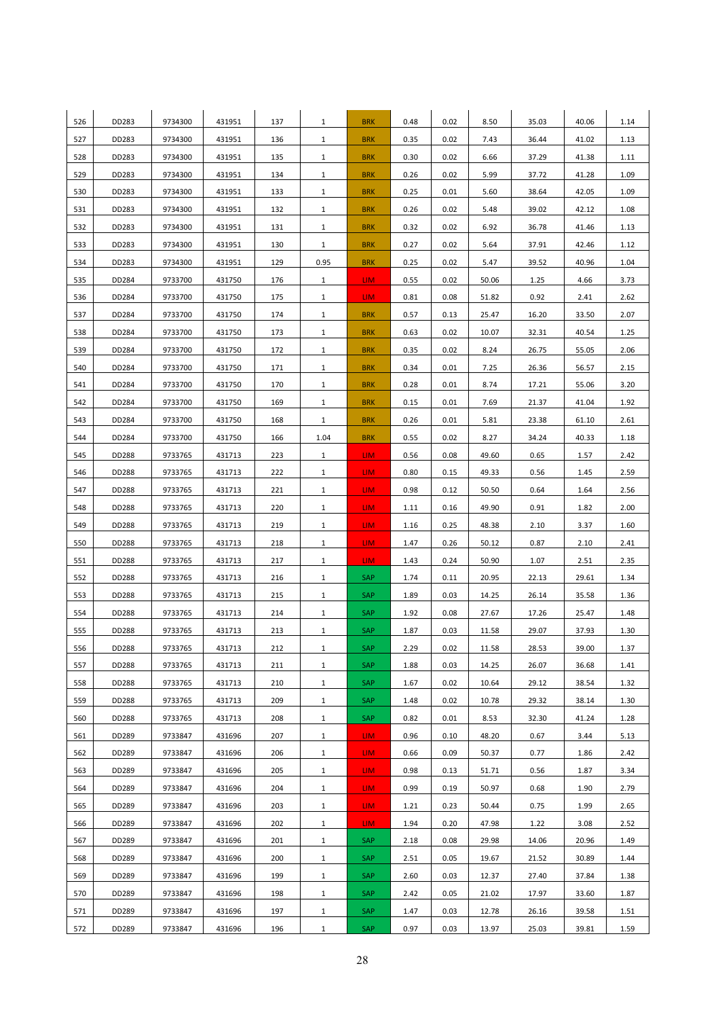| 526 | DD283 | 9734300 | 431951 | 137 | $\mathbf{1}$ | <b>BRK</b>      | 0.48 | 0.02 | 8.50  | 35.03 | 40.06 | 1.14 |
|-----|-------|---------|--------|-----|--------------|-----------------|------|------|-------|-------|-------|------|
| 527 | DD283 | 9734300 | 431951 | 136 | $\mathbf{1}$ | <b>BRK</b>      | 0.35 | 0.02 | 7.43  | 36.44 | 41.02 | 1.13 |
| 528 | DD283 | 9734300 | 431951 | 135 | $\mathbf{1}$ | <b>BRK</b>      | 0.30 | 0.02 | 6.66  | 37.29 | 41.38 | 1.11 |
| 529 | DD283 | 9734300 | 431951 | 134 | $\mathbf{1}$ | <b>BRK</b>      | 0.26 | 0.02 | 5.99  | 37.72 | 41.28 | 1.09 |
| 530 | DD283 | 9734300 | 431951 | 133 | $\mathbf{1}$ | <b>BRK</b>      | 0.25 | 0.01 | 5.60  | 38.64 | 42.05 | 1.09 |
| 531 | DD283 | 9734300 | 431951 | 132 | $\mathbf{1}$ | <b>BRK</b>      | 0.26 | 0.02 | 5.48  | 39.02 | 42.12 | 1.08 |
| 532 | DD283 | 9734300 | 431951 | 131 | $\mathbf{1}$ | <b>BRK</b>      | 0.32 | 0.02 | 6.92  | 36.78 | 41.46 | 1.13 |
| 533 | DD283 | 9734300 | 431951 | 130 | $\mathbf{1}$ | <b>BRK</b>      | 0.27 | 0.02 | 5.64  | 37.91 | 42.46 | 1.12 |
| 534 | DD283 | 9734300 | 431951 | 129 | 0.95         | <b>BRK</b>      | 0.25 | 0.02 | 5.47  | 39.52 | 40.96 | 1.04 |
| 535 | DD284 | 9733700 | 431750 | 176 | $\mathbf{1}$ | LIM.            | 0.55 | 0.02 | 50.06 | 1.25  | 4.66  | 3.73 |
| 536 | DD284 | 9733700 | 431750 | 175 | $\mathbf{1}$ | LIM.            | 0.81 | 0.08 | 51.82 | 0.92  | 2.41  | 2.62 |
| 537 | DD284 | 9733700 | 431750 | 174 | $\mathbf{1}$ | <b>BRK</b>      | 0.57 | 0.13 | 25.47 | 16.20 | 33.50 | 2.07 |
| 538 | DD284 | 9733700 | 431750 | 173 | $\mathbf{1}$ | <b>BRK</b>      | 0.63 | 0.02 | 10.07 | 32.31 | 40.54 | 1.25 |
| 539 | DD284 | 9733700 | 431750 | 172 | $\mathbf{1}$ | <b>BRK</b>      | 0.35 | 0.02 | 8.24  | 26.75 | 55.05 | 2.06 |
| 540 | DD284 | 9733700 | 431750 | 171 | $\mathbf{1}$ | <b>BRK</b>      | 0.34 | 0.01 | 7.25  | 26.36 | 56.57 | 2.15 |
| 541 | DD284 | 9733700 | 431750 | 170 | $\mathbf{1}$ | <b>BRK</b>      | 0.28 | 0.01 | 8.74  | 17.21 | 55.06 | 3.20 |
| 542 | DD284 | 9733700 | 431750 | 169 | $\mathbf{1}$ | <b>BRK</b>      | 0.15 | 0.01 | 7.69  | 21.37 | 41.04 | 1.92 |
| 543 | DD284 | 9733700 | 431750 | 168 | $\mathbf{1}$ | <b>BRK</b>      | 0.26 | 0.01 | 5.81  | 23.38 | 61.10 | 2.61 |
| 544 | DD284 | 9733700 | 431750 | 166 | 1.04         | <b>BRK</b>      | 0.55 | 0.02 | 8.27  | 34.24 | 40.33 | 1.18 |
| 545 | DD288 | 9733765 | 431713 | 223 | $\mathbf{1}$ | LIM.            | 0.56 | 0.08 | 49.60 | 0.65  | 1.57  | 2.42 |
| 546 | DD288 | 9733765 | 431713 | 222 | $\mathbf{1}$ | LIM.            | 0.80 | 0.15 | 49.33 | 0.56  | 1.45  | 2.59 |
| 547 | DD288 | 9733765 | 431713 | 221 | $\mathbf{1}$ | LIM.            | 0.98 | 0.12 | 50.50 | 0.64  | 1.64  | 2.56 |
| 548 | DD288 | 9733765 | 431713 | 220 | $\mathbf{1}$ | LIM.            | 1.11 | 0.16 | 49.90 | 0.91  | 1.82  | 2.00 |
| 549 | DD288 | 9733765 | 431713 | 219 | $\mathbf{1}$ | LIM <sub></sub> | 1.16 | 0.25 | 48.38 | 2.10  | 3.37  | 1.60 |
| 550 | DD288 | 9733765 | 431713 | 218 | $\mathbf{1}$ | LIM.            | 1.47 | 0.26 | 50.12 | 0.87  | 2.10  | 2.41 |
| 551 | DD288 | 9733765 | 431713 | 217 | $\mathbf{1}$ | LIM.            | 1.43 | 0.24 | 50.90 | 1.07  | 2.51  | 2.35 |
| 552 | DD288 | 9733765 | 431713 | 216 | $\mathbf{1}$ | SAP             | 1.74 | 0.11 | 20.95 | 22.13 | 29.61 | 1.34 |
| 553 | DD288 | 9733765 | 431713 | 215 | $\mathbf{1}$ | SAP             | 1.89 | 0.03 | 14.25 | 26.14 | 35.58 | 1.36 |
| 554 | DD288 | 9733765 | 431713 | 214 | $\mathbf{1}$ | SAP             | 1.92 | 0.08 | 27.67 | 17.26 | 25.47 | 1.48 |
| 555 | DD288 | 9733765 | 431713 | 213 | $\mathbf{1}$ | SAP             | 1.87 | 0.03 | 11.58 | 29.07 | 37.93 | 1.30 |
| 556 | DD288 | 9733765 | 431713 | 212 | $\mathbf{1}$ | SAP             | 2.29 | 0.02 | 11.58 | 28.53 | 39.00 | 1.37 |
| 557 | DD288 | 9733765 | 431713 | 211 | $\mathbf{1}$ | SAP             | 1.88 | 0.03 | 14.25 | 26.07 | 36.68 | 1.41 |
| 558 | DD288 | 9733765 | 431713 | 210 | $\mathbf{1}$ | SAP             | 1.67 | 0.02 | 10.64 | 29.12 | 38.54 | 1.32 |
| 559 | DD288 | 9733765 | 431713 | 209 | $\mathbf{1}$ | SAP             | 1.48 | 0.02 | 10.78 | 29.32 | 38.14 | 1.30 |
| 560 | DD288 | 9733765 | 431713 | 208 | $\mathbf{1}$ | <b>SAP</b>      | 0.82 | 0.01 | 8.53  | 32.30 | 41.24 | 1.28 |
| 561 | DD289 | 9733847 | 431696 | 207 | $\mathbf{1}$ | LIM <sub></sub> | 0.96 | 0.10 | 48.20 | 0.67  | 3.44  | 5.13 |
| 562 | DD289 | 9733847 | 431696 | 206 | $\mathbf{1}$ | LIM.            | 0.66 | 0.09 | 50.37 | 0.77  | 1.86  | 2.42 |
| 563 | DD289 | 9733847 | 431696 | 205 | $\mathbf{1}$ | LIM.            | 0.98 | 0.13 | 51.71 | 0.56  | 1.87  | 3.34 |
| 564 | DD289 | 9733847 | 431696 | 204 | $\mathbf{1}$ | LIM.            | 0.99 | 0.19 | 50.97 | 0.68  | 1.90  | 2.79 |
| 565 | DD289 | 9733847 | 431696 | 203 | $\mathbf{1}$ | LIM <sub></sub> | 1.21 | 0.23 | 50.44 | 0.75  | 1.99  | 2.65 |
| 566 | DD289 | 9733847 | 431696 | 202 | $\mathbf{1}$ | LIM.            | 1.94 | 0.20 | 47.98 | 1.22  | 3.08  | 2.52 |
| 567 | DD289 | 9733847 | 431696 | 201 | $\mathbf{1}$ | SAP             | 2.18 | 0.08 | 29.98 | 14.06 | 20.96 | 1.49 |
| 568 | DD289 | 9733847 | 431696 | 200 | $\mathbf{1}$ | SAP             | 2.51 | 0.05 | 19.67 | 21.52 | 30.89 | 1.44 |
| 569 | DD289 | 9733847 | 431696 | 199 | $\mathbf{1}$ | <b>SAP</b>      | 2.60 | 0.03 | 12.37 | 27.40 | 37.84 | 1.38 |
| 570 | DD289 | 9733847 | 431696 | 198 | $\mathbf{1}$ | SAP             | 2.42 | 0.05 | 21.02 | 17.97 | 33.60 | 1.87 |
| 571 | DD289 | 9733847 | 431696 | 197 | $\mathbf{1}$ | SAP             | 1.47 | 0.03 | 12.78 | 26.16 | 39.58 | 1.51 |
| 572 | DD289 | 9733847 | 431696 | 196 | $\mathbf{1}$ | <b>SAP</b>      | 0.97 | 0.03 | 13.97 | 25.03 | 39.81 | 1.59 |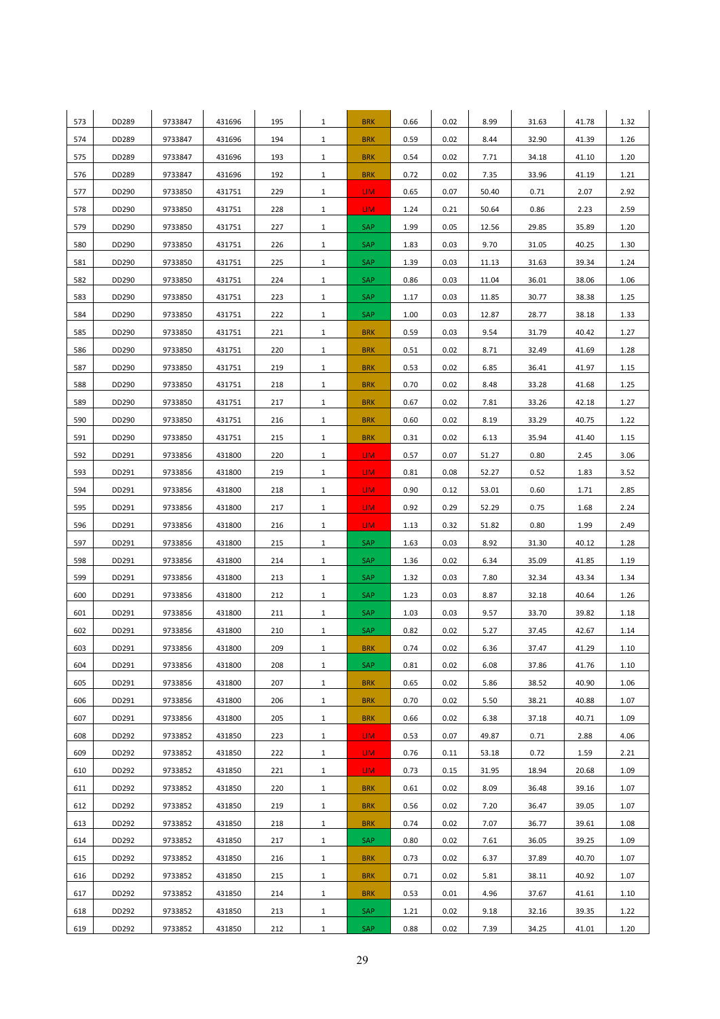| 573 | DD289 | 9733847 | 431696 | 195 | $\mathbf{1}$ | <b>BRK</b>      | 0.66 | 0.02 | 8.99  | 31.63 | 41.78 | 1.32 |
|-----|-------|---------|--------|-----|--------------|-----------------|------|------|-------|-------|-------|------|
| 574 | DD289 | 9733847 | 431696 | 194 | $\mathbf{1}$ | <b>BRK</b>      | 0.59 | 0.02 | 8.44  | 32.90 | 41.39 | 1.26 |
| 575 | DD289 | 9733847 | 431696 | 193 | $\mathbf{1}$ | <b>BRK</b>      | 0.54 | 0.02 | 7.71  | 34.18 | 41.10 | 1.20 |
| 576 | DD289 | 9733847 | 431696 | 192 | $\mathbf{1}$ | <b>BRK</b>      | 0.72 | 0.02 | 7.35  | 33.96 | 41.19 | 1.21 |
| 577 | DD290 | 9733850 | 431751 | 229 | $\mathbf{1}$ | LIM.            | 0.65 | 0.07 | 50.40 | 0.71  | 2.07  | 2.92 |
| 578 | DD290 | 9733850 | 431751 | 228 | $\mathbf{1}$ | LIM.            | 1.24 | 0.21 | 50.64 | 0.86  | 2.23  | 2.59 |
| 579 | DD290 | 9733850 | 431751 | 227 | $\mathbf{1}$ | SAP             | 1.99 | 0.05 | 12.56 | 29.85 | 35.89 | 1.20 |
| 580 | DD290 | 9733850 | 431751 | 226 | $\mathbf{1}$ | SAP             | 1.83 | 0.03 | 9.70  | 31.05 | 40.25 | 1.30 |
| 581 | DD290 | 9733850 | 431751 | 225 | $\mathbf{1}$ | SAP             | 1.39 | 0.03 | 11.13 | 31.63 | 39.34 | 1.24 |
| 582 | DD290 | 9733850 | 431751 | 224 | $\mathbf{1}$ | <b>SAP</b>      | 0.86 | 0.03 | 11.04 | 36.01 | 38.06 | 1.06 |
| 583 | DD290 | 9733850 | 431751 | 223 | $\mathbf{1}$ | SAP             | 1.17 | 0.03 | 11.85 | 30.77 | 38.38 | 1.25 |
| 584 | DD290 | 9733850 | 431751 | 222 | $\mathbf{1}$ | SAP             | 1.00 | 0.03 | 12.87 | 28.77 | 38.18 | 1.33 |
| 585 | DD290 | 9733850 | 431751 | 221 | $\mathbf{1}$ | <b>BRK</b>      | 0.59 | 0.03 | 9.54  | 31.79 | 40.42 | 1.27 |
| 586 | DD290 | 9733850 | 431751 | 220 | $\mathbf{1}$ | <b>BRK</b>      | 0.51 | 0.02 | 8.71  | 32.49 | 41.69 | 1.28 |
| 587 | DD290 | 9733850 | 431751 | 219 | $\mathbf{1}$ | <b>BRK</b>      | 0.53 | 0.02 | 6.85  | 36.41 | 41.97 | 1.15 |
| 588 | DD290 | 9733850 | 431751 | 218 | $\mathbf{1}$ | <b>BRK</b>      | 0.70 | 0.02 | 8.48  | 33.28 | 41.68 | 1.25 |
| 589 | DD290 | 9733850 | 431751 | 217 | $\mathbf{1}$ | <b>BRK</b>      | 0.67 | 0.02 | 7.81  | 33.26 | 42.18 | 1.27 |
| 590 | DD290 | 9733850 | 431751 | 216 | $\mathbf{1}$ | <b>BRK</b>      | 0.60 | 0.02 | 8.19  | 33.29 | 40.75 | 1.22 |
| 591 | DD290 | 9733850 | 431751 | 215 | $\mathbf{1}$ | <b>BRK</b>      | 0.31 | 0.02 | 6.13  | 35.94 | 41.40 | 1.15 |
| 592 | DD291 | 9733856 | 431800 | 220 | $\mathbf{1}$ | LIM.            | 0.57 | 0.07 | 51.27 | 0.80  | 2.45  | 3.06 |
| 593 | DD291 | 9733856 | 431800 | 219 | $\mathbf{1}$ | LIM.            | 0.81 | 0.08 | 52.27 | 0.52  | 1.83  | 3.52 |
| 594 | DD291 | 9733856 | 431800 | 218 | $\mathbf{1}$ | LIM.            | 0.90 | 0.12 | 53.01 | 0.60  | 1.71  | 2.85 |
| 595 | DD291 | 9733856 | 431800 | 217 | $\mathbf{1}$ | LIM <sub></sub> | 0.92 | 0.29 | 52.29 | 0.75  | 1.68  | 2.24 |
| 596 | DD291 | 9733856 | 431800 | 216 | $\mathbf{1}$ | LIM.            | 1.13 | 0.32 | 51.82 | 0.80  | 1.99  | 2.49 |
| 597 | DD291 | 9733856 | 431800 | 215 | $\mathbf{1}$ | SAP             | 1.63 | 0.03 | 8.92  | 31.30 | 40.12 | 1.28 |
| 598 | DD291 | 9733856 | 431800 | 214 | $\mathbf{1}$ | SAP             | 1.36 | 0.02 | 6.34  | 35.09 | 41.85 | 1.19 |
| 599 | DD291 | 9733856 | 431800 | 213 | $\mathbf{1}$ | SAP             | 1.32 | 0.03 | 7.80  | 32.34 | 43.34 | 1.34 |
| 600 | DD291 | 9733856 | 431800 | 212 | $\mathbf{1}$ | SAP             | 1.23 | 0.03 | 8.87  | 32.18 | 40.64 | 1.26 |
| 601 | DD291 | 9733856 | 431800 | 211 | $\mathbf{1}$ | SAP             | 1.03 | 0.03 | 9.57  | 33.70 | 39.82 | 1.18 |
| 602 | DD291 | 9733856 | 431800 | 210 | $\mathbf{1}$ | SAP             | 0.82 | 0.02 | 5.27  | 37.45 | 42.67 | 1.14 |
| 603 | DD291 | 9733856 | 431800 | 209 | $\mathbf{1}$ | <b>BRK</b>      | 0.74 | 0.02 | 6.36  | 37.47 | 41.29 | 1.10 |
| 604 | DD291 | 9733856 | 431800 | 208 | $\mathbf{1}$ | SAP             | 0.81 | 0.02 | 6.08  | 37.86 | 41.76 | 1.10 |
| 605 | DD291 | 9733856 | 431800 | 207 | $\mathbf{1}$ | <b>BRK</b>      | 0.65 | 0.02 | 5.86  | 38.52 | 40.90 | 1.06 |
| 606 | DD291 | 9733856 | 431800 | 206 | $\mathbf{1}$ | <b>BRK</b>      | 0.70 | 0.02 | 5.50  | 38.21 | 40.88 | 1.07 |
| 607 | DD291 | 9733856 | 431800 | 205 | $\mathbf{1}$ | <b>BRK</b>      | 0.66 | 0.02 | 6.38  | 37.18 | 40.71 | 1.09 |
| 608 | DD292 | 9733852 | 431850 | 223 | $\mathbf{1}$ | LIM <sub></sub> | 0.53 | 0.07 | 49.87 | 0.71  | 2.88  | 4.06 |
| 609 | DD292 | 9733852 | 431850 | 222 | $\mathbf{1}$ | LIM.            | 0.76 | 0.11 | 53.18 | 0.72  | 1.59  | 2.21 |
| 610 | DD292 | 9733852 | 431850 | 221 | $\mathbf{1}$ | LIM.            | 0.73 | 0.15 | 31.95 | 18.94 | 20.68 | 1.09 |
| 611 | DD292 | 9733852 | 431850 | 220 | $\mathbf{1}$ | <b>BRK</b>      | 0.61 | 0.02 | 8.09  | 36.48 | 39.16 | 1.07 |
| 612 | DD292 | 9733852 | 431850 | 219 | $\mathbf{1}$ | <b>BRK</b>      | 0.56 | 0.02 | 7.20  | 36.47 | 39.05 | 1.07 |
| 613 | DD292 | 9733852 | 431850 | 218 | $\mathbf{1}$ | <b>BRK</b>      | 0.74 | 0.02 | 7.07  | 36.77 | 39.61 | 1.08 |
| 614 | DD292 | 9733852 | 431850 | 217 | $\mathbf{1}$ | SAP             | 0.80 | 0.02 | 7.61  | 36.05 | 39.25 | 1.09 |
| 615 | DD292 | 9733852 | 431850 | 216 | $\mathbf{1}$ | <b>BRK</b>      | 0.73 | 0.02 | 6.37  | 37.89 | 40.70 | 1.07 |
| 616 | DD292 | 9733852 | 431850 | 215 | $\mathbf{1}$ | <b>BRK</b>      | 0.71 | 0.02 | 5.81  | 38.11 | 40.92 | 1.07 |
| 617 | DD292 | 9733852 | 431850 | 214 | $\mathbf{1}$ | <b>BRK</b>      | 0.53 | 0.01 | 4.96  | 37.67 | 41.61 | 1.10 |
| 618 | DD292 | 9733852 | 431850 | 213 | $\mathbf{1}$ | SAP             | 1.21 | 0.02 | 9.18  | 32.16 | 39.35 | 1.22 |
| 619 | DD292 | 9733852 | 431850 | 212 | $\mathbf{1}$ | <b>SAP</b>      | 0.88 | 0.02 | 7.39  | 34.25 | 41.01 | 1.20 |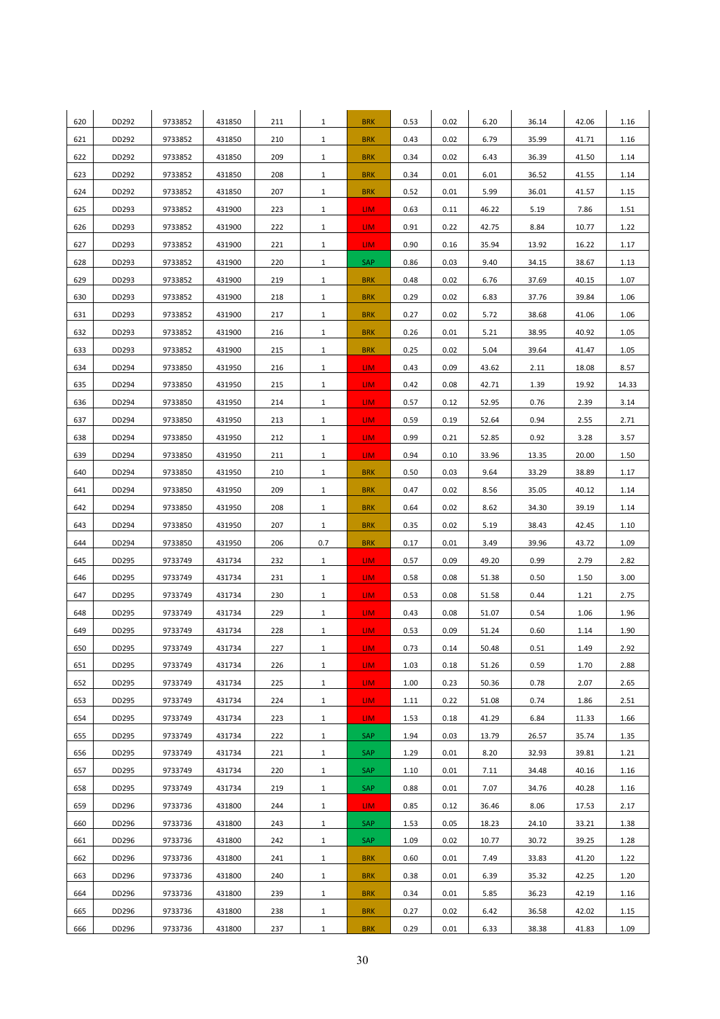| 620 | DD292 | 9733852 | 431850 | 211 | $\mathbf{1}$ | <b>BRK</b> | 0.53 | 0.02 | 6.20  | 36.14 | 42.06 | 1.16  |
|-----|-------|---------|--------|-----|--------------|------------|------|------|-------|-------|-------|-------|
| 621 | DD292 | 9733852 | 431850 | 210 | $\mathbf{1}$ | <b>BRK</b> | 0.43 | 0.02 | 6.79  | 35.99 | 41.71 | 1.16  |
| 622 | DD292 | 9733852 | 431850 | 209 | $\mathbf{1}$ | <b>BRK</b> | 0.34 | 0.02 | 6.43  | 36.39 | 41.50 | 1.14  |
| 623 | DD292 | 9733852 | 431850 | 208 | $\mathbf{1}$ | <b>BRK</b> | 0.34 | 0.01 | 6.01  | 36.52 | 41.55 | 1.14  |
| 624 | DD292 | 9733852 | 431850 | 207 | $\mathbf{1}$ | <b>BRK</b> | 0.52 | 0.01 | 5.99  | 36.01 | 41.57 | 1.15  |
| 625 | DD293 | 9733852 | 431900 | 223 | $\mathbf{1}$ | LIM.       | 0.63 | 0.11 | 46.22 | 5.19  | 7.86  | 1.51  |
| 626 | DD293 | 9733852 | 431900 | 222 | $\mathbf{1}$ | LIM.       | 0.91 | 0.22 | 42.75 | 8.84  | 10.77 | 1.22  |
| 627 | DD293 | 9733852 | 431900 | 221 | $\mathbf{1}$ | LIM.       | 0.90 | 0.16 | 35.94 | 13.92 | 16.22 | 1.17  |
| 628 | DD293 | 9733852 | 431900 | 220 | $\mathbf{1}$ | SAP        | 0.86 | 0.03 | 9.40  | 34.15 | 38.67 | 1.13  |
| 629 | DD293 | 9733852 | 431900 | 219 | $\mathbf{1}$ | <b>BRK</b> | 0.48 | 0.02 | 6.76  | 37.69 | 40.15 | 1.07  |
| 630 | DD293 | 9733852 | 431900 | 218 | $\mathbf{1}$ | <b>BRK</b> | 0.29 | 0.02 | 6.83  | 37.76 | 39.84 | 1.06  |
| 631 | DD293 | 9733852 | 431900 | 217 | $\mathbf{1}$ | <b>BRK</b> | 0.27 | 0.02 | 5.72  | 38.68 | 41.06 | 1.06  |
| 632 | DD293 | 9733852 | 431900 | 216 | $\mathbf{1}$ | <b>BRK</b> | 0.26 | 0.01 | 5.21  | 38.95 | 40.92 | 1.05  |
| 633 | DD293 | 9733852 | 431900 | 215 | $\mathbf{1}$ | <b>BRK</b> | 0.25 | 0.02 | 5.04  | 39.64 | 41.47 | 1.05  |
| 634 | DD294 | 9733850 | 431950 | 216 | $\mathbf{1}$ | LIM.       | 0.43 | 0.09 | 43.62 | 2.11  | 18.08 | 8.57  |
| 635 | DD294 | 9733850 | 431950 | 215 | $\mathbf{1}$ | LIM.       | 0.42 | 0.08 | 42.71 | 1.39  | 19.92 | 14.33 |
| 636 | DD294 | 9733850 | 431950 | 214 | $\mathbf{1}$ | LIM.       | 0.57 | 0.12 | 52.95 | 0.76  | 2.39  | 3.14  |
| 637 | DD294 | 9733850 | 431950 | 213 | $\mathbf{1}$ | LIM.       | 0.59 | 0.19 | 52.64 | 0.94  | 2.55  | 2.71  |
| 638 | DD294 | 9733850 | 431950 | 212 | $\mathbf{1}$ | LIM.       | 0.99 | 0.21 | 52.85 | 0.92  | 3.28  | 3.57  |
| 639 | DD294 | 9733850 | 431950 | 211 | $\mathbf{1}$ | LIM.       | 0.94 | 0.10 | 33.96 | 13.35 | 20.00 | 1.50  |
| 640 | DD294 | 9733850 | 431950 | 210 | $\mathbf{1}$ | <b>BRK</b> | 0.50 | 0.03 | 9.64  | 33.29 | 38.89 | 1.17  |
| 641 | DD294 | 9733850 | 431950 | 209 | $\mathbf{1}$ | <b>BRK</b> | 0.47 | 0.02 | 8.56  | 35.05 | 40.12 | 1.14  |
| 642 | DD294 | 9733850 | 431950 | 208 | $\mathbf{1}$ | <b>BRK</b> | 0.64 | 0.02 | 8.62  | 34.30 | 39.19 | 1.14  |
| 643 | DD294 | 9733850 | 431950 | 207 | $\mathbf{1}$ | <b>BRK</b> | 0.35 | 0.02 | 5.19  | 38.43 | 42.45 | 1.10  |
| 644 | DD294 | 9733850 | 431950 | 206 | 0.7          | <b>BRK</b> | 0.17 | 0.01 | 3.49  | 39.96 | 43.72 | 1.09  |
| 645 | DD295 | 9733749 | 431734 | 232 | $\mathbf{1}$ | LIM.       | 0.57 | 0.09 | 49.20 | 0.99  | 2.79  | 2.82  |
| 646 | DD295 | 9733749 | 431734 | 231 | $\mathbf{1}$ | LIM.       | 0.58 | 0.08 | 51.38 | 0.50  | 1.50  | 3.00  |
| 647 | DD295 | 9733749 | 431734 | 230 | $\mathbf{1}$ | LIM.       | 0.53 | 0.08 | 51.58 | 0.44  | 1.21  | 2.75  |
| 648 | DD295 | 9733749 | 431734 | 229 | $\mathbf{1}$ | LIM.       | 0.43 | 0.08 | 51.07 | 0.54  | 1.06  | 1.96  |
| 649 | DD295 | 9733749 | 431734 | 228 | $\mathbf{1}$ | LIM.       | 0.53 | 0.09 | 51.24 | 0.60  | 1.14  | 1.90  |
| 650 | DD295 | 9733749 | 431734 | 227 | $\mathbf{1}$ | LIM.       | 0.73 | 0.14 | 50.48 | 0.51  | 1.49  | 2.92  |
| 651 | DD295 | 9733749 | 431734 | 226 | $\mathbf{1}$ | LIM.       | 1.03 | 0.18 | 51.26 | 0.59  | 1.70  | 2.88  |
| 652 | DD295 | 9733749 | 431734 | 225 | $\mathbf{1}$ | LIM.       | 1.00 | 0.23 | 50.36 | 0.78  | 2.07  | 2.65  |
| 653 | DD295 | 9733749 | 431734 | 224 | $\mathbf{1}$ | LIM.       | 1.11 | 0.22 | 51.08 | 0.74  | 1.86  | 2.51  |
| 654 | DD295 | 9733749 | 431734 | 223 | $\mathbf{1}$ | LIM.       | 1.53 | 0.18 | 41.29 | 6.84  | 11.33 | 1.66  |
| 655 | DD295 | 9733749 | 431734 | 222 | $\mathbf{1}$ | SAP        | 1.94 | 0.03 | 13.79 | 26.57 | 35.74 | 1.35  |
| 656 | DD295 | 9733749 | 431734 | 221 | $\mathbf{1}$ | SAP        | 1.29 | 0.01 | 8.20  | 32.93 | 39.81 | 1.21  |
| 657 | DD295 | 9733749 | 431734 | 220 | $\mathbf{1}$ | SAP        | 1.10 | 0.01 | 7.11  | 34.48 | 40.16 | 1.16  |
| 658 | DD295 | 9733749 | 431734 | 219 | $\mathbf{1}$ | SAP        | 0.88 | 0.01 | 7.07  | 34.76 | 40.28 | 1.16  |
| 659 | DD296 | 9733736 | 431800 | 244 | $\mathbf{1}$ | LIM.       | 0.85 | 0.12 | 36.46 | 8.06  | 17.53 | 2.17  |
| 660 | DD296 | 9733736 | 431800 | 243 | $\mathbf{1}$ | <b>SAP</b> | 1.53 | 0.05 | 18.23 | 24.10 | 33.21 | 1.38  |
| 661 | DD296 | 9733736 | 431800 | 242 | $\mathbf{1}$ | SAP        | 1.09 | 0.02 | 10.77 | 30.72 | 39.25 | 1.28  |
| 662 | DD296 | 9733736 | 431800 | 241 | $\mathbf{1}$ | <b>BRK</b> | 0.60 | 0.01 | 7.49  | 33.83 | 41.20 | 1.22  |
| 663 | DD296 | 9733736 | 431800 | 240 | $\mathbf{1}$ | <b>BRK</b> | 0.38 | 0.01 | 6.39  | 35.32 | 42.25 | 1.20  |
| 664 | DD296 | 9733736 | 431800 | 239 | $\mathbf{1}$ | <b>BRK</b> | 0.34 | 0.01 | 5.85  | 36.23 | 42.19 | 1.16  |
| 665 | DD296 | 9733736 | 431800 | 238 | $\mathbf{1}$ | <b>BRK</b> | 0.27 | 0.02 | 6.42  | 36.58 | 42.02 | 1.15  |
| 666 | DD296 | 9733736 | 431800 | 237 | $\mathbf{1}$ | <b>BRK</b> | 0.29 | 0.01 | 6.33  | 38.38 | 41.83 | 1.09  |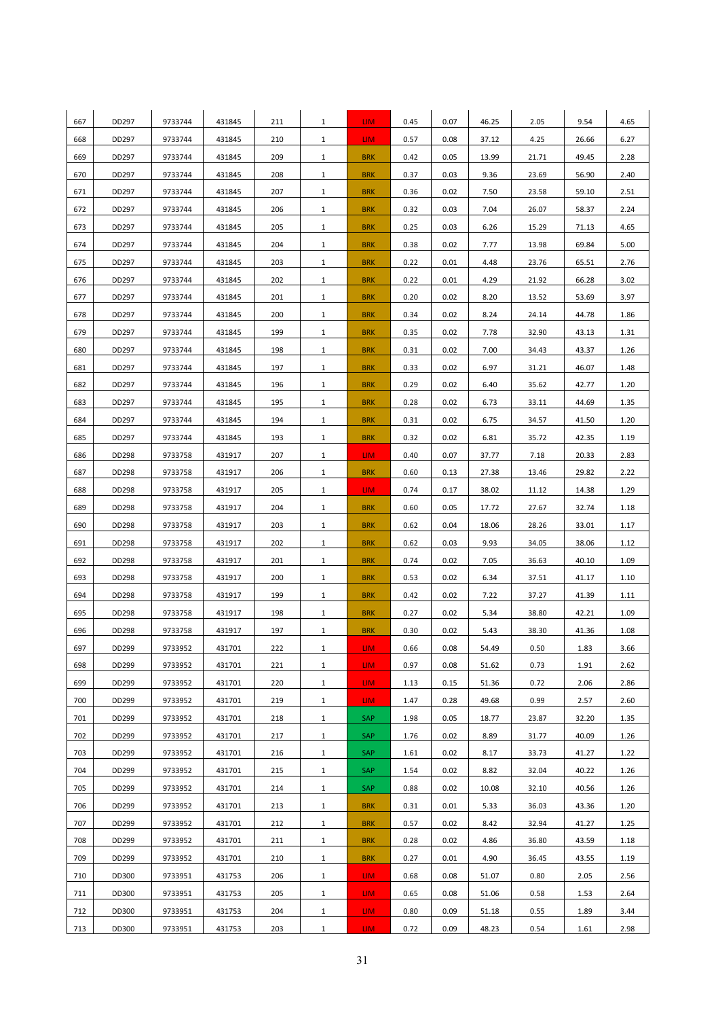| 667 | DD297 | 9733744 | 431845 | 211 | $\mathbf{1}$ | LIM.             | 0.45 | 0.07 | 46.25 | 2.05  | 9.54  | 4.65 |
|-----|-------|---------|--------|-----|--------------|------------------|------|------|-------|-------|-------|------|
| 668 | DD297 | 9733744 | 431845 | 210 | $\mathbf{1}$ | LIM.             | 0.57 | 0.08 | 37.12 | 4.25  | 26.66 | 6.27 |
| 669 | DD297 | 9733744 | 431845 | 209 | $\mathbf{1}$ | <b>BRK</b>       | 0.42 | 0.05 | 13.99 | 21.71 | 49.45 | 2.28 |
| 670 | DD297 | 9733744 | 431845 | 208 | $\mathbf{1}$ | <b>BRK</b>       | 0.37 | 0.03 | 9.36  | 23.69 | 56.90 | 2.40 |
| 671 | DD297 | 9733744 | 431845 | 207 | $\mathbf{1}$ | <b>BRK</b>       | 0.36 | 0.02 | 7.50  | 23.58 | 59.10 | 2.51 |
| 672 | DD297 | 9733744 | 431845 | 206 | $\mathbf{1}$ | <b>BRK</b>       | 0.32 | 0.03 | 7.04  | 26.07 | 58.37 | 2.24 |
| 673 | DD297 | 9733744 | 431845 | 205 | $\mathbf{1}$ | <b>BRK</b>       | 0.25 | 0.03 | 6.26  | 15.29 | 71.13 | 4.65 |
| 674 | DD297 | 9733744 | 431845 | 204 | $\mathbf{1}$ | <b>BRK</b>       | 0.38 | 0.02 | 7.77  | 13.98 | 69.84 | 5.00 |
| 675 | DD297 | 9733744 | 431845 | 203 | $\mathbf{1}$ | <b>BRK</b>       | 0.22 | 0.01 | 4.48  | 23.76 | 65.51 | 2.76 |
| 676 | DD297 | 9733744 | 431845 | 202 | $\mathbf{1}$ | <b>BRK</b>       | 0.22 | 0.01 | 4.29  | 21.92 | 66.28 | 3.02 |
| 677 | DD297 | 9733744 | 431845 | 201 | $\mathbf{1}$ | <b>BRK</b>       | 0.20 | 0.02 | 8.20  | 13.52 | 53.69 | 3.97 |
| 678 | DD297 | 9733744 | 431845 | 200 | $\mathbf{1}$ | <b>BRK</b>       | 0.34 | 0.02 | 8.24  | 24.14 | 44.78 | 1.86 |
| 679 | DD297 | 9733744 | 431845 | 199 | $\mathbf{1}$ | <b>BRK</b>       | 0.35 | 0.02 | 7.78  | 32.90 | 43.13 | 1.31 |
| 680 | DD297 | 9733744 | 431845 | 198 | $\mathbf{1}$ | <b>BRK</b>       | 0.31 | 0.02 | 7.00  | 34.43 | 43.37 | 1.26 |
| 681 | DD297 | 9733744 | 431845 | 197 | $\mathbf{1}$ | <b>BRK</b>       | 0.33 | 0.02 | 6.97  | 31.21 | 46.07 | 1.48 |
| 682 | DD297 | 9733744 | 431845 | 196 | $\mathbf{1}$ | <b>BRK</b>       | 0.29 | 0.02 | 6.40  | 35.62 | 42.77 | 1.20 |
| 683 | DD297 | 9733744 | 431845 | 195 | $\mathbf{1}$ | <b>BRK</b>       | 0.28 | 0.02 | 6.73  | 33.11 | 44.69 | 1.35 |
| 684 | DD297 | 9733744 | 431845 | 194 | $\mathbf{1}$ | <b>BRK</b>       | 0.31 | 0.02 | 6.75  | 34.57 | 41.50 | 1.20 |
| 685 | DD297 | 9733744 | 431845 | 193 | $\mathbf{1}$ | <b>BRK</b>       | 0.32 | 0.02 | 6.81  | 35.72 | 42.35 | 1.19 |
| 686 | DD298 | 9733758 | 431917 | 207 | $\mathbf{1}$ | LIM.             | 0.40 | 0.07 | 37.77 | 7.18  | 20.33 | 2.83 |
| 687 | DD298 | 9733758 | 431917 | 206 | $\mathbf{1}$ | <b>BRK</b>       | 0.60 | 0.13 | 27.38 | 13.46 | 29.82 | 2.22 |
| 688 | DD298 | 9733758 | 431917 | 205 | $\mathbf{1}$ | LIM.             | 0.74 | 0.17 | 38.02 | 11.12 | 14.38 | 1.29 |
| 689 | DD298 | 9733758 | 431917 | 204 | $\mathbf{1}$ | <b>BRK</b>       | 0.60 | 0.05 | 17.72 | 27.67 | 32.74 | 1.18 |
| 690 | DD298 | 9733758 | 431917 | 203 | $\mathbf{1}$ | <b>BRK</b>       | 0.62 | 0.04 | 18.06 | 28.26 | 33.01 | 1.17 |
| 691 | DD298 | 9733758 | 431917 | 202 | $\mathbf{1}$ | <b>BRK</b>       | 0.62 | 0.03 | 9.93  | 34.05 | 38.06 | 1.12 |
| 692 | DD298 | 9733758 | 431917 | 201 | $\mathbf{1}$ | <b>BRK</b>       | 0.74 | 0.02 | 7.05  | 36.63 | 40.10 | 1.09 |
| 693 | DD298 | 9733758 | 431917 | 200 | $\mathbf{1}$ | <b>BRK</b>       | 0.53 | 0.02 | 6.34  | 37.51 | 41.17 | 1.10 |
| 694 | DD298 | 9733758 | 431917 | 199 | $\mathbf{1}$ | <b>BRK</b>       | 0.42 | 0.02 | 7.22  | 37.27 | 41.39 | 1.11 |
| 695 | DD298 | 9733758 | 431917 | 198 | $\mathbf{1}$ | <b>BRK</b>       | 0.27 | 0.02 | 5.34  | 38.80 | 42.21 | 1.09 |
| 696 | DD298 | 9733758 | 431917 | 197 | $\mathbf{1}$ | <b>BRK</b>       | 0.30 | 0.02 | 5.43  | 38.30 | 41.36 | 1.08 |
| 697 | DD299 | 9733952 | 431701 | 222 | $\mathbf{1}$ | LIM.             | 0.66 | 0.08 | 54.49 | 0.50  | 1.83  | 3.66 |
| 698 | DD299 | 9733952 | 431701 | 221 | $\mathbf{1}$ | LIM.             | 0.97 | 0.08 | 51.62 | 0.73  | 1.91  | 2.62 |
| 699 | DD299 | 9733952 | 431701 | 220 | $\mathbf{1}$ | LIM.             | 1.13 | 0.15 | 51.36 | 0.72  | 2.06  | 2.86 |
| 700 | DD299 | 9733952 | 431701 | 219 | $\mathbf{1}$ | LIM.             | 1.47 | 0.28 | 49.68 | 0.99  | 2.57  | 2.60 |
| 701 | DD299 | 9733952 | 431701 | 218 | $\mathbf{1}$ | SAP              | 1.98 | 0.05 | 18.77 | 23.87 | 32.20 | 1.35 |
| 702 | DD299 | 9733952 | 431701 | 217 | $\mathbf{1}$ | SAP              | 1.76 | 0.02 | 8.89  | 31.77 | 40.09 | 1.26 |
| 703 | DD299 | 9733952 | 431701 | 216 | $\mathbf{1}$ | SAP              | 1.61 | 0.02 | 8.17  | 33.73 | 41.27 | 1.22 |
| 704 | DD299 | 9733952 | 431701 | 215 | $\mathbf{1}$ | SAP              | 1.54 | 0.02 | 8.82  | 32.04 | 40.22 | 1.26 |
| 705 | DD299 | 9733952 | 431701 | 214 | $\mathbf{1}$ | SAP              | 0.88 | 0.02 | 10.08 | 32.10 | 40.56 | 1.26 |
| 706 | DD299 | 9733952 | 431701 | 213 | $\mathbf{1}$ | <b>BRK</b>       | 0.31 | 0.01 | 5.33  | 36.03 | 43.36 | 1.20 |
| 707 | DD299 | 9733952 | 431701 | 212 | $\mathbf{1}$ | <b>BRK</b>       | 0.57 | 0.02 | 8.42  | 32.94 | 41.27 | 1.25 |
| 708 | DD299 | 9733952 | 431701 | 211 | $\mathbf{1}$ | <b>BRK</b>       | 0.28 | 0.02 | 4.86  | 36.80 | 43.59 | 1.18 |
| 709 | DD299 | 9733952 | 431701 | 210 | $\mathbf{1}$ | <b>BRK</b>       | 0.27 | 0.01 | 4.90  | 36.45 | 43.55 | 1.19 |
| 710 | DD300 | 9733951 | 431753 | 206 | $\mathbf{1}$ | LIM.             | 0.68 | 0.08 | 51.07 | 0.80  | 2.05  | 2.56 |
| 711 | DD300 | 9733951 | 431753 | 205 | $\mathbf{1}$ | LIM.             | 0.65 | 0.08 | 51.06 | 0.58  | 1.53  | 2.64 |
| 712 | DD300 | 9733951 | 431753 | 204 | $\mathbf{1}$ | LIM <sub></sub>  | 0.80 | 0.09 | 51.18 | 0.55  | 1.89  | 3.44 |
| 713 | DD300 | 9733951 | 431753 | 203 | $\mathbf{1}$ | LIM <sub>1</sub> | 0.72 | 0.09 | 48.23 | 0.54  | 1.61  | 2.98 |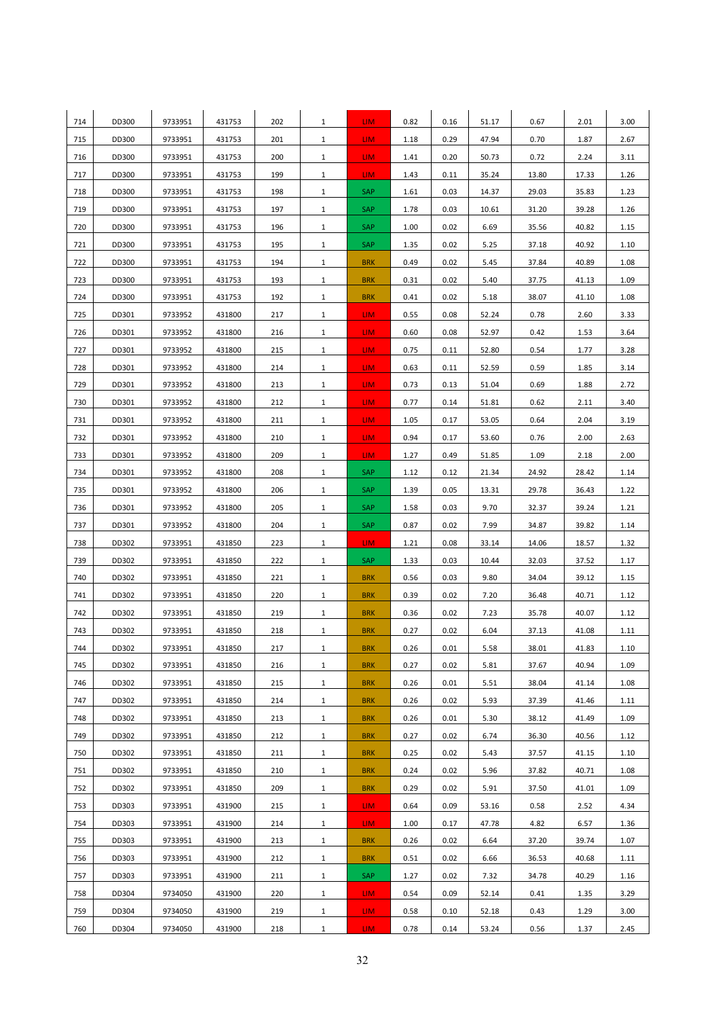| 714 | DD300 | 9733951 | 431753 | 202 | $\mathbf{1}$ | LIM.            | 0.82 | 0.16 | 51.17 | 0.67  | 2.01  | 3.00 |
|-----|-------|---------|--------|-----|--------------|-----------------|------|------|-------|-------|-------|------|
| 715 | DD300 | 9733951 | 431753 | 201 | $\mathbf{1}$ | LIM.            | 1.18 | 0.29 | 47.94 | 0.70  | 1.87  | 2.67 |
| 716 | DD300 | 9733951 | 431753 | 200 | $\mathbf{1}$ | LIM.            | 1.41 | 0.20 | 50.73 | 0.72  | 2.24  | 3.11 |
| 717 | DD300 | 9733951 | 431753 | 199 | $\mathbf{1}$ | LIM.            | 1.43 | 0.11 | 35.24 | 13.80 | 17.33 | 1.26 |
| 718 | DD300 | 9733951 | 431753 | 198 | $\mathbf{1}$ | SAP             | 1.61 | 0.03 | 14.37 | 29.03 | 35.83 | 1.23 |
| 719 | DD300 | 9733951 | 431753 | 197 | $\mathbf{1}$ | <b>SAP</b>      | 1.78 | 0.03 | 10.61 | 31.20 | 39.28 | 1.26 |
| 720 | DD300 | 9733951 | 431753 | 196 | $\mathbf{1}$ | SAP             | 1.00 | 0.02 | 6.69  | 35.56 | 40.82 | 1.15 |
| 721 | DD300 | 9733951 | 431753 | 195 | $\mathbf{1}$ | SAP             | 1.35 | 0.02 | 5.25  | 37.18 | 40.92 | 1.10 |
| 722 | DD300 | 9733951 | 431753 | 194 | $\mathbf{1}$ | <b>BRK</b>      | 0.49 | 0.02 | 5.45  | 37.84 | 40.89 | 1.08 |
| 723 | DD300 | 9733951 | 431753 | 193 | $\mathbf{1}$ | <b>BRK</b>      | 0.31 | 0.02 | 5.40  | 37.75 | 41.13 | 1.09 |
| 724 | DD300 | 9733951 | 431753 | 192 | $\mathbf{1}$ | <b>BRK</b>      | 0.41 | 0.02 | 5.18  | 38.07 | 41.10 | 1.08 |
| 725 | DD301 | 9733952 | 431800 | 217 | $\mathbf{1}$ | LIM.            | 0.55 | 0.08 | 52.24 | 0.78  | 2.60  | 3.33 |
| 726 | DD301 | 9733952 | 431800 | 216 | $\mathbf{1}$ | LIM.            | 0.60 | 0.08 | 52.97 | 0.42  | 1.53  | 3.64 |
| 727 | DD301 | 9733952 | 431800 | 215 | $\mathbf{1}$ | LIM.            | 0.75 | 0.11 | 52.80 | 0.54  | 1.77  | 3.28 |
| 728 | DD301 | 9733952 | 431800 | 214 | $\mathbf{1}$ | LIM.            | 0.63 | 0.11 | 52.59 | 0.59  | 1.85  | 3.14 |
| 729 | DD301 | 9733952 | 431800 | 213 | $\mathbf{1}$ | LIM.            | 0.73 | 0.13 | 51.04 | 0.69  | 1.88  | 2.72 |
| 730 | DD301 | 9733952 | 431800 | 212 | $\mathbf{1}$ | LIM <sub></sub> | 0.77 | 0.14 | 51.81 | 0.62  | 2.11  | 3.40 |
| 731 | DD301 | 9733952 | 431800 | 211 | $\mathbf{1}$ | LIM <sub></sub> | 1.05 | 0.17 | 53.05 | 0.64  | 2.04  | 3.19 |
| 732 | DD301 | 9733952 | 431800 | 210 | $\mathbf{1}$ | LIM.            | 0.94 | 0.17 | 53.60 | 0.76  | 2.00  | 2.63 |
| 733 | DD301 | 9733952 | 431800 | 209 | $\mathbf{1}$ | LIM.            | 1.27 | 0.49 | 51.85 | 1.09  | 2.18  | 2.00 |
| 734 | DD301 | 9733952 | 431800 | 208 | $\mathbf{1}$ | SAP             | 1.12 | 0.12 | 21.34 | 24.92 | 28.42 | 1.14 |
| 735 | DD301 | 9733952 | 431800 | 206 | $\mathbf{1}$ | SAP             | 1.39 | 0.05 | 13.31 | 29.78 | 36.43 | 1.22 |
| 736 | DD301 | 9733952 | 431800 | 205 | $\mathbf{1}$ | SAP             | 1.58 | 0.03 | 9.70  | 32.37 | 39.24 | 1.21 |
| 737 | DD301 | 9733952 | 431800 | 204 | $\mathbf{1}$ | SAP             | 0.87 | 0.02 | 7.99  | 34.87 | 39.82 | 1.14 |
| 738 | DD302 | 9733951 | 431850 | 223 | $\mathbf{1}$ | LIM.            | 1.21 | 0.08 | 33.14 | 14.06 | 18.57 | 1.32 |
| 739 | DD302 | 9733951 | 431850 | 222 | $\mathbf{1}$ | SAP             | 1.33 | 0.03 | 10.44 | 32.03 | 37.52 | 1.17 |
| 740 | DD302 | 9733951 | 431850 | 221 | $\mathbf{1}$ | <b>BRK</b>      | 0.56 | 0.03 | 9.80  | 34.04 | 39.12 | 1.15 |
| 741 | DD302 | 9733951 | 431850 | 220 | $\mathbf{1}$ | <b>BRK</b>      | 0.39 | 0.02 | 7.20  | 36.48 | 40.71 | 1.12 |
| 742 | DD302 | 9733951 | 431850 | 219 | $\mathbf{1}$ | <b>BRK</b>      | 0.36 | 0.02 | 7.23  | 35.78 | 40.07 | 1.12 |
| 743 | DD302 | 9733951 | 431850 | 218 | $\mathbf{1}$ | <b>BRK</b>      | 0.27 | 0.02 | 6.04  | 37.13 | 41.08 | 1.11 |
| 744 | DD302 | 9733951 | 431850 | 217 | $\mathbf{1}$ | <b>BRK</b>      | 0.26 | 0.01 | 5.58  | 38.01 | 41.83 | 1.10 |
| 745 | DD302 | 9733951 | 431850 | 216 | $\mathbf{1}$ | <b>BRK</b>      | 0.27 | 0.02 | 5.81  | 37.67 | 40.94 | 1.09 |
| 746 | DD302 | 9733951 | 431850 | 215 | $\mathbf{1}$ | <b>BRK</b>      | 0.26 | 0.01 | 5.51  | 38.04 | 41.14 | 1.08 |
| 747 | DD302 | 9733951 | 431850 | 214 | $\mathbf{1}$ | <b>BRK</b>      | 0.26 | 0.02 | 5.93  | 37.39 | 41.46 | 1.11 |
| 748 | DD302 | 9733951 | 431850 | 213 | $\mathbf{1}$ | <b>BRK</b>      | 0.26 | 0.01 | 5.30  | 38.12 | 41.49 | 1.09 |
| 749 | DD302 | 9733951 | 431850 | 212 | $\mathbf{1}$ | <b>BRK</b>      | 0.27 | 0.02 | 6.74  | 36.30 | 40.56 | 1.12 |
| 750 | DD302 | 9733951 | 431850 | 211 | $\mathbf{1}$ | <b>BRK</b>      | 0.25 | 0.02 | 5.43  | 37.57 | 41.15 | 1.10 |
| 751 | DD302 | 9733951 | 431850 | 210 | $\mathbf{1}$ | <b>BRK</b>      | 0.24 | 0.02 | 5.96  | 37.82 | 40.71 | 1.08 |
| 752 | DD302 | 9733951 | 431850 | 209 | $\mathbf{1}$ | <b>BRK</b>      | 0.29 | 0.02 | 5.91  | 37.50 | 41.01 | 1.09 |
| 753 | DD303 | 9733951 | 431900 | 215 | $\mathbf{1}$ | LIM.            | 0.64 | 0.09 | 53.16 | 0.58  | 2.52  | 4.34 |
| 754 | DD303 | 9733951 | 431900 | 214 | $\mathbf{1}$ | LIM.            | 1.00 | 0.17 | 47.78 | 4.82  | 6.57  | 1.36 |
| 755 | DD303 | 9733951 | 431900 | 213 | $\mathbf{1}$ | <b>BRK</b>      | 0.26 | 0.02 | 6.64  | 37.20 | 39.74 | 1.07 |
| 756 | DD303 | 9733951 | 431900 | 212 | $\mathbf{1}$ | <b>BRK</b>      | 0.51 | 0.02 | 6.66  | 36.53 | 40.68 | 1.11 |
| 757 | DD303 | 9733951 | 431900 | 211 | $\mathbf{1}$ | <b>SAP</b>      | 1.27 | 0.02 | 7.32  | 34.78 | 40.29 | 1.16 |
| 758 | DD304 | 9734050 | 431900 | 220 | $\mathbf{1}$ | LIM.            | 0.54 | 0.09 | 52.14 | 0.41  | 1.35  | 3.29 |
| 759 | DD304 | 9734050 | 431900 | 219 | $\mathbf{1}$ | LIM.            | 0.58 | 0.10 | 52.18 | 0.43  | 1.29  | 3.00 |
| 760 | DD304 | 9734050 | 431900 | 218 | $\mathbf{1}$ | LIM <sub></sub> | 0.78 | 0.14 | 53.24 | 0.56  | 1.37  | 2.45 |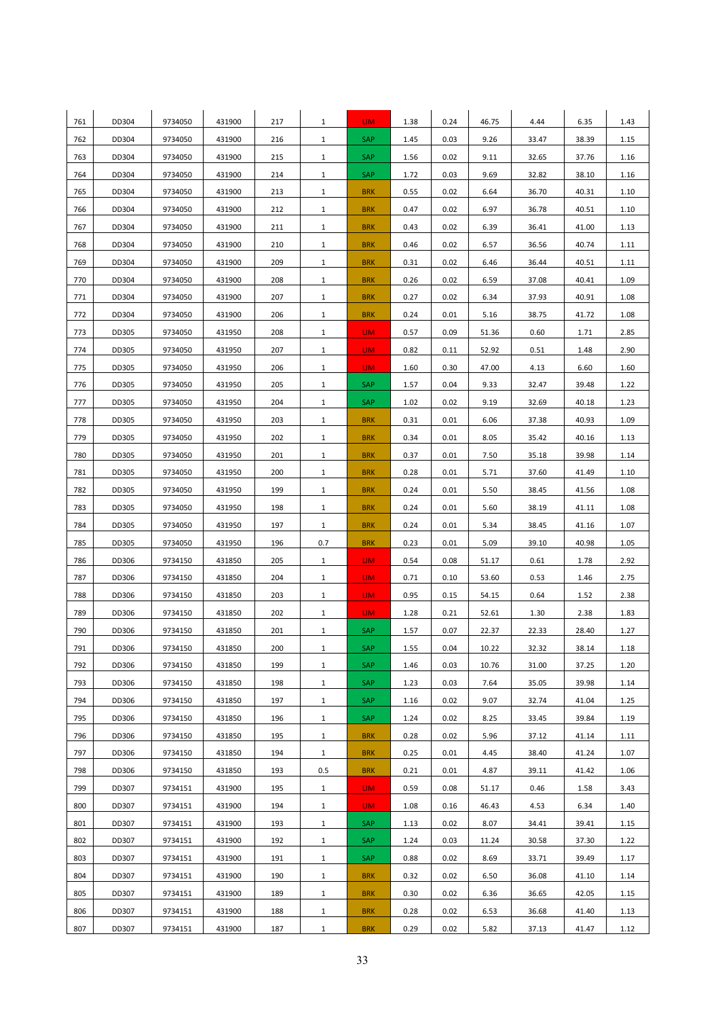| 761 | DD304 | 9734050 | 431900 | 217 | $\mathbf{1}$ | LIM.       | 1.38 | 0.24 | 46.75 | 4.44  | 6.35  | 1.43 |
|-----|-------|---------|--------|-----|--------------|------------|------|------|-------|-------|-------|------|
| 762 | DD304 | 9734050 | 431900 | 216 | $\mathbf{1}$ | SAP        | 1.45 | 0.03 | 9.26  | 33.47 | 38.39 | 1.15 |
| 763 | DD304 | 9734050 | 431900 | 215 | $\mathbf{1}$ | SAP        | 1.56 | 0.02 | 9.11  | 32.65 | 37.76 | 1.16 |
| 764 | DD304 | 9734050 | 431900 | 214 | $\mathbf{1}$ | SAP        | 1.72 | 0.03 | 9.69  | 32.82 | 38.10 | 1.16 |
| 765 | DD304 | 9734050 | 431900 | 213 | $\mathbf{1}$ | <b>BRK</b> | 0.55 | 0.02 | 6.64  | 36.70 | 40.31 | 1.10 |
| 766 | DD304 | 9734050 | 431900 | 212 | $\mathbf{1}$ | <b>BRK</b> | 0.47 | 0.02 | 6.97  | 36.78 | 40.51 | 1.10 |
| 767 | DD304 | 9734050 | 431900 | 211 | $\mathbf{1}$ | <b>BRK</b> | 0.43 | 0.02 | 6.39  | 36.41 | 41.00 | 1.13 |
| 768 | DD304 | 9734050 | 431900 | 210 | $\mathbf{1}$ | <b>BRK</b> | 0.46 | 0.02 | 6.57  | 36.56 | 40.74 | 1.11 |
| 769 | DD304 | 9734050 | 431900 | 209 | $\mathbf{1}$ | <b>BRK</b> | 0.31 | 0.02 | 6.46  | 36.44 | 40.51 | 1.11 |
| 770 | DD304 | 9734050 | 431900 | 208 | $\mathbf{1}$ | <b>BRK</b> | 0.26 | 0.02 | 6.59  | 37.08 | 40.41 | 1.09 |
| 771 | DD304 | 9734050 | 431900 | 207 | $\mathbf{1}$ | <b>BRK</b> | 0.27 | 0.02 | 6.34  | 37.93 | 40.91 | 1.08 |
| 772 | DD304 | 9734050 | 431900 | 206 | $\mathbf{1}$ | <b>BRK</b> | 0.24 | 0.01 | 5.16  | 38.75 | 41.72 | 1.08 |
| 773 | DD305 | 9734050 | 431950 | 208 | $\mathbf{1}$ | LIM.       | 0.57 | 0.09 | 51.36 | 0.60  | 1.71  | 2.85 |
| 774 | DD305 | 9734050 | 431950 | 207 | $\mathbf{1}$ | LIM.       | 0.82 | 0.11 | 52.92 | 0.51  | 1.48  | 2.90 |
| 775 | DD305 | 9734050 | 431950 | 206 | $\mathbf{1}$ | LIM.       | 1.60 | 0.30 | 47.00 | 4.13  | 6.60  | 1.60 |
| 776 | DD305 | 9734050 | 431950 | 205 | $\mathbf{1}$ | SAP        | 1.57 | 0.04 | 9.33  | 32.47 | 39.48 | 1.22 |
| 777 | DD305 | 9734050 | 431950 | 204 | $\mathbf{1}$ | <b>SAP</b> | 1.02 | 0.02 | 9.19  | 32.69 | 40.18 | 1.23 |
| 778 | DD305 | 9734050 | 431950 | 203 | $\mathbf{1}$ | <b>BRK</b> | 0.31 | 0.01 | 6.06  | 37.38 | 40.93 | 1.09 |
| 779 | DD305 | 9734050 | 431950 | 202 | $\mathbf{1}$ | <b>BRK</b> | 0.34 | 0.01 | 8.05  | 35.42 | 40.16 | 1.13 |
| 780 | DD305 | 9734050 | 431950 | 201 | $\mathbf{1}$ | <b>BRK</b> | 0.37 | 0.01 | 7.50  | 35.18 | 39.98 | 1.14 |
| 781 | DD305 | 9734050 | 431950 | 200 | $\mathbf{1}$ | <b>BRK</b> | 0.28 | 0.01 | 5.71  | 37.60 | 41.49 | 1.10 |
| 782 | DD305 | 9734050 | 431950 | 199 | $\mathbf{1}$ | <b>BRK</b> | 0.24 | 0.01 | 5.50  | 38.45 | 41.56 | 1.08 |
| 783 | DD305 | 9734050 | 431950 | 198 | $\mathbf{1}$ | <b>BRK</b> | 0.24 | 0.01 | 5.60  | 38.19 | 41.11 | 1.08 |
| 784 | DD305 | 9734050 | 431950 | 197 | $\mathbf{1}$ | <b>BRK</b> | 0.24 | 0.01 | 5.34  | 38.45 | 41.16 | 1.07 |
| 785 | DD305 | 9734050 | 431950 | 196 | 0.7          | <b>BRK</b> | 0.23 | 0.01 | 5.09  | 39.10 | 40.98 | 1.05 |
| 786 | DD306 | 9734150 | 431850 | 205 | $\mathbf{1}$ | LIM.       | 0.54 | 0.08 | 51.17 | 0.61  | 1.78  | 2.92 |
| 787 | DD306 | 9734150 | 431850 | 204 | $\mathbf{1}$ | LIM.       | 0.71 | 0.10 | 53.60 | 0.53  | 1.46  | 2.75 |
| 788 | DD306 | 9734150 | 431850 | 203 | $\mathbf{1}$ | LIM.       | 0.95 | 0.15 | 54.15 | 0.64  | 1.52  | 2.38 |
| 789 | DD306 | 9734150 | 431850 | 202 | $\mathbf{1}$ | LIM.       | 1.28 | 0.21 | 52.61 | 1.30  | 2.38  | 1.83 |
| 790 | DD306 | 9734150 | 431850 | 201 | $\mathbf{1}$ | SAP        | 1.57 | 0.07 | 22.37 | 22.33 | 28.40 | 1.27 |
| 791 | DD306 | 9734150 | 431850 | 200 | $\mathbf{1}$ | SAP        | 1.55 | 0.04 | 10.22 | 32.32 | 38.14 | 1.18 |
| 792 | DD306 | 9734150 | 431850 | 199 | $\mathbf{1}$ | SAP        | 1.46 | 0.03 | 10.76 | 31.00 | 37.25 | 1.20 |
| 793 | DD306 | 9734150 | 431850 | 198 | $\mathbf{1}$ | SAP        | 1.23 | 0.03 | 7.64  | 35.05 | 39.98 | 1.14 |
| 794 | DD306 | 9734150 | 431850 | 197 | $\mathbf{1}$ | SAP        | 1.16 | 0.02 | 9.07  | 32.74 | 41.04 | 1.25 |
| 795 | DD306 | 9734150 | 431850 | 196 | $\mathbf{1}$ | <b>SAP</b> | 1.24 | 0.02 | 8.25  | 33.45 | 39.84 | 1.19 |
| 796 | DD306 | 9734150 | 431850 | 195 | $\mathbf{1}$ | <b>BRK</b> | 0.28 | 0.02 | 5.96  | 37.12 | 41.14 | 1.11 |
| 797 | DD306 | 9734150 | 431850 | 194 | $\mathbf{1}$ | <b>BRK</b> | 0.25 | 0.01 | 4.45  | 38.40 | 41.24 | 1.07 |
| 798 | DD306 | 9734150 | 431850 | 193 | 0.5          | <b>BRK</b> | 0.21 | 0.01 | 4.87  | 39.11 | 41.42 | 1.06 |
| 799 | DD307 | 9734151 | 431900 | 195 | $\mathbf{1}$ | LIM.       | 0.59 | 0.08 | 51.17 | 0.46  | 1.58  | 3.43 |
| 800 | DD307 | 9734151 | 431900 | 194 | $\mathbf{1}$ | LIM.       | 1.08 | 0.16 | 46.43 | 4.53  | 6.34  | 1.40 |
| 801 | DD307 | 9734151 | 431900 | 193 | $\mathbf{1}$ | SAP        | 1.13 | 0.02 | 8.07  | 34.41 | 39.41 | 1.15 |
| 802 | DD307 | 9734151 | 431900 | 192 | $\mathbf{1}$ | SAP        | 1.24 | 0.03 | 11.24 | 30.58 | 37.30 | 1.22 |
| 803 | DD307 | 9734151 | 431900 | 191 | $\mathbf{1}$ | <b>SAP</b> | 0.88 | 0.02 | 8.69  | 33.71 | 39.49 | 1.17 |
| 804 | DD307 | 9734151 | 431900 | 190 | $\mathbf{1}$ | <b>BRK</b> | 0.32 | 0.02 | 6.50  | 36.08 | 41.10 | 1.14 |
| 805 | DD307 | 9734151 | 431900 | 189 | $\mathbf{1}$ | <b>BRK</b> | 0.30 | 0.02 | 6.36  | 36.65 | 42.05 | 1.15 |
| 806 | DD307 | 9734151 | 431900 | 188 | $\mathbf{1}$ | <b>BRK</b> | 0.28 | 0.02 | 6.53  | 36.68 | 41.40 | 1.13 |
| 807 | DD307 | 9734151 | 431900 | 187 | $\mathbf{1}$ | <b>BRK</b> | 0.29 | 0.02 | 5.82  | 37.13 | 41.47 | 1.12 |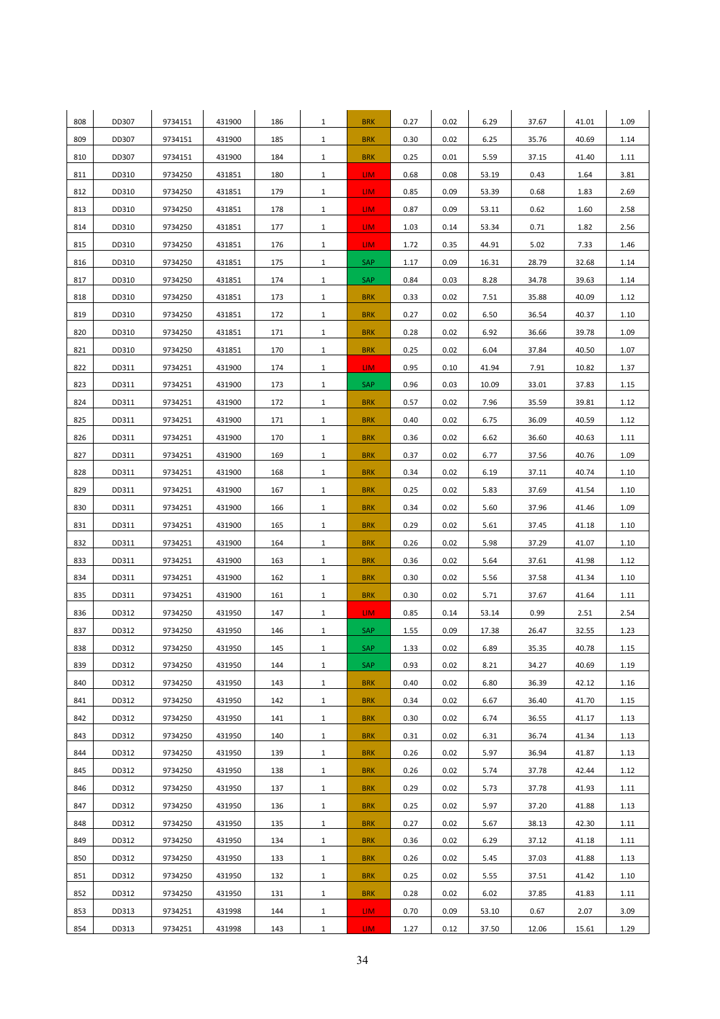| 808 | DD307 | 9734151 | 431900 | 186 | $\mathbf{1}$ | <b>BRK</b>      | 0.27 | 0.02 | 6.29  | 37.67 | 41.01 | 1.09 |
|-----|-------|---------|--------|-----|--------------|-----------------|------|------|-------|-------|-------|------|
| 809 | DD307 | 9734151 | 431900 | 185 | $\mathbf{1}$ | <b>BRK</b>      | 0.30 | 0.02 | 6.25  | 35.76 | 40.69 | 1.14 |
| 810 | DD307 | 9734151 | 431900 | 184 | $\mathbf{1}$ | <b>BRK</b>      | 0.25 | 0.01 | 5.59  | 37.15 | 41.40 | 1.11 |
| 811 | DD310 | 9734250 | 431851 | 180 | $\mathbf{1}$ | LIM.            | 0.68 | 0.08 | 53.19 | 0.43  | 1.64  | 3.81 |
| 812 | DD310 | 9734250 | 431851 | 179 | $\mathbf{1}$ | LIM.            | 0.85 | 0.09 | 53.39 | 0.68  | 1.83  | 2.69 |
| 813 | DD310 | 9734250 | 431851 | 178 | $\mathbf{1}$ | LIM.            | 0.87 | 0.09 | 53.11 | 0.62  | 1.60  | 2.58 |
| 814 | DD310 | 9734250 | 431851 | 177 | $\mathbf{1}$ | LIM <sub></sub> | 1.03 | 0.14 | 53.34 | 0.71  | 1.82  | 2.56 |
| 815 | DD310 | 9734250 | 431851 | 176 | $\mathbf{1}$ | LIM.            | 1.72 | 0.35 | 44.91 | 5.02  | 7.33  | 1.46 |
| 816 | DD310 | 9734250 | 431851 | 175 | $\mathbf{1}$ | SAP             | 1.17 | 0.09 | 16.31 | 28.79 | 32.68 | 1.14 |
| 817 | DD310 | 9734250 | 431851 | 174 | $\mathbf{1}$ | SAP             | 0.84 | 0.03 | 8.28  | 34.78 | 39.63 | 1.14 |
| 818 | DD310 | 9734250 | 431851 | 173 | $\mathbf{1}$ | <b>BRK</b>      | 0.33 | 0.02 | 7.51  | 35.88 | 40.09 | 1.12 |
| 819 | DD310 | 9734250 | 431851 | 172 | $\mathbf{1}$ | <b>BRK</b>      | 0.27 | 0.02 | 6.50  | 36.54 | 40.37 | 1.10 |
| 820 | DD310 | 9734250 | 431851 | 171 | $\mathbf{1}$ | <b>BRK</b>      | 0.28 | 0.02 | 6.92  | 36.66 | 39.78 | 1.09 |
| 821 | DD310 | 9734250 | 431851 | 170 | $\mathbf{1}$ | <b>BRK</b>      | 0.25 | 0.02 | 6.04  | 37.84 | 40.50 | 1.07 |
| 822 | DD311 | 9734251 | 431900 | 174 | $\mathbf{1}$ | LIM.            | 0.95 | 0.10 | 41.94 | 7.91  | 10.82 | 1.37 |
| 823 | DD311 | 9734251 | 431900 | 173 | $\mathbf{1}$ | SAP             | 0.96 | 0.03 | 10.09 | 33.01 | 37.83 | 1.15 |
| 824 | DD311 | 9734251 | 431900 | 172 | $\mathbf{1}$ | <b>BRK</b>      | 0.57 | 0.02 | 7.96  | 35.59 | 39.81 | 1.12 |
| 825 | DD311 | 9734251 | 431900 | 171 | $\mathbf{1}$ | <b>BRK</b>      | 0.40 | 0.02 | 6.75  | 36.09 | 40.59 | 1.12 |
| 826 | DD311 | 9734251 | 431900 | 170 | $\mathbf{1}$ | <b>BRK</b>      | 0.36 | 0.02 | 6.62  | 36.60 | 40.63 | 1.11 |
| 827 | DD311 | 9734251 | 431900 | 169 | $\mathbf{1}$ | <b>BRK</b>      | 0.37 | 0.02 | 6.77  | 37.56 | 40.76 | 1.09 |
| 828 | DD311 | 9734251 | 431900 | 168 | $\mathbf{1}$ | <b>BRK</b>      | 0.34 | 0.02 | 6.19  | 37.11 | 40.74 | 1.10 |
| 829 | DD311 | 9734251 | 431900 | 167 | $\mathbf{1}$ | <b>BRK</b>      | 0.25 | 0.02 | 5.83  | 37.69 | 41.54 | 1.10 |
| 830 | DD311 | 9734251 | 431900 | 166 | $\mathbf{1}$ | <b>BRK</b>      | 0.34 | 0.02 | 5.60  | 37.96 | 41.46 | 1.09 |
| 831 | DD311 | 9734251 | 431900 | 165 | $\mathbf{1}$ | <b>BRK</b>      | 0.29 | 0.02 | 5.61  | 37.45 | 41.18 | 1.10 |
| 832 | DD311 | 9734251 | 431900 | 164 | $\mathbf{1}$ | <b>BRK</b>      | 0.26 | 0.02 | 5.98  | 37.29 | 41.07 | 1.10 |
| 833 | DD311 | 9734251 | 431900 | 163 | $\mathbf{1}$ | <b>BRK</b>      | 0.36 | 0.02 | 5.64  | 37.61 | 41.98 | 1.12 |
| 834 | DD311 | 9734251 | 431900 | 162 | $\mathbf{1}$ | <b>BRK</b>      | 0.30 | 0.02 | 5.56  | 37.58 | 41.34 | 1.10 |
| 835 | DD311 | 9734251 | 431900 | 161 | $\mathbf{1}$ | <b>BRK</b>      | 0.30 | 0.02 | 5.71  | 37.67 | 41.64 | 1.11 |
| 836 | DD312 | 9734250 | 431950 | 147 | $\mathbf{1}$ | LIM.            | 0.85 | 0.14 | 53.14 | 0.99  | 2.51  | 2.54 |
| 837 | DD312 | 9734250 | 431950 | 146 | $\mathbf{1}$ | SAP             | 1.55 | 0.09 | 17.38 | 26.47 | 32.55 | 1.23 |
| 838 | DD312 | 9734250 | 431950 | 145 | 1            | <b>SAP</b>      | 1.33 | 0.02 | 6.89  | 35.35 | 40.78 | 1.15 |
| 839 | DD312 | 9734250 | 431950 | 144 | $\mathbf{1}$ | SAP             | 0.93 | 0.02 | 8.21  | 34.27 | 40.69 | 1.19 |
| 840 | DD312 | 9734250 | 431950 | 143 | $\mathbf{1}$ | <b>BRK</b>      | 0.40 | 0.02 | 6.80  | 36.39 | 42.12 | 1.16 |
| 841 | DD312 | 9734250 | 431950 | 142 | $\mathbf{1}$ | <b>BRK</b>      | 0.34 | 0.02 | 6.67  | 36.40 | 41.70 | 1.15 |
| 842 | DD312 | 9734250 | 431950 | 141 | $\mathbf{1}$ | <b>BRK</b>      | 0.30 | 0.02 | 6.74  | 36.55 | 41.17 | 1.13 |
| 843 | DD312 | 9734250 | 431950 | 140 | $\mathbf{1}$ | <b>BRK</b>      | 0.31 | 0.02 | 6.31  | 36.74 | 41.34 | 1.13 |
| 844 | DD312 | 9734250 | 431950 | 139 | $\mathbf{1}$ | <b>BRK</b>      | 0.26 | 0.02 | 5.97  | 36.94 | 41.87 | 1.13 |
| 845 | DD312 | 9734250 | 431950 | 138 | $\mathbf{1}$ | <b>BRK</b>      | 0.26 | 0.02 | 5.74  | 37.78 | 42.44 | 1.12 |
| 846 | DD312 | 9734250 | 431950 | 137 | $\mathbf{1}$ | <b>BRK</b>      | 0.29 | 0.02 | 5.73  | 37.78 | 41.93 | 1.11 |
| 847 | DD312 | 9734250 | 431950 | 136 | $\mathbf{1}$ | <b>BRK</b>      | 0.25 | 0.02 | 5.97  | 37.20 | 41.88 | 1.13 |
| 848 | DD312 | 9734250 | 431950 | 135 | $\mathbf{1}$ | <b>BRK</b>      | 0.27 | 0.02 | 5.67  | 38.13 | 42.30 | 1.11 |
| 849 | DD312 | 9734250 | 431950 | 134 | $\mathbf{1}$ | <b>BRK</b>      | 0.36 | 0.02 | 6.29  | 37.12 | 41.18 | 1.11 |
| 850 | DD312 | 9734250 | 431950 | 133 | $\mathbf{1}$ | <b>BRK</b>      | 0.26 | 0.02 | 5.45  | 37.03 | 41.88 | 1.13 |
| 851 | DD312 | 9734250 | 431950 | 132 | $\mathbf{1}$ | <b>BRK</b>      | 0.25 | 0.02 | 5.55  | 37.51 | 41.42 | 1.10 |
| 852 | DD312 | 9734250 | 431950 | 131 | $\mathbf{1}$ | <b>BRK</b>      | 0.28 | 0.02 | 6.02  | 37.85 | 41.83 | 1.11 |
| 853 | DD313 | 9734251 | 431998 | 144 | $\mathbf{1}$ | LIM.            | 0.70 | 0.09 | 53.10 | 0.67  | 2.07  | 3.09 |
| 854 | DD313 | 9734251 | 431998 | 143 | $\mathbf{1}$ | LIM.            | 1.27 | 0.12 | 37.50 | 12.06 | 15.61 | 1.29 |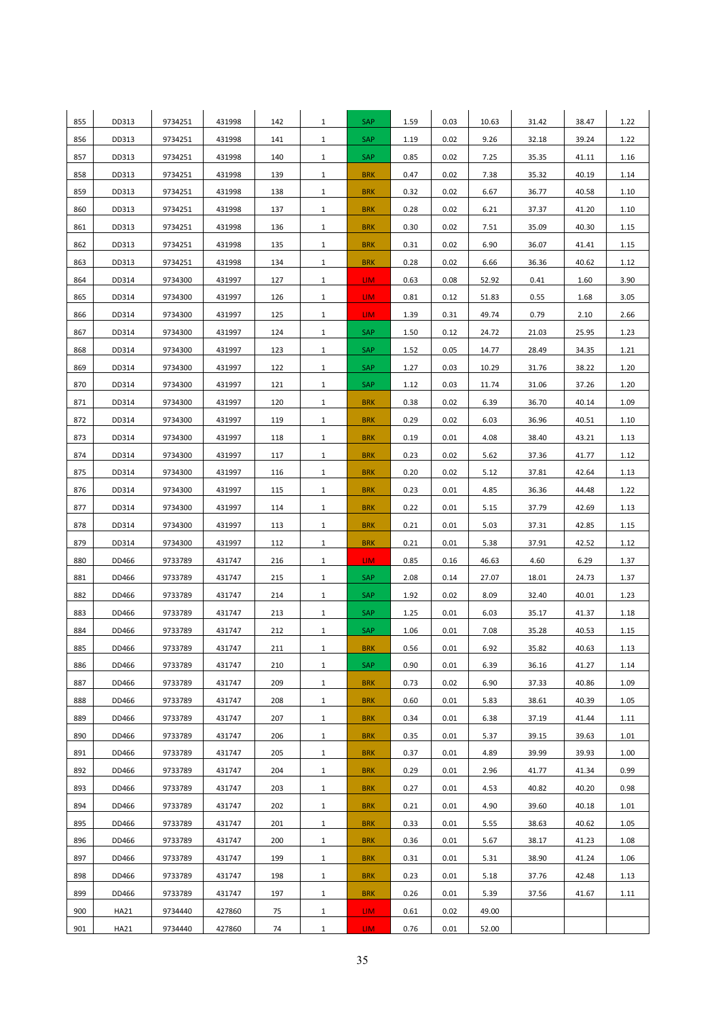| 855 | DD313       | 9734251 | 431998 | 142 | $\mathbf{1}$ | SAP             | 1.59 | 0.03 | 10.63 | 31.42 | 38.47 | 1.22 |
|-----|-------------|---------|--------|-----|--------------|-----------------|------|------|-------|-------|-------|------|
| 856 | DD313       | 9734251 | 431998 | 141 | $\mathbf{1}$ | SAP             | 1.19 | 0.02 | 9.26  | 32.18 | 39.24 | 1.22 |
| 857 | DD313       | 9734251 | 431998 | 140 | $\mathbf{1}$ | SAP             | 0.85 | 0.02 | 7.25  | 35.35 | 41.11 | 1.16 |
| 858 | DD313       | 9734251 | 431998 | 139 | $\mathbf{1}$ | <b>BRK</b>      | 0.47 | 0.02 | 7.38  | 35.32 | 40.19 | 1.14 |
| 859 | DD313       | 9734251 | 431998 | 138 | $\mathbf{1}$ | <b>BRK</b>      | 0.32 | 0.02 | 6.67  | 36.77 | 40.58 | 1.10 |
| 860 | DD313       | 9734251 | 431998 | 137 | $\mathbf{1}$ | <b>BRK</b>      | 0.28 | 0.02 | 6.21  | 37.37 | 41.20 | 1.10 |
| 861 | DD313       | 9734251 | 431998 | 136 | $\mathbf{1}$ | <b>BRK</b>      | 0.30 | 0.02 | 7.51  | 35.09 | 40.30 | 1.15 |
| 862 | DD313       | 9734251 | 431998 | 135 | $\mathbf{1}$ | <b>BRK</b>      | 0.31 | 0.02 | 6.90  | 36.07 | 41.41 | 1.15 |
| 863 | DD313       | 9734251 | 431998 | 134 | $\mathbf{1}$ | <b>BRK</b>      | 0.28 | 0.02 | 6.66  | 36.36 | 40.62 | 1.12 |
| 864 | DD314       | 9734300 | 431997 | 127 | $\mathbf{1}$ | LIM.            | 0.63 | 0.08 | 52.92 | 0.41  | 1.60  | 3.90 |
| 865 | DD314       | 9734300 | 431997 | 126 | $\mathbf{1}$ | LIM.            | 0.81 | 0.12 | 51.83 | 0.55  | 1.68  | 3.05 |
| 866 | DD314       | 9734300 | 431997 | 125 | $\mathbf{1}$ | LIM.            | 1.39 | 0.31 | 49.74 | 0.79  | 2.10  | 2.66 |
| 867 | DD314       | 9734300 | 431997 | 124 | $\mathbf{1}$ | SAP             | 1.50 | 0.12 | 24.72 | 21.03 | 25.95 | 1.23 |
| 868 | DD314       | 9734300 | 431997 | 123 | $\mathbf{1}$ | SAP             | 1.52 | 0.05 | 14.77 | 28.49 | 34.35 | 1.21 |
| 869 | DD314       | 9734300 | 431997 | 122 | $\mathbf{1}$ | SAP             | 1.27 | 0.03 | 10.29 | 31.76 | 38.22 | 1.20 |
| 870 | DD314       | 9734300 | 431997 | 121 | $\mathbf{1}$ | SAP             | 1.12 | 0.03 | 11.74 | 31.06 | 37.26 | 1.20 |
| 871 | DD314       | 9734300 | 431997 | 120 | $\mathbf{1}$ | <b>BRK</b>      | 0.38 | 0.02 | 6.39  | 36.70 | 40.14 | 1.09 |
| 872 | DD314       | 9734300 | 431997 | 119 | $\mathbf{1}$ | <b>BRK</b>      | 0.29 | 0.02 | 6.03  | 36.96 | 40.51 | 1.10 |
| 873 | DD314       | 9734300 | 431997 | 118 | $\mathbf{1}$ | <b>BRK</b>      | 0.19 | 0.01 | 4.08  | 38.40 | 43.21 | 1.13 |
| 874 | DD314       | 9734300 | 431997 | 117 | $\mathbf{1}$ | <b>BRK</b>      | 0.23 | 0.02 | 5.62  | 37.36 | 41.77 | 1.12 |
| 875 | DD314       | 9734300 | 431997 | 116 | $\mathbf{1}$ | <b>BRK</b>      | 0.20 | 0.02 | 5.12  | 37.81 | 42.64 | 1.13 |
| 876 | DD314       | 9734300 | 431997 | 115 | $\mathbf{1}$ | <b>BRK</b>      | 0.23 | 0.01 | 4.85  | 36.36 | 44.48 | 1.22 |
| 877 | DD314       | 9734300 | 431997 | 114 | $\mathbf{1}$ | <b>BRK</b>      | 0.22 | 0.01 | 5.15  | 37.79 | 42.69 | 1.13 |
| 878 | DD314       | 9734300 | 431997 | 113 | $\mathbf{1}$ | <b>BRK</b>      | 0.21 | 0.01 | 5.03  | 37.31 | 42.85 | 1.15 |
| 879 | DD314       | 9734300 | 431997 | 112 | $\mathbf{1}$ | <b>BRK</b>      | 0.21 | 0.01 | 5.38  | 37.91 | 42.52 | 1.12 |
| 880 | DD466       | 9733789 | 431747 | 216 | $\mathbf{1}$ | LIM.            | 0.85 | 0.16 | 46.63 | 4.60  | 6.29  | 1.37 |
| 881 | DD466       | 9733789 | 431747 | 215 | $\mathbf{1}$ | SAP             | 2.08 | 0.14 | 27.07 | 18.01 | 24.73 | 1.37 |
| 882 | DD466       | 9733789 | 431747 | 214 | $\mathbf{1}$ | SAP             | 1.92 | 0.02 | 8.09  | 32.40 | 40.01 | 1.23 |
| 883 | DD466       | 9733789 | 431747 | 213 | $\mathbf{1}$ | SAP             | 1.25 | 0.01 | 6.03  | 35.17 | 41.37 | 1.18 |
| 884 | DD466       | 9733789 | 431747 | 212 | $\mathbf{1}$ | SAP             | 1.06 | 0.01 | 7.08  | 35.28 | 40.53 | 1.15 |
| 885 | DD466       | 9733789 | 431747 | 211 | $\mathbf{1}$ | <b>BRK</b>      | 0.56 | 0.01 | 6.92  | 35.82 | 40.63 | 1.13 |
| 886 | DD466       | 9733789 | 431747 | 210 | $\mathbf{1}$ | SAP             | 0.90 | 0.01 | 6.39  | 36.16 | 41.27 | 1.14 |
| 887 | DD466       | 9733789 | 431747 | 209 | $\mathbf{1}$ | <b>BRK</b>      | 0.73 | 0.02 | 6.90  | 37.33 | 40.86 | 1.09 |
| 888 | DD466       | 9733789 | 431747 | 208 | $\mathbf{1}$ | <b>BRK</b>      | 0.60 | 0.01 | 5.83  | 38.61 | 40.39 | 1.05 |
| 889 | DD466       | 9733789 | 431747 | 207 | $\mathbf{1}$ | <b>BRK</b>      | 0.34 | 0.01 | 6.38  | 37.19 | 41.44 | 1.11 |
| 890 | DD466       | 9733789 | 431747 | 206 | $\mathbf{1}$ | <b>BRK</b>      | 0.35 | 0.01 | 5.37  | 39.15 | 39.63 | 1.01 |
| 891 | DD466       | 9733789 | 431747 | 205 | $\mathbf{1}$ | <b>BRK</b>      | 0.37 | 0.01 | 4.89  | 39.99 | 39.93 | 1.00 |
| 892 | DD466       | 9733789 | 431747 | 204 | $\mathbf{1}$ | <b>BRK</b>      | 0.29 | 0.01 | 2.96  | 41.77 | 41.34 | 0.99 |
| 893 | DD466       | 9733789 | 431747 | 203 | $\mathbf{1}$ | <b>BRK</b>      | 0.27 | 0.01 | 4.53  | 40.82 | 40.20 | 0.98 |
| 894 | DD466       | 9733789 | 431747 | 202 | $\mathbf{1}$ | <b>BRK</b>      | 0.21 | 0.01 | 4.90  | 39.60 | 40.18 | 1.01 |
| 895 | DD466       | 9733789 | 431747 | 201 | $\mathbf{1}$ | <b>BRK</b>      | 0.33 | 0.01 | 5.55  | 38.63 | 40.62 | 1.05 |
| 896 | DD466       | 9733789 | 431747 | 200 | $\mathbf{1}$ | <b>BRK</b>      | 0.36 | 0.01 | 5.67  | 38.17 | 41.23 | 1.08 |
| 897 | DD466       | 9733789 | 431747 | 199 | $\mathbf{1}$ | <b>BRK</b>      | 0.31 | 0.01 | 5.31  | 38.90 | 41.24 | 1.06 |
| 898 | DD466       | 9733789 | 431747 | 198 | $\mathbf{1}$ | <b>BRK</b>      | 0.23 | 0.01 | 5.18  | 37.76 | 42.48 | 1.13 |
| 899 | DD466       | 9733789 | 431747 | 197 | $\mathbf{1}$ | <b>BRK</b>      | 0.26 | 0.01 | 5.39  | 37.56 | 41.67 | 1.11 |
| 900 | <b>HA21</b> | 9734440 | 427860 | 75  | $\mathbf{1}$ | LIM.            | 0.61 | 0.02 | 49.00 |       |       |      |
| 901 | HA21        | 9734440 | 427860 | 74  | $\mathbf{1}$ | LIM <sub></sub> | 0.76 | 0.01 | 52.00 |       |       |      |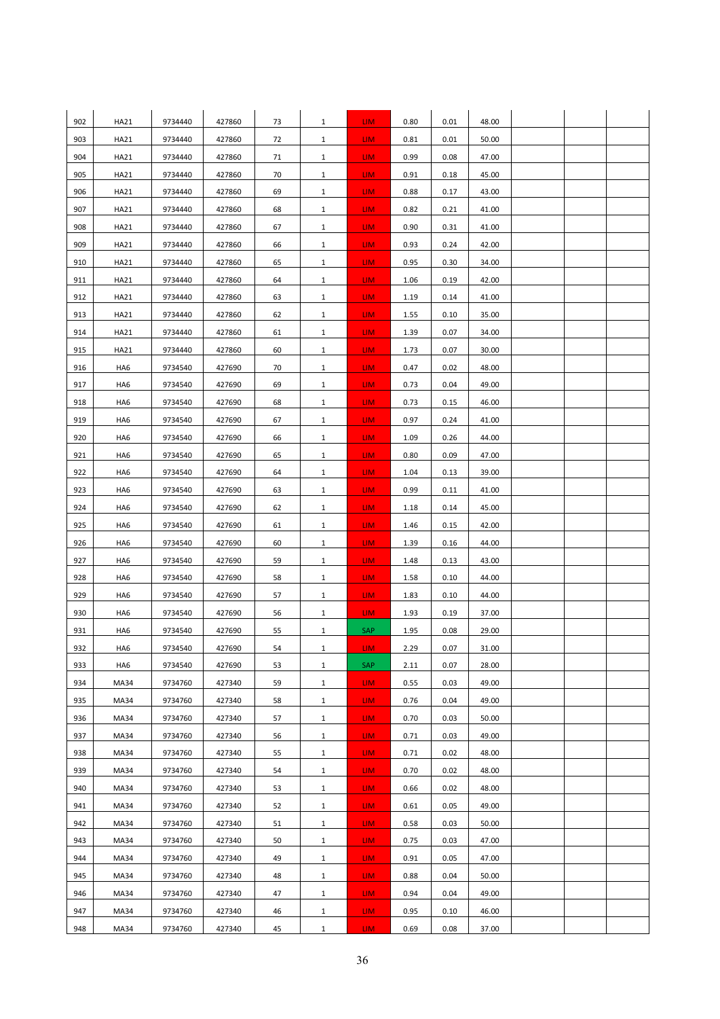| 902 | <b>HA21</b> | 9734440 | 427860 | 73 | $\mathbf{1}$ | LIM.            | 0.80 | 0.01 | 48.00 |  |  |
|-----|-------------|---------|--------|----|--------------|-----------------|------|------|-------|--|--|
| 903 | HA21        | 9734440 | 427860 | 72 | $\mathbf{1}$ | LIM.            | 0.81 | 0.01 | 50.00 |  |  |
| 904 | <b>HA21</b> | 9734440 | 427860 | 71 | $\mathbf{1}$ | LIM.            | 0.99 | 0.08 | 47.00 |  |  |
| 905 | HA21        | 9734440 | 427860 | 70 | $\mathbf{1}$ | LIM <sub></sub> | 0.91 | 0.18 | 45.00 |  |  |
| 906 | HA21        | 9734440 | 427860 | 69 | $\mathbf{1}$ | LIM <sub></sub> | 0.88 | 0.17 | 43.00 |  |  |
| 907 | HA21        | 9734440 | 427860 | 68 | $\mathbf{1}$ | LIM <sub></sub> | 0.82 | 0.21 | 41.00 |  |  |
| 908 | <b>HA21</b> | 9734440 | 427860 | 67 | $\mathbf{1}$ | LIM <sub></sub> | 0.90 | 0.31 | 41.00 |  |  |
| 909 | <b>HA21</b> | 9734440 | 427860 | 66 | $\mathbf{1}$ | LIM.            | 0.93 | 0.24 | 42.00 |  |  |
| 910 | HA21        | 9734440 | 427860 | 65 | $\mathbf{1}$ | LIM <sub></sub> | 0.95 | 0.30 | 34.00 |  |  |
| 911 | HA21        | 9734440 | 427860 | 64 | $\mathbf{1}$ | LIM <sub></sub> | 1.06 | 0.19 | 42.00 |  |  |
| 912 | <b>HA21</b> | 9734440 | 427860 | 63 | $\mathbf{1}$ | LIM <sub></sub> | 1.19 | 0.14 | 41.00 |  |  |
| 913 | <b>HA21</b> | 9734440 | 427860 | 62 | $\mathbf{1}$ | LIM <sub></sub> | 1.55 | 0.10 | 35.00 |  |  |
| 914 | <b>HA21</b> | 9734440 | 427860 | 61 | $\mathbf{1}$ | LIM <sub></sub> | 1.39 | 0.07 | 34.00 |  |  |
| 915 | HA21        | 9734440 | 427860 | 60 | $\mathbf{1}$ | LIM <sub></sub> | 1.73 | 0.07 | 30.00 |  |  |
| 916 | HA6         | 9734540 | 427690 | 70 | $\mathbf{1}$ | LIM <sub></sub> | 0.47 | 0.02 | 48.00 |  |  |
| 917 | HA6         | 9734540 | 427690 | 69 | $\mathbf{1}$ | LIM <sub></sub> | 0.73 | 0.04 | 49.00 |  |  |
| 918 | HA6         | 9734540 | 427690 | 68 | $\mathbf{1}$ | <b>LIM</b>      | 0.73 | 0.15 | 46.00 |  |  |
| 919 | HA6         | 9734540 | 427690 | 67 | $\mathbf{1}$ | LIM <sub></sub> | 0.97 | 0.24 | 41.00 |  |  |
| 920 | HA6         | 9734540 | 427690 | 66 | $\mathbf{1}$ | LIM <sub></sub> | 1.09 | 0.26 | 44.00 |  |  |
| 921 | HA6         | 9734540 | 427690 | 65 | $\mathbf{1}$ | LIM.            | 0.80 | 0.09 | 47.00 |  |  |
| 922 | HA6         | 9734540 | 427690 | 64 | $\mathbf{1}$ | LIM.            | 1.04 | 0.13 | 39.00 |  |  |
| 923 | HA6         | 9734540 | 427690 | 63 | $\mathbf{1}$ | LIM <sub></sub> | 0.99 | 0.11 | 41.00 |  |  |
| 924 | HA6         | 9734540 | 427690 | 62 | $\mathbf{1}$ | LIM <sub></sub> | 1.18 | 0.14 | 45.00 |  |  |
| 925 | HA6         | 9734540 | 427690 | 61 | $\mathbf{1}$ | LIM <sub></sub> | 1.46 | 0.15 | 42.00 |  |  |
| 926 | HA6         | 9734540 | 427690 | 60 | $\mathbf{1}$ | LIM <sub></sub> | 1.39 | 0.16 | 44.00 |  |  |
| 927 | HA6         | 9734540 | 427690 | 59 | $\mathbf{1}$ | LIM.            | 1.48 | 0.13 | 43.00 |  |  |
| 928 | HA6         | 9734540 | 427690 | 58 | $\mathbf{1}$ | LIM <sub></sub> | 1.58 | 0.10 | 44.00 |  |  |
| 929 | HA6         | 9734540 | 427690 | 57 | $\mathbf{1}$ | LIM <sub></sub> | 1.83 | 0.10 | 44.00 |  |  |
| 930 | HA6         | 9734540 | 427690 | 56 | $\mathbf{1}$ | LIM <sub></sub> | 1.93 | 0.19 | 37.00 |  |  |
| 931 | HA6         | 9734540 | 427690 | 55 | $\mathbf{1}$ | SAP             | 1.95 | 0.08 | 29.00 |  |  |
| 932 | HA6         | 9734540 | 427690 | 54 | 1            | LIM.            | 2.29 | 0.07 | 31.00 |  |  |
| 933 | HA6         | 9734540 | 427690 | 53 | $\mathbf{1}$ | SAP             | 2.11 | 0.07 | 28.00 |  |  |
| 934 | MA34        | 9734760 | 427340 | 59 | $\mathbf{1}$ | LIM.            | 0.55 | 0.03 | 49.00 |  |  |
| 935 | MA34        | 9734760 | 427340 | 58 | $\mathbf{1}$ | LIM <sub></sub> | 0.76 | 0.04 | 49.00 |  |  |
| 936 | MA34        | 9734760 | 427340 | 57 | $\mathbf{1}$ | LIM <sub></sub> | 0.70 | 0.03 | 50.00 |  |  |
| 937 | MA34        | 9734760 | 427340 | 56 | $\mathbf{1}$ | LIM <sub></sub> | 0.71 | 0.03 | 49.00 |  |  |
| 938 | MA34        | 9734760 | 427340 | 55 | $\mathbf{1}$ | <b>LIM</b>      | 0.71 | 0.02 | 48.00 |  |  |
| 939 | MA34        | 9734760 | 427340 | 54 | $\mathbf{1}$ | LIM <sub></sub> | 0.70 | 0.02 | 48.00 |  |  |
| 940 | MA34        | 9734760 | 427340 | 53 | $\mathbf{1}$ | LIM.            | 0.66 | 0.02 | 48.00 |  |  |
| 941 | MA34        | 9734760 | 427340 | 52 | $\mathbf{1}$ | LIM <sub></sub> | 0.61 | 0.05 | 49.00 |  |  |
| 942 | MA34        | 9734760 | 427340 | 51 | $\mathbf{1}$ | LIM <sub></sub> | 0.58 | 0.03 | 50.00 |  |  |
| 943 | MA34        | 9734760 | 427340 | 50 | $\mathbf{1}$ | LIM <sub></sub> | 0.75 | 0.03 | 47.00 |  |  |
| 944 | MA34        | 9734760 | 427340 | 49 | $\mathbf{1}$ | LIM <sub></sub> | 0.91 | 0.05 | 47.00 |  |  |
| 945 | MA34        | 9734760 | 427340 | 48 | $\mathbf{1}$ | LIM.            | 0.88 | 0.04 | 50.00 |  |  |
| 946 | MA34        | 9734760 | 427340 | 47 | $\mathbf{1}$ | LIM <sub></sub> | 0.94 | 0.04 | 49.00 |  |  |
| 947 | MA34        | 9734760 | 427340 | 46 | $\mathbf{1}$ | LIM <sub></sub> | 0.95 | 0.10 | 46.00 |  |  |
| 948 | MA34        | 9734760 | 427340 | 45 | $\mathbf{1}$ | LIM <sub></sub> | 0.69 | 0.08 | 37.00 |  |  |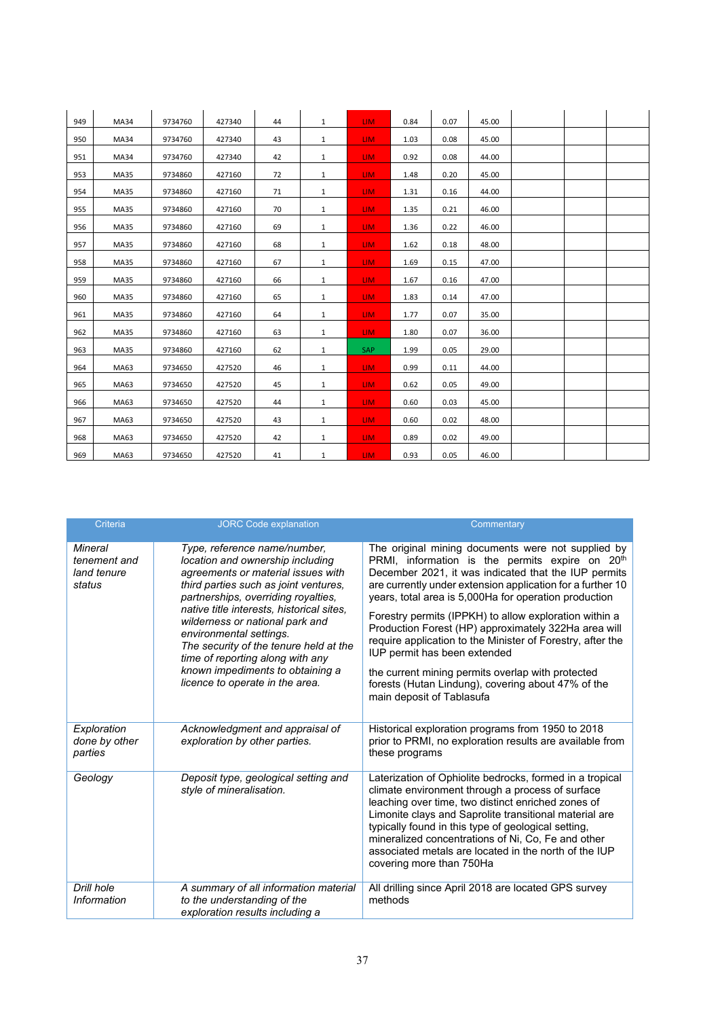| 949 | MA34        | 9734760 | 427340 | 44 | $\mathbf{1}$ | LIM. | 0.84 | 0.07 | 45.00 |  |  |
|-----|-------------|---------|--------|----|--------------|------|------|------|-------|--|--|
| 950 | MA34        | 9734760 | 427340 | 43 | 1            | LIM. | 1.03 | 0.08 | 45.00 |  |  |
| 951 | MA34        | 9734760 | 427340 | 42 | 1            | LIM. | 0.92 | 0.08 | 44.00 |  |  |
| 953 | MA35        | 9734860 | 427160 | 72 | 1            | LIM. | 1.48 | 0.20 | 45.00 |  |  |
| 954 | <b>MA35</b> | 9734860 | 427160 | 71 | 1            | LIM. | 1.31 | 0.16 | 44.00 |  |  |
| 955 | MA35        | 9734860 | 427160 | 70 | 1            | LIM. | 1.35 | 0.21 | 46.00 |  |  |
| 956 | <b>MA35</b> | 9734860 | 427160 | 69 | $\mathbf{1}$ | LIM. | 1.36 | 0.22 | 46.00 |  |  |
| 957 | MA35        | 9734860 | 427160 | 68 | $\mathbf{1}$ | LIM. | 1.62 | 0.18 | 48.00 |  |  |
| 958 | MA35        | 9734860 | 427160 | 67 | 1            | LIM. | 1.69 | 0.15 | 47.00 |  |  |
| 959 | MA35        | 9734860 | 427160 | 66 | 1            | LIM. | 1.67 | 0.16 | 47.00 |  |  |
| 960 | MA35        | 9734860 | 427160 | 65 | $\mathbf{1}$ | LIM. | 1.83 | 0.14 | 47.00 |  |  |
| 961 | MA35        | 9734860 | 427160 | 64 | $\mathbf{1}$ | LIM. | 1.77 | 0.07 | 35.00 |  |  |
| 962 | MA35        | 9734860 | 427160 | 63 | $\mathbf{1}$ | LIM. | 1.80 | 0.07 | 36.00 |  |  |
| 963 | <b>MA35</b> | 9734860 | 427160 | 62 | $\mathbf{1}$ | SAP  | 1.99 | 0.05 | 29.00 |  |  |
| 964 | MA63        | 9734650 | 427520 | 46 | $\mathbf{1}$ | LIM. | 0.99 | 0.11 | 44.00 |  |  |
| 965 | MA63        | 9734650 | 427520 | 45 | 1            | LIM. | 0.62 | 0.05 | 49.00 |  |  |
| 966 | MA63        | 9734650 | 427520 | 44 | $\mathbf{1}$ | LIM. | 0.60 | 0.03 | 45.00 |  |  |
| 967 | MA63        | 9734650 | 427520 | 43 | $\mathbf{1}$ | LIM. | 0.60 | 0.02 | 48.00 |  |  |
| 968 | MA63        | 9734650 | 427520 | 42 | 1            | LIM. | 0.89 | 0.02 | 49.00 |  |  |
| 969 | MA63        | 9734650 | 427520 | 41 | $\mathbf{1}$ | LIM. | 0.93 | 0.05 | 46.00 |  |  |

| Criteria                                         | <b>JORC Code explanation</b>                                                                                                                                                                                                                                                                                                                                                                                                                           | Commentary                                                                                                                                                                                                                                                                                                                                                                                                                                                                                                                                                                                                                                               |
|--------------------------------------------------|--------------------------------------------------------------------------------------------------------------------------------------------------------------------------------------------------------------------------------------------------------------------------------------------------------------------------------------------------------------------------------------------------------------------------------------------------------|----------------------------------------------------------------------------------------------------------------------------------------------------------------------------------------------------------------------------------------------------------------------------------------------------------------------------------------------------------------------------------------------------------------------------------------------------------------------------------------------------------------------------------------------------------------------------------------------------------------------------------------------------------|
| Mineral<br>tenement and<br>land tenure<br>status | Type, reference name/number,<br>location and ownership including<br>agreements or material issues with<br>third parties such as joint ventures,<br>partnerships, overriding royalties,<br>native title interests, historical sites,<br>wilderness or national park and<br>environmental settings.<br>The security of the tenure held at the<br>time of reporting along with any<br>known impediments to obtaining a<br>licence to operate in the area. | The original mining documents were not supplied by<br>PRMI, information is the permits expire on 20 <sup>th</sup><br>December 2021, it was indicated that the IUP permits<br>are currently under extension application for a further 10<br>years, total area is 5,000Ha for operation production<br>Forestry permits (IPPKH) to allow exploration within a<br>Production Forest (HP) approximately 322Ha area will<br>require application to the Minister of Forestry, after the<br>IUP permit has been extended<br>the current mining permits overlap with protected<br>forests (Hutan Lindung), covering about 47% of the<br>main deposit of Tablasufa |
| Exploration<br>done by other<br>parties          | Acknowledgment and appraisal of<br>exploration by other parties.                                                                                                                                                                                                                                                                                                                                                                                       | Historical exploration programs from 1950 to 2018<br>prior to PRMI, no exploration results are available from<br>these programs                                                                                                                                                                                                                                                                                                                                                                                                                                                                                                                          |
| Geology                                          | Deposit type, geological setting and<br>style of mineralisation.                                                                                                                                                                                                                                                                                                                                                                                       | Laterization of Ophiolite bedrocks, formed in a tropical<br>climate environment through a process of surface<br>leaching over time, two distinct enriched zones of<br>Limonite clays and Saprolite transitional material are<br>typically found in this type of geological setting,<br>mineralized concentrations of Ni, Co, Fe and other<br>associated metals are located in the north of the IUP<br>covering more than 750Ha                                                                                                                                                                                                                           |
| Drill hole<br>Information                        | A summary of all information material<br>to the understanding of the<br>exploration results including a                                                                                                                                                                                                                                                                                                                                                | All drilling since April 2018 are located GPS survey<br>methods                                                                                                                                                                                                                                                                                                                                                                                                                                                                                                                                                                                          |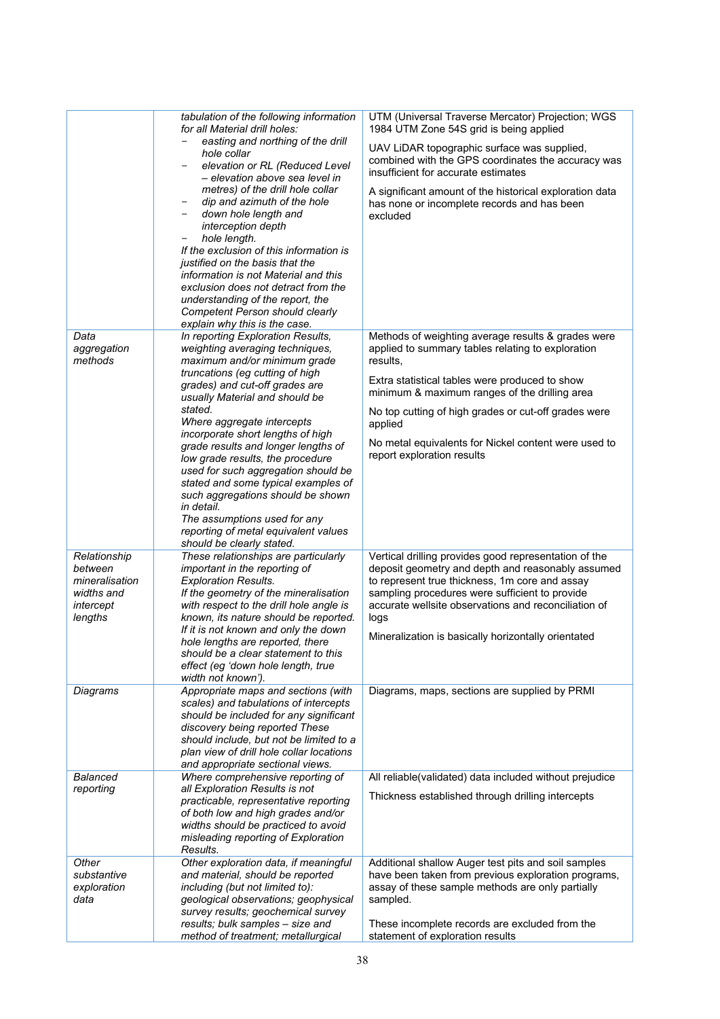|                                                      | tabulation of the following information<br>for all Material drill holes:<br>easting and northing of the drill<br>hole collar<br>elevation or RL (Reduced Level<br>- elevation above sea level in<br>metres) of the drill hole collar<br>dip and azimuth of the hole<br>$\qquad \qquad -$<br>down hole length and<br>-<br>interception depth<br>hole length.<br>-<br>If the exclusion of this information is<br>justified on the basis that the<br>information is not Material and this<br>exclusion does not detract from the<br>understanding of the report, the<br>Competent Person should clearly | UTM (Universal Traverse Mercator) Projection; WGS<br>1984 UTM Zone 54S grid is being applied                                                                     |
|------------------------------------------------------|------------------------------------------------------------------------------------------------------------------------------------------------------------------------------------------------------------------------------------------------------------------------------------------------------------------------------------------------------------------------------------------------------------------------------------------------------------------------------------------------------------------------------------------------------------------------------------------------------|------------------------------------------------------------------------------------------------------------------------------------------------------------------|
|                                                      |                                                                                                                                                                                                                                                                                                                                                                                                                                                                                                                                                                                                      | UAV LiDAR topographic surface was supplied,<br>combined with the GPS coordinates the accuracy was<br>insufficient for accurate estimates                         |
|                                                      |                                                                                                                                                                                                                                                                                                                                                                                                                                                                                                                                                                                                      | A significant amount of the historical exploration data<br>has none or incomplete records and has been<br>excluded                                               |
| Data<br>aggregation<br>methods                       | explain why this is the case.<br>In reporting Exploration Results,<br>weighting averaging techniques,<br>maximum and/or minimum grade                                                                                                                                                                                                                                                                                                                                                                                                                                                                | Methods of weighting average results & grades were<br>applied to summary tables relating to exploration                                                          |
|                                                      | truncations (eg cutting of high<br>grades) and cut-off grades are                                                                                                                                                                                                                                                                                                                                                                                                                                                                                                                                    | results,<br>Extra statistical tables were produced to show                                                                                                       |
|                                                      | usually Material and should be<br>stated.                                                                                                                                                                                                                                                                                                                                                                                                                                                                                                                                                            | minimum & maximum ranges of the drilling area<br>No top cutting of high grades or cut-off grades were                                                            |
|                                                      | Where aggregate intercepts<br>incorporate short lengths of high                                                                                                                                                                                                                                                                                                                                                                                                                                                                                                                                      | applied                                                                                                                                                          |
|                                                      | grade results and longer lengths of<br>low grade results, the procedure<br>used for such aggregation should be<br>stated and some typical examples of<br>such aggregations should be shown<br>in detail.<br>The assumptions used for any<br>reporting of metal equivalent values<br>should be clearly stated.                                                                                                                                                                                                                                                                                        | No metal equivalents for Nickel content were used to<br>report exploration results                                                                               |
| Relationship<br>between                              | These relationships are particularly<br>important in the reporting of                                                                                                                                                                                                                                                                                                                                                                                                                                                                                                                                | Vertical drilling provides good representation of the<br>deposit geometry and depth and reasonably assumed                                                       |
| mineralisation<br>widths and<br>intercept<br>lengths | <b>Exploration Results.</b><br>If the geometry of the mineralisation<br>with respect to the drill hole angle is<br>known, its nature should be reported.                                                                                                                                                                                                                                                                                                                                                                                                                                             | to represent true thickness, 1m core and assay<br>sampling procedures were sufficient to provide<br>accurate wellsite observations and reconciliation of<br>logs |
|                                                      | If it is not known and only the down<br>hole lengths are reported, there<br>should be a clear statement to this<br>effect (eg 'down hole length, true<br>width not known').                                                                                                                                                                                                                                                                                                                                                                                                                          | Mineralization is basically horizontally orientated                                                                                                              |
| Diagrams                                             | Appropriate maps and sections (with<br>scales) and tabulations of intercepts                                                                                                                                                                                                                                                                                                                                                                                                                                                                                                                         | Diagrams, maps, sections are supplied by PRMI                                                                                                                    |
|                                                      | should be included for any significant<br>discovery being reported These<br>should include, but not be limited to a<br>plan view of drill hole collar locations<br>and appropriate sectional views.                                                                                                                                                                                                                                                                                                                                                                                                  |                                                                                                                                                                  |
| <b>Balanced</b><br>reporting                         | Where comprehensive reporting of<br>all Exploration Results is not                                                                                                                                                                                                                                                                                                                                                                                                                                                                                                                                   | All reliable(validated) data included without prejudice                                                                                                          |
|                                                      | practicable, representative reporting<br>of both low and high grades and/or<br>widths should be practiced to avoid<br>misleading reporting of Exploration<br>Results.                                                                                                                                                                                                                                                                                                                                                                                                                                | Thickness established through drilling intercepts                                                                                                                |
| Other<br>substantive                                 | Other exploration data, if meaningful<br>and material, should be reported                                                                                                                                                                                                                                                                                                                                                                                                                                                                                                                            | Additional shallow Auger test pits and soil samples<br>have been taken from previous exploration programs,                                                       |
| exploration<br>data                                  | including (but not limited to):<br>geological observations; geophysical                                                                                                                                                                                                                                                                                                                                                                                                                                                                                                                              | assay of these sample methods are only partially<br>sampled.                                                                                                     |
|                                                      | survey results; geochemical survey<br>results; bulk samples - size and                                                                                                                                                                                                                                                                                                                                                                                                                                                                                                                               | These incomplete records are excluded from the                                                                                                                   |
|                                                      | method of treatment; metallurgical                                                                                                                                                                                                                                                                                                                                                                                                                                                                                                                                                                   | statement of exploration results                                                                                                                                 |